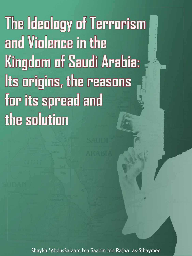The Ideology of Terrorism and Violence in the Kingdom of Saudi Arabia: Its origins, the reasons for its spread and the solution

Shaykh 'AbdusSalaam bin Saalim bin Rajaa' as-Sihaymee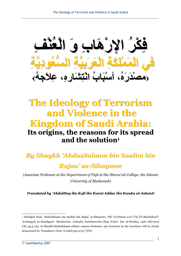**˶ϒ˸Ϩ˵ό˸ϟ ˴ϭ ˶ΏΎ˴ϫ˸έϹ ˵ή˸Ϝ˶ϓ ˶ϒ˸Ϩ˵ό˸ϟ ˴ϭ ˶ΏΎ˴ϫ˸έϹ ˵ή˸Ϝ˶ϓ ˶Δ͉ϳ˶ΩϮ˵ό͊δϟ ˶Δ͉ϴ˶Α˴ή˴ό˸ϟ ˶Δ˴Ϝ˴Ϡ˸Ϥ˴Ϥ˸ϟ ϲϓ ˶Δ͉ϳ˶ΩϮ˵ό͊δϟ ˶Δ͉ϴ˶Α˴ή˴ό˸ϟ ˶Δ˴Ϝ˴Ϡ˸Ϥ˴Ϥ˸ϟ ϲϓ ‹ › ˵ϪΟ˴ϼ˶ϋ ˬ˶ϩέΎ˴θ˶Θ˸ϧ ˵ΏΎ˴Β˸γ ˬ˵ϩ˴έ˴Ϊ˸μϣ ˵ϪΟ˴ϼ˶ϋ ˬ˶ϩέΎ˴θ˶Θ˸ϧ ˵ΏΎ˴Β˸γ ˬ˵ϩ˴έ˴Ϊ˸μϣ›**

# **The Ideology of Terrorism and Violence in the Kingdom of Saudi Arabia: Its origins, the reasons for its spread and the solution1**

*By Shaykh 'AbdusSalaam bin Saalim bin*

## *Rajaa' as-Sihaymee*

(Associate Professor at the *Department of Fiqh* at the *Sharee'ah College*, *the Islamic University of Madeenah*)

*Translated by 'AbdulHaq ibn Kofi ibn Kwesi Addae ibn Kwaku al-Ashanti*

<sup>1</sup> Abridged from 'AbdusSalaam bin Saalim bin Rajaa' as-Sihaymee, *Fikr ul-Irhaab wa'l-'Unf fi'l-Mamlakati'l- 'Arabiyyah as-Saudiyyah: Masdaruhu, Asbaabu Instishaaruhu,'Ilaaj* (Cairo: Dar ul-Menhaj, 1426 AH/2005 CE), pp.5-132. As Shaykh'AbdusSalaam utilizes copious footnotes, any footnotes by the translator will be clearly demarcated by 'Translator's Note' in bold type or by '[TN]'.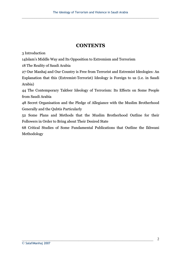## **CONTENTS**

3 Introduction

14Islam's Middle Way and Its Opposition to Extremism and Terrorism

18 The Reality of Saudi Arabia

27 Our Manhaj and Our Country is Free from Terrorist and Extremist Ideologies: An Explanation that this (Extremist-Terrorist) Ideology is Foreign to us (i.e. in Saudi Arabia)

44 The Contemporary Takfeer Ideology of Terrorism: Its Effects on Some People from Saudi Arabia

48 Secret Organisation and the Pledge of Allegiance with the Muslim Brotherhood Generally and the Qubtis Particularly

52 Some Plans and Methods that the Muslim Brotherhood Outline for their Followers in Order to Bring about Their Desired State

68 Critical Studies of Some Fundamental Publications that Outline the Ikhwani Methodology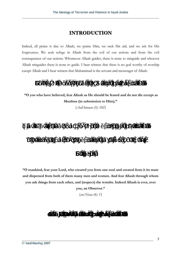## **INTRODUCTION**

Indeed, all praise is due to Allaah, we praise Him, we seek His aid, and we ask for His forgiveness. We seek refuge in Allaah from the evil of our actions and from the evil consequences of our actions. Whomever Allaah guides, there is none to misguide and whoever Allaah misguides there is none to guide. I bear witness that there is no god worthy of worship except Allaah and I bear witness that Muhammad is the servant and messenger of Allaah.

 $\ddot{a}$  ä

 **"O you who have believed, fear Allaah as He should be feared and do not die except as Muslims (in submission to Him)."** 

*{Aali-Imraan (3): 102}* 

|  | ä áä á   |  |  |  |       |  |
|--|----------|--|--|--|-------|--|
|  | ä â ää ä |  |  |  | ää ää |  |
|  |          |  |  |  |       |  |

**"O mankind, fear your Lord, who created you from one soul and created from it its mate and dispersed from both of them many men and women. And fear Allaah through whom you ask things from each other, and (respect) the wombs. Indeed Allaah is ever, over** 

**you, an Observer."** 

*{an-Nisaa (4): 1}* 

 $\ddot{a}$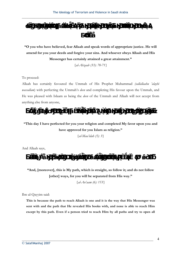$$
\ddot{a} \hspace{1.5cm} \ddot{a} \hspace{1.5cm} \ddot{a}
$$

**"O you who have believed, fear Allaah and speak words of appropriate justice. He will amend for you your deeds and forgive your sins. And whoever obeys Allaah and His Messenger has certainly attained a great attainment."** 

*{al-Ahzaab (33): 70-71}* 

#### To proceed:

Allaah has certainly favoured the Ummah of His Prophet Muhammad *(sallallaahu 'alayhi wassallam*) with perfecting the Ummah's *deen* and completing His favour upon the Ummah, and He was pleased with Islaam as being the *deen* of the Ummah and Allaah will not accept from anything else from anyone,



### **"This day I have perfected for you your religion and completed My favor upon you and have approved for you Islam as religion."**

*{al-Maa'idah (5): 3}* 

And Allaah says,



**"And, [moreover], this is My path, which is straight, so follow it; and do not follow [other] ways, for you will be separated from His way."** 

*{al-An'aam (6): 153}* 

Ibn ul-Qayyim said:

**This is because the path to reach Allaah is one and it is the way that His Messenger was sent with and the path that He revealed His books with, and none is able to reach Him except by this path. Even if a person tried to reach Him by all paths and try to open all**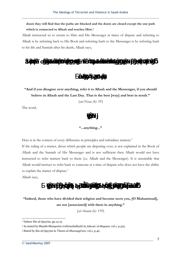**doors they will find that the paths are blocked and the doors are closed except the one path which is connected to Allaah and reaches Him.1**

Allaah instructed us to return to Him and His Messenger at times of dispute and referring to Allaah is by referring back to His Book and referring back to the Messenger is by referring back to his life and Sunnah after his death, Allaah says,



**"And if you disagree over anything, refer it to Allaah and the Messenger, if you should believe in Allaah and the Last Day. That is the best [way] and best in result."** 

*{an-Nisaa (4): 59}* 

The word,

## $\acute{a}$

#### **"...anything..."**

Here is in the context of every difference in principles and subsidiary matters.<sup>2</sup>

If the ruling of a matter, about which people are disputing over, is not explained in the Book of Allaah and the Sunnah of His Messenger and is not sufficient then Allaah would not have instructed to refer matters back to them (i.e. Allaah and the Messenger). It is unsuitable that Allaah would instruct to refer back to someone at a time of dispute who does not have the ability to explain the matter of dispute.<sup>3</sup>

Allaah says,

### $\acute{\textbf{\}}$ á ä ä ä ä

**"Indeed, those who have divided their religion and become sects you, [O Muhammad], are not [associated] with them in anything."** 

*{al-Anaam (6): 159}* 

<sup>&</sup>lt;sup>1</sup> Tafseer Ibn ul-Qayyim, pp.14-15

<sup>2</sup> As stated by Shaykh Shinqeetee *(rahimahullaah)* in *Adwaa' ul-Bayaan*, vol.1, p.323

<sup>3</sup> Stated by Ibn ul-Qayyim in *'I'laam ul-Muwaqqi'een*, vol.1, p.49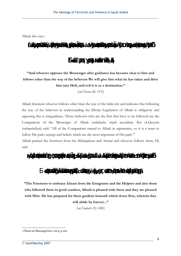

**"And whoever opposes the Messenger after guidance has become clear to him and follows other than the way of the believers We will give him what he has taken and drive him into Hell, and evil it is as a destination."** 

*{an-Nisaa (4): 115}* 

Allaah threatens whoever follows other than the way of the believers and indicates that following the way of the believers in understanding the Divine Legislation of Allaah is obligatory and opposing this is misguidance. Those believers who are the first that have to be followed are the Companions of the Messenger of Allaah *(sallallaahu 'alayhi wassallam)*. Ibn ul-Qayyim *(rahimahullaah)* said: "All of the Companions turned to Allaah in repentance, so it is a must to follow His path, sayings and beliefs which are the most important of His path."1

Allaah praised the foremost from the Muhaajireen and Ansaar and whoever follows them, He said



**"The Foremost to embrace Islaam from the Emigrants and the Helpers and also those who followed them in good conduct, Allaah is pleased with them and they are pleased with Him. He has prepared for them gardens beneath which rivers flow, wherein they will abide by forever..."** 

*{at-Tawbah (9): 100}* 

<sup>1</sup> *I'laam ul-Muwaqqi'een*, vol.4, p.120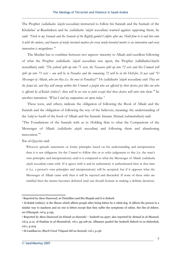The Prophet *(sallallaahu 'alayhi wassallam)* instructed to follow his Sunnah and the Sunnah of the Khulafaa' ar-Raashideen and he *(sallallaahu 'alayhi wassallam)* warned against opposing them, he said: *"Stick to my Sunnah and the Sunnah of the Rightly guided Caliphs after me. Hold firm to it and bite onto it with the molars, and beware of newly invented matters for every newly-invented matter is an innovation and every innovation is misguidance."*<sup>1</sup>

The Muslim has to combine between two aspects: sincerity to Allaah and excellent following of what the Prophet *(sallallaahu 'alayhi wassallam)* was upon, the Prophet (sallallaahu'alayhi wassallam) said: *'The yahood split up into 71 sects, the Nasaara split up into 72 sects and this Ummah will split up into 73 sects – one will be in Paradise and the remaining 72 will be in the Hell-fire. It was said "O Messenger of Allaah, who are they (i.e. the ones in Paradise)?" He (sallallaahu 'alayhi wassallam) said: They are the Jama'ah, and they will emerge within this Ummah a people who are affected by their desires just like one who*  is affected by al-Kalab (rabies)<sup>2</sup>; there will be no vein or joint except that these desires will enter into them." In another narration: *"What I and my companions are upon today."*

 These texts, and others, indicate the obligation of following the Book of Allaah and the Sunnah and the obligation of following the way of the believers, meaning: the understanding of the *Salaf us-Saalih* of the book of Allaah and the Sunnah. Imaam Ahmad *(rahimahullaah)* said:

"The Foundations of the Sunnah with us is: Holding firm to what the Companions of the Messenger of Allaah *(sallallaahu alayhi wassallam)* and following them and abandoning innovation."<sup>4</sup>

Ibn ul-Qayyim said:

Whoever spreads statements or forms principles based on his understanding and interpretation then it is not obligatory for the *Ummah* to follow this or to refer judgement to this (i.e. the man's own principles and interpretations) until it is compared to what the Messenger of Allaah *(sallallaahu alayhi wassallam)* came with. If it agrees with it and its authenticity is authenticated then at that time it (i.e. a person's own principles and interpretations) will be accepted, but if it opposes what the Messenger of Allaah came with then it will be rejected and discarded. If none of these sides are clarified then the matter becomes deferred (and one should hesitate in making a definite decision).

<sup>1</sup> Reported by Aboo Daawood, at-Tirmidhee and Ibn Maajah and it is *Saheeh*.

<sup>2</sup> Al-Kalab (rabies): is the illness which affects people after being bitten by a rabid dog. It affects the person in a similar way to madness and no one is bitten except that they suffer the symptoms of rabies. See Ibn ul-Atheer, *an-Nihaayah*, vol.4, p.195.

<sup>3</sup> Reported by Aboo Daawood (in *Kitaab us-Sunnah*) – *hadeeth* no.4597; also reported by Ahmad in *al-Musnad*, vol.3, p.12; al-Haakim in *al-Mustadrak*, vol.1, pp.128-29. Albaanee graded the *hadeeth Saheeh* in *as-Saheehah*, vol.1, p.204.

<sup>4</sup> Al-Laalikaa'ee, *Sharh Usool 'I'tiqaad Ahl us-Sunnah*, vol.1, p.156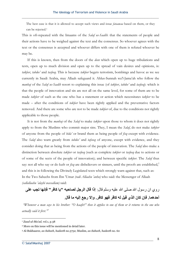The best case is that it is allowed to accept such views and issue *fataawaa* based on them, or they can be rejected.1

This is oft-repeated with the Imaams of the *Salaf us-Saalih*: that the statements of people and their actions have to be weighed against the text and the consensus. So whoever agrees with the text or the consensus is accepted and whoever differs with one of them is refuted whoever he may be.

If this is known, then from the doors of the *deen* which open up to huge tribulations and tests, open up to much division and open up to the spread of vain desires and opinions, is: *takfeer*, *tabdee'* and *tasfeeq*. This is because *takfeer* begets terrorism, bombings and havoc as we see currently in Saudi Arabia, may Allaah safeguard it. Ahlus-Sunnah wa'l-Jama'ah who follow the *manhaj* of the *Salaf us-Saalih* resort to explaining this issue (of *takfeer*, *tabdee'* and *tasfeeq*): which is that the people of innovation and sin are not all on the same level, for some of them are to be made *takfeer* of such as the one who has a statement or action which necessitates *takfeer* to be made – after the conditions of *takfeer* have been rightly applied and the preventative factors removed. And there are some who are not to be made *takfeer* of, due to the conditions not rightly applicable to those people.

 It is not from the *manhaj* of the *Salaf* to make *takfeer* upon those to whom it does not rightly apply to from the Muslims who commit major sins. They, I mean the *Salaf*, do not make *takfeer* of anyone from the people of *bida'* or brand them as being people of *fisq* except with evidence. The *Salaf* also warn greatly from *tabdee'* and *tafseeq* of anyone, except with evidence, and they consider doing that as being from the actions of the people of innovation. The *Salaf* also make a distinction between absolute *takfeer* or *tasfeeq* (such as complete *takfeer* or *tasfeeq* due to actions or of some of the sects of the people of innovation); and between specific *takfeer*. The *Salaf* thus say: not all who say or do kufr or *fisq* are disbelievers or sinners, until the proofs are established,<sup>2</sup> and this is in following the Divinely Legislated texts which strongly warn against that, such as: In the Two Saheehs from Ibn 'Umar *(radi Allaahu 'anhu)* who said: the Messenger of Allaah *(sallallaahu 'alayhi wassallam)* said:

روي ان رسول الله صلى الله عليه وسلم قال: إ**ذا قال الرجل لصاحبه "يا كافر" فإنها تجب على** أحدهما. فإ*ن كان ا*لذي قيل له كافر فهو كافر. وإلا رجع إليه ما قال.

*"Whenever a man says to his brother: "O kaafir!" then it applies to one of them or it returns to the one who actually said it first."3*

<sup>1</sup> *Zaad ul-Ma'ad*, vol.1, p.38

<sup>2</sup> More on this issue will be mentioned in detail later.

<sup>3</sup> Al-Bukhaaree, *as-Saheeh*, *hadeeth* no.5752; Muslim, *as-Saheeh, hadeeth* no. 60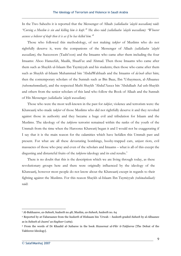In the Two Saheehs it is reported that the Messenger of Allaah *(sallallaahu 'alayhi wassallam)* said: *"Cursing a Muslim is sin and killing him is kufr."*<sup>1</sup> He also said *(sallallaahu 'alayhi wassallam): "Whoever accuses a believer of kufr then it is as if he has killed him."*<sup>2</sup>

 Those who followed this methodology, of not making *takfeer* of Muslims who do not rightfully deserve it, were the companions of the Messenger of Allaah *(sallallaahu 'alayhi wassallam)*, the Successors (Taabi'oon) and the Imaams who came after them including the four Imaams: Aboo Haneefah, Maalik, Shaafi'ee and Ahmad. Then those Imaams who came after them such as Shaykh ul-Islaam Ibn Taymiyyah and his students; then those who came after them such as Shaykh ul-Islaam Muhammad bin 'AbdulWahhaab and the Imaams of *da'wah* after him; then the contemporary scholars of the Sunnah such as Bin Baaz, Ibn 'Uthaymeen, al-Albaanee *(raheemahumullaah)*, and the respected Mufti Shaykh 'Abdul'Azeez bin 'Abdullaah Aal ush-Shaykh and others from the senior scholars of this land who follow the Book of Allaah and the Sunnah of His Messenger *(sallallaahu 'alayhi wassallam)*.

Those who were the most well-known in the past for *takfeer*, violence and terrorism were: the Khawaarij who made *takfeer* of those Muslims who did not rightfully deserve it and they revolted against those in authority and they became a huge evil and tribulation for Islaam and the Muslims. The ideology of the *takfeeree* terrorist remained within the ranks of the youth of the Ummah from the time when the Harooree Khawarij began it and I would not be exaggerating if I say that it is the main reason for the calamities which have befallen this Ummah past and present. For what are all these devastating bombings, booby-trapped cars, unjust riots, evil massacres of those who pray and even of the scholars and Imaams – what is all of this except the disgusting and distasteful fruits of the *takfeeree* ideology and its end results.<sup>3</sup>

 There is no doubt that this is the description which we are living through today, as these revolutionary groups here and there were originally influenced by the ideology of the Khawaarij, however most people do not know about the Khawaarij except in regards to their fighting against the Muslims. For this reason Shaykh ul-Islaam Ibn Taymiyyah *(rahimahullaah)* said:

<sup>1</sup> Al-Bukhaaree, *as-Saheeh*, *hadeeth* no.48; Muslim, *as-Saheeh, hadeeth* no. 64

<sup>2</sup> Reported by at-Tabaraanee from the *hadeeth* of Hishaam bin 'Urwah – *hadeeth* graded *Saheeh* by al-Albaanee as in *Saheeh al-Jaami' as-Sagheer* (1269).

<sup>3</sup> From the words of Dr Khaalid al-'Anbaree in the book *Hazeemat ul-Fikr it-Takfeeree* [The Defeat of the Takfeeree Ideology].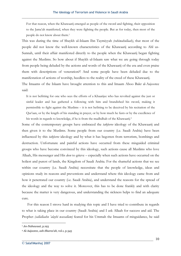For that reason, when the Khawaarij emerged as people of the sword and fighting, their opposition to the Jama'ah manifested, when they were fighting the people. But as for today, then most of the people do not know about them.1

This was during the time of Shaykh ul-Islaam Ibn Taymiyyah *(rahimahullaah)*, that most of the people did not know the well-known characteristics of the Khawaarij according to Ahl us-Sunnah, until their affair manifested directly to the people when the Khawaarij began fighting against the Muslims. So how about if Shaykh ul-Islaam saw what we are going through today from people being deluded by the actions and words of the Khawaarij of the era and even praise them with descriptions of veneration?! And some people have been deluded due to the manifestation of actions of worship, heedless to the reality of the creed of these Khawaarij.

The Imaams of the Islaam have brought attention to this and Imaam Aboo Bakr al-Aajooree said:

It is not befitting for one who sees the efforts of a Khaarijee who has revolted against the just or sinful leader and has gathered a following with him and brandished his sword, making it permissible to fight against the Muslims – it is not befitting to be deceived by his recitation of the Qur'aan, or by the length of his standing in prayer, or by how much he fasts or by the excellence of his words in regards to knowledge, if he is from the madhdhab of the Khawaarij.2

Some of the contemporary groups have embraced the *takfeeree* ideology of the Khawaarij and then given it to the Muslims. Some people from our country (i.e. Saudi Arabia) have been influenced by this *takfeeree* ideology and by what it has begotten from terrorism, bombings and destruction. Unfortunate and painful actions have occurred from these misguided criminal groups who have become convinced by this ideology, such actions cause all Muslims who love Allaah, His messenger and His *deen* to grieve – especially when such actions have occurred on the holiest and purest of lands, the Kingdom of Saudi Arabia. For the shameful actions that we see within our country (i.e. Saudi Arabia) necessitate that the people of knowledge, ideas and opinions study its reasons and preventions and understand where this ideology came from and how it penetrated our country (i.e. Saudi Arabia), and understand the reasons for the spread of the ideology and the way to solve it. Moreover, this has to be done frankly and with clarity because the matter is very dangerous, and understanding the sickness helps to find an adequate cure.

For this reason I strove hard in studying this topic and I have tried to contribute in regards to what is taking place in our country (Saudi Arabia) and I ask Allaah for success and aid. The Prophet *(sallallaahu 'alayhi wassallam)* feared for his Ummah the Imaams of misguidance, he said

<sup>1</sup> *An-Nabawaat*, p.193

<sup>2</sup> Al-Aajooree, *ash-Sharee'ah*, vol.1, p.345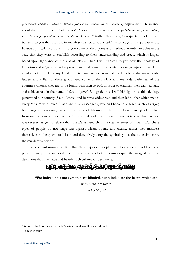*(sallallaahu 'alayhi wassallam)*: *"What I fear for my Ummah are the Imaams of misguidance."*<sup>1</sup> He warned about them in the context of the *hadeeth* about the Dajjaal when he *(sallallaahu 'alayhi wassallam)* said: *"I fear for you other matters besides the Dajjaal."*<sup>2</sup> Within this study, O respected reader, I will transmit to you that the first to manifest this terrorist and *takfeeree* ideology in the past were the Khawaarij. I will also transmit to you some of their plans and methods in order to achieve the state that they want to establish according to their understanding and creed, which is largely based upon ignorance of the *deen* of Islaam. Then I will transmit to you how the ideology of terrorism and *takfeer* is found at present and that some of the contemporary groups embraced the ideology of the Khawaarij. I will also transmit to you some of the beliefs of the main heads, leaders and callers of these groups and some of their plans and methods, within all of the countries wherein they are to be found with their *da'wah*, in order to establish their claimed state and achieve rule in the name of *deen* and *jihad*. Alongside this, I will highlight how this ideology penetrated our country (Saudi Arabia) and became widespread and then led to that which makes every Muslim who loves Allaah and His Messenger grieve and become angered: such as *takfeer*, bombings and wreaking havoc in the name of Islaam and jihad. For Islaam and jihad are free from such actions and you will see O respected reader, with what I transmit to you, that this type is a severer danger to Islaam than the Dajjaal and than the clear enemies of Islaam. For these types of people do not wage war against Islaam openly and clearly, rather they manifest themselves in the gowns of Islaam and deceptively carry the symbols yet at the same time carry the murderous poisons.

 It is very unfortunate to find that these types of people have followers and soldiers who praise them greatly and exalt them above the level of criticism despite the misguidance and deviations that they have and belittle such calamitous deviations,



**"For indeed, it is not eyes that are blinded, but blinded are the hearts which are within the breasts."** 

*{al-Hajj (22): 46}* 

<sup>1</sup> Reported by Aboo Daawood , ad-Daarimee, at-Tirmidhee and Ahmad

<sup>2</sup> Saheeh Muslim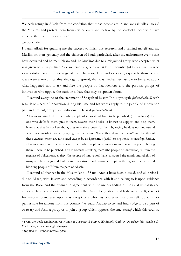We seek refuge in Allaah from the condition that those people are in and we ask Allaah to aid the Muslims and protect them from this calamity and to take by the forelocks those who have affected them with this calamity.<sup>1</sup>

#### To conclude:

I thank Allaah for granting me the success to finish this research and I remind myself and my Muslim brothers generally and the children of Saudi particularly after the unfortunate events that have occurred and harmed Islaam and the Muslims due to a misguided group who accepted what was given to it by partisan *takfeeree* terrorist groups outside this country (of Saudi Arabia) who were satisfied with the ideology of the Khawaarij. I remind everyone, especially those whose ideas were a reason for this ideology to spread, that it is neither permissible to be quiet about what happened nor to try and free the people of that ideology and the partisan groups of innovation who oppose the truth or to hate that they be spoken about.

 I remind everyone of the statement of Shaykh ul-Islaam Ibn Taymiyyah *(rahimahullaah)* with regards to a sect of innovation during his time and his words apply to the people of innovation past and present, groups and individuals. He said *(rahimahullaah)*:

All who are attached to them (the people of innovation) have to be punished; (this includes): the one who defends them, praises them, reveres their books, is known to support and help them, hates that they be spoken about, tries to make excuses for them by saying he does not understand what these words mean or by saying that the person "has authored another book" and the likes of these excuses which are not stated except by an ignoramus (jaahil) or hypocrite (munaafiq). Rather, all who know about the situation of them (the people of innovation) and do not help in rebuking them – have to be punished. This is because rebuking them (the people of innovation) is from the greatest of obligations, as they (the people of innovation) have corrupted the minds and religion of many scholars, kings and leaders and they strive hard causing corruption throughout the earth and blocking people off from the path of Allaah.2

I remind all that we in the Muslim land of Saudi Arabia have been blessed, and all praise is due to Allaah, with Islaam and according in accordance with it and calling to it upon guidance from the Book and the Sunnah in agreement with the understanding of the Salaf us-Saalih and under an Islamic authority which rules by the Divine Legislation of Allaah. As a result, it is not for anyone to increase upon this except one who has oppressed his own self. So it is not permissible for anyone from this country (i.e. Saudi Arabia) to try and find a *hizb* to be a part of or to try and form a group or to join a group which opposes the true *manhaj* which this country

<sup>1</sup> From the book *Nadharaat fee Kitaab it-Tasweer al-Fannee li's-Sayyid Qutb* by Dr Rabee' bin Haadee al-Madkhalee, with some slight changes.

<sup>2</sup> *Majmoo' al-Fataawaa*, vol.2, p.132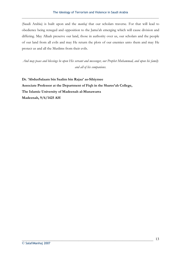(Saudi Arabia) is built upon and the *manhaj* that our scholars traverse. For that will lead to obedience being reneged and opposition to the Jama'ah emerging which will cause division and differing. May Allaah preserve our land, those in authority over us, our scholars and the people of our land from all evils and may He return the plots of our enemies unto them and may He protect us and all the Muslims from their evils.

*And may peace and blessings be upon His servant and messenger, our Prophet Muhammad, and upon his family and all of his companions.* 

**Dr. 'AbdusSalaam bin Saalim bin Rajaa' as-Sihiymee Associate Professor at the Department of Fiqh in the Sharee'ah College, The Islamic University of Madeenah al-Munawarra Madeenah, 9/6/1425 AH**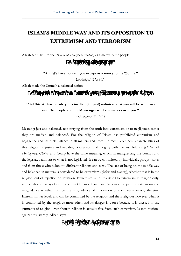## **ISLAM'S MIDDLE WAY AND ITS OPPOSITION TO EXTREMISM AND TERRORISM**

Allaah sent His Prophet *(sallallaahu 'alayhi wassallam)* as a mercy to the people:

 $\ddot{a}$   $\ddot{a}$ 

**"And We have not sent you except as a mercy to the Worlds."** 

*{al-Anbiya' (21): 107}* 

Allaah made the Ummah a balanced nation:

 $\ddot{a}$   $\ddot{a}$   $\ddot{a}$ 

**"And this We have made you a median (i.e. just) nation so that you will be witnesses over the people and the Messenger will be a witness over you."** 

*{al-Baqarah (2): 143}* 

Meaning: just and balanced, not straying from the truth into extremism or to negligence, rather they are median and balanced. For the religion of Islaam has prohibited extremism and negligence and instructs balance in all matters and from the most prominent characteristics of this religion is: justice and avoiding oppression and judging with the just balance (*Qistaas al-Mustaqeem*). *Ghuloo'* and *tatarruf* have the same meaning, which is: transgressing the bounds and the legislated amount to what is not legislated. It can be committed by individuals, groups, states and from those who belong to different religions and sects. The lack of being on the middle-way and balanced in matters is considered to be extremism (*ghuloo'* and *tatarruf*), whether that is in the religion, out of rejection or deviation. Extremism is not restricted to extremism in religion only, rather whoever strays from the correct balanced path and traverses the path of extremism and misguidance whether that be the misguidance of innovation or completely leaving the *deen*. Extremism has levels and can be committed by the religious and the irreligious however when it is committed by the religious more often and its danger is worse because it is dressed in the garments of religion, even though religion is actually free from such extremism. Islaam cautions against this sternly, Allaah says:

 $\ddot{a}$ ää ä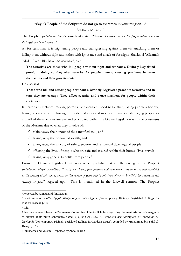#### **"Say: O People of the Scripture do not go to extremes in your religion…"**

*{al-Maa'idah (5): 77}* 

The Prophet *(sallallaahu 'alayhi wassallam)* stated *"Beware of extremism, for the people before you were destroyed due to extremism."1*

As for terrorism: it is frightening people and transgressing against them via attacking them or killing them without right and rather with ignorance and a lack of foresight. Shaykh al-'Allaamah 'Abdul'Azeez Bin Baaz *(rahimahullaah)* said:

**The terrorists are those who kill people without right and without a Divinely Legislated proof, in doing so they alter security for people thereby causing problems between themselves and their governments.2**

He also said:

**Those who kill and attack people without a Divinely Legislated proof are terrorists and in turn they are corrupt. They affect security and cause mayhem for people within their societies.3**

It (terrorism) includes: making permissible sanctified blood to be shed, taking people's honour, taking peoples wealth, blowing up residential areas and modes of transport, damaging properties etc. All of these actions are evil and prohibited within the Divine Legislation with the consensus of the Muslims due to what they involve of:

- $\checkmark$  taking away the honour of the sanctified soul, and
- $\checkmark$  taking away the honour of wealth, and
- $\checkmark$  taking away the sanctity of safety, security and residential dwellings of people
- $\checkmark$  affecting the lives of people who are safe and assured within their homes, lives, travels
- $\checkmark$  taking away general benefits from people<sup>4</sup>

From the Divinely Legislated evidences which prohibit that are the saying of the Prophet *(sallallaahu 'alayhi wassallam)*: *"Verily your blood, your property and your honour are as sacred and inviolable as the sanctity of this day of yours, in this month of yours and in this town of yours. Verily! I have conveyed this*  message to you."<sup>5</sup> Agreed upon. This is mentioned in the farewell sermon. The Prophet

<sup>&</sup>lt;sup>1</sup> Reported by Ahmad and Ibn Maajah

<sup>2</sup> *Al-Fataawaa ash-Shar'iyyah fi'l-Qadaayaa al-'Asriyyah* [Contemporary Divinely Legislated Rulings for Modern Issues], p.112

<sup>3</sup> Ibid.

<sup>4</sup> See the statement from the Permanent Committee of Senior Scholars regarding the manifestation of emergence of *takfeer* at its ninth conference dated: 2/4/1419 AH. See: *Al-Fataawaa ash-Shar'iyyah fi'l-Qadaayaa al- 'Asriyyah* [Contemporary Divinely Legislated Rulings for Modern Issues], compiled by Muhammad bin Fahd al-Husayn, p.67

<sup>5</sup> Bukhaaree and Muslim – reported by Aboo Bakrah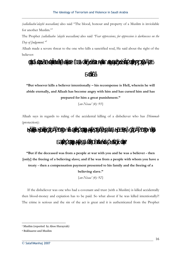*(sallallaahu'alayhi wassallam)* also said "The blood, honour and property of a Muslim is inviolable for another Muslim."<sup>1</sup>

The Prophet *(sallallaahu 'alayhi wassallam)* also said *"Fear oppressions, for oppression is darknesses on the Day of Judgement."2*

Allaah made a severe threat to the one who kills a sanctified soul, He said about the right of the believer:



**"But whoever kills a believer intentionally – his recompense is Hell, wherein he will abide eternally, and Allaah has become angry with him and has cursed him and has prepared for him a great punishment."** 

*{an-Nisaa' (4): 93}* 

Allaah says in regards to ruling of the accidental killing of a disbeliever who has *Dhimmah* (protection):

|  |  |  |          | á ä äáäá ä ä a á ä ä |  |  |
|--|--|--|----------|----------------------|--|--|
|  |  |  | äá äää ä |                      |  |  |

**"But if the deceased was from a people at war with you and he was a believer - then [only] the freeing of a believing slave; and if he was from a people with whom you have a treaty - then a compensation payment presented to his family and the freeing of a believing slave."** 

*{an-Nisaa' (4): 92}* 

If the disbeliever was one who had a covenant and trust (with a Muslim) is killed accidentally then blood-money and expiation has to be paid. So what about if he was killed intentionally?! The crime is serious and the sin of the act is great and it is authenticated from the Prophet

<sup>1</sup> Muslim (reported by Aboo Hurayrah)

<sup>2</sup> Bukhaaree and Muslim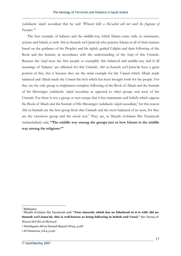*(sallallaahu 'alayhi wassallam)* that he said *"Whoever kills a Mu'aahid will not smell the fragrance of Paradise."*<sup>1</sup>

The best example of balance and the middle-way which Islaam came with, in statements, actions and beliefs, is with Ahl us-Sunnah wa'l-Jama'ah who practice Islaam in all of their matters based on the guidance of the Prophet and his rightly guided Caliphs and their following of the Book and the Sunnah, in accordance with the understanding of the *Salaf* of this Ummah. Because the *Salaf* were the first people to exemplify this balanced and middle-way and if all meanings of 'balance' are affirmed for this Ummah, Ahl us-Sunnah wa'l-Jama'ah have a great portion of this, this is because they are the main example for the *Ummah* which Allaah made balanced and Allaah made the *Ummah* the best which has been brought forth for the people. For they are the only group to implement complete following of the Book of Allaah and the Sunnah of his Messenger *(sallallaahu 'alayhi wassallam)* as opposed to other groups and sects of the Ummah. For there is not a group or sect except that it has statements and beliefs which oppose the Book of Allaah and the Sunnah of His Messenger *(sallallaahu 'alayhi wassallam)*, 2 for this reason Ahl us-Sunnah are the best group from this Ummah and the most balanced of its sects, for they are the victorious group and the saved sect.<sup>3</sup> They are, as Shaykh ul-Islaam Ibn Taymiyyah *(rahimahullaah)* said, **"The middle way among the groups just as how Islaam is the middle way among the religions."4**

<sup>&</sup>lt;sup>1</sup> Bukhaaree

<sup>2</sup> Shaykh ul-Islaam Ibn Taymiyyah said: **"True sincerity which has no falsehood in it is with Ahl us-Sunnah wa'l-Jama'ah, this is well-known as being following in beliefs and Usool."** See *Tareeq al-Wusool ila'l-Ilm al-Ma'mool.*

<sup>3</sup> *Wasitiyyatu Ahl us-Sunnah Bayna'l-Firaq*, p.287

<sup>4</sup> *Al-Fataawaa*, vol.4, p.140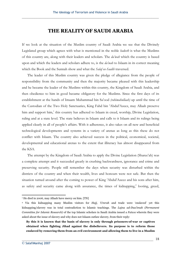## **THE REALITY OF SAUDI ARABIA**

If we look at the situation of the Muslim country of Saudi Arabia we see that the Divinely Legislated group which agrees with what is mentioned in the noble *hadeeth* is what the Muslims of this country are, along with their leaders and scholars. The *da'wah* which the country is based upon and which the leaders and scholars adhere to, is the *da'wah* to Islaam in its correct meaning which the Book and the Sunnah show and what the *Salaf us-Saalih* traversed.

 The leader of this Muslim country was given the pledge of allegiance from the people of responsibility from the community and then the majority became pleased with this leadership and he became the leader of the Muslims within this country, the Kingdom of Saudi Arabia, and then obedience to him in good became obligatory for the Muslims. Since the first days of its establishment at the hands of Imaam Muhammad bin Sa'ood *(rahimahullaah)* up until the time of the Custodian of the Two Holy Sanctuaries, King Fahd bin 'Abdul'Azeez, may Allaah preserve him and support him,<sup>1</sup> this country has adhered to Islaam in creed, worship, Divine Legislation, ruling and at a state level. The state believes in Islaam and calls to it Islaam and its rulings being applied clearly in all of people's affairs. With it adherence, it also takes on all new and beneficial technological developments and systems in a variety of arenas as long as this these do not conflict with Islaam. The country also achieved success in the political, economical, societal, developmental and educational arenas to the extent that illiteracy has almost disappeared from the KSA.

The attempt by the Kingdom of Saudi Arabia to apply the Divine Legislation (Sharee'ah) was a complete attempt and it succeeded greatly in crushing backwardness, ignorance and crime and preserving security. People still remember the days when security was disturbed within the districts of the country and when their wealth, lives and honours were not safe. But then the situation turned around after the coming to power of King 'Abdul'Azeez and his sons after him, as safety and security came along with assurance, the times of kidnapping, $^{2}$  looting, greed,

<sup>&</sup>lt;sup>1</sup> He died in 2006, may Allaah have mercy on him. [TN]

<sup>2</sup> Via this kidnapping many Muslim visitors for *Hajj, 'Umrah* and trade were 'enslaved' yet this kidnapping/slavery was in total contradiction to Islamic teachings. The *Lajna ad-Daa'imah (Permanent Committee for Islamic Research)* of the top Islamic scholars in Saudi Arabia issued a *Fatwa* wherein they were asked about the issue of slavery and why does not Islaam outlaw slavery, from their reply:

**By this it is known that the basis of slavery is only through prisoners-of-war or captives obtained when fighting Jihad against the disbelievers. Its purpose is to reform those enslaved by removing them from an evil environment and allowing them to live in a Muslim**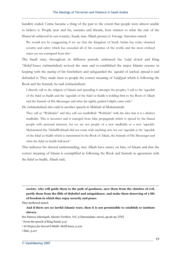banditry ended. Crime became a thing of the past to the extent that people were almost unable to believe it. People near and far, enemies and friends, bore witness to what the rule of the Sharee'ah achieved in our country, Saudi, may Allaah protect it. George Antonius stated:

We would not be exaggerating if we say that the Kingdom of Saudi Arabia has today obtained security and safety which has exceeded all of the countries of the world, and the most civilized states are not exempted from this.1

The Saudi state, throughout its different periods, embraced the *Salafi da'wah* and King 'Abdul'Azeez *(rahimahullaah)* revived the state and re-established the major Islamic essence in keeping with the *manhaj* of his forefathers and safeguarded the *'aqeedah* of *tawheed*, spread it and defended it. They made clear to people the correct meaning of *Salafiyyah* which is following the Book and the Sunnah, he said *(rahimahullaah)*:

I directly call to the religion of Islaam and spreading it amongst the peoples, I call to the 'aqeedah of the Salaf us-Saalih and the 'aqeedah of the Salaf us-Saalih is holding firm to the Book of Allaah and the Sunnah of His Messenger and what the rightly guided Caliphs came with.2

He *(rahimahullaah)* also said in another speech in Makkah al-Mukarramah:

They call us "Wahhabis" and they call our madhdhab "Wahhabi" with the idea that it is a distinct madhdab. This is incorrect and it emerged from false propaganda which is spread by the biased people with personal interests, for we are not people of a new madhdab or a new 'aqeedah. Muhammad ibn 'AbdulWahhaab did not come with anything new for our 'aqeedah is the 'aqeedah of the Salaf us-Saalih which is transmitted in the Book of Allaah, the Sunnah of His Messenger and what the Salaf us-Saalih followed.3

This indicates his shrewd understanding, may Allaah have mercy on him, of Islaam and that the correct meaning of Islaam is exemplified in following the Book and Sunnah in agreement with the Salaf us-Saalih, Allaah said,

**society, who will guide them to the path of goodness, save them from the clutches of evil, purify them from the filth of disbelief and misguidance, and make them deserving of a life of freedom in which they enjoy security and peace.**

They furthered stated:

**And if there are no lawful Islamic wars, then it is not permissible to establish or institute slavery.**

See *Fatawa Islamiyah, Islamic Verdicts, Vol. 5* (Darussalam: 2002), pp.96-99. [TN]

<sup>1</sup> From the speech of King Faisal, p.57

3 Ibid., p.217

<sup>2</sup> *Al-Wajeez fee Seerati'l-Malik 'Abdil'Azeez*, p.216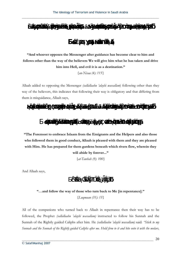

**"And whoever opposes the Messenger after guidance has become clear to him and follows other than the way of the believers We will give him what he has taken and drive him into Hell, and evil it is as a destination."** 

*{an-Nisaa (4): 115}* 

Allaah added to opposing the Messenger *(sallallaahu 'alayhi wassallam*) following other than they way of the believers, this indicates that following their way is obligatory and that differing from them is misguidance, Allaah says,



**"The Foremost to embrace Islaam from the Emigrants and the Helpers and also those who followed them in good conduct, Allaah is pleased with them and they are pleased with Him. He has prepared for them gardens beneath which rivers flow, wherein they will abide by forever..."** 

*{at-Tawbah (9): 100}* 

And Allaah says,

ä ää

#### **"…and follow the way of those who turn back to Me [in repentance]."**

*{Luqmaan (31): 15}* 

All of the companions who turned back to Allaah in repentance then their way has to be followed, the Prophet *(sallallaahu 'alayhi wassallam)* instructed to follow his Sunnah and the Sunnah of the Rightly guided Caliphs after him. He *(sallallaahu 'alayhi wassallam)* said: *"Stick to my Sunnah and the Sunnah of the Rightly guided Caliphs after me. Hold firm to it and bite onto it with the molars,*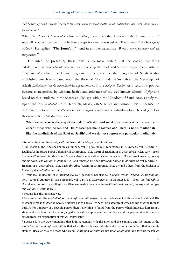*and beware of newly invented matters for every newly-invented matter is an innovation and every innovation is misguidance."*<sup>1</sup>

When the Prophet *(sallallaahu 'alayhi wassallam)* mentioned the division of the Ummah into 73 sects all of which will be in the hellfire except for one he was asked *"Which one is it O Messenger of Allaah?"* He replied **"The Jama'ah."<sup>2</sup>** And in another narration: *"What I am upon today and my companions."*<sup>3</sup>

The intent of presenting these texts is: to make certain that the *manhaj* that King 'Abdul'Azeez *(rahimahullaah)* traversed was following the Book and Sunnah in agreement with the *Salaf us-Saalih* which the Divine Legislated texts show. So the Kingdom of Saudi Arabia established true Islaam based upon the Book of Allaah and the Sunnah of the Messenger of Allaah *(sallallaahu 'alayhi wassallam)* in agreement with the *Salaf us-Saalih*. As a result, its politics became characterized by wisdom, justice and tolerance of the well-known schools of *fiqh* and based on this, students in the Sharee'ah Colleges within the Kingdom of Saudi Arabia study the *fiqh* of the four *madhdhabs*: Abu Haneefah, Maalik, ash-Shaafi'ee and Ahmad. This is because the differences between the *madhaahib* is not in *'aqeedah* only in the subsidiary branches of *fiqh*. For this reason King 'Abdul'Azeez said:

**What we traverse is the way of the Salaf us-Saalih4 and we do not make takfeer of anyone except those who Allaah and His Messenger make takfeer of.5 There is not a madhdhab**  like the madhdhab of the Salaf us-Saalih<sup>6</sup> and we do not support one particular madhdhab

<sup>1</sup> Reported by Aboo Daawood, at-Tirmidhee and Ibn Maajah and it is *Saheeh*.

<sup>2</sup> Ibn Maajah, Ibn Abee'Aasim in as-Sunnah, vol.1, p.32, no.63; Tabaraanee in *al-Kabeer*, vol.18, p.70; al-Laalikaa'ee in *Sharh Usool 'I'tiqaad Ahl us-Sunnah*, vol.1, p.101; al-Haakim in *al-Mustadrak*, vol.1, p.47 – from the *hadeeth* of 'Awf bin Maalik and Shaykh al-Albaanee authenticated the *isnad* in *Silsilat as-Saheehah*, no.203 and no.1492. also *Dhilaal ul-Jannah* (63) and reported by Aboo Dawood; Ahmad in *al-Musnad*, vol.4, p.102; al-Haakim in *al-Mustadrak*, vol.1, p.28; Ibn Abee 'Aasim in *as-Sunnah*, vol.1, p.7 and others from the *hadeeth* of Mu'aawiyah *(radi Allaahu 'anhu)*.

<sup>3</sup> Tirmidhee; al-Haakim in *al-Mustadrak*, vol.1, p.218; al-Laalikaa'ee in *Sharh Usool 'I'tiqaad Ahl us-Sunnah*, vol.1, p.99; al-Aajuree in *ash-Sharee'ah*, vol.5, p.17; al-Marwazee in *as-Sunnah* (18) – from the *hadeeth* of 'Abdullaah bin 'Amru and Shaykh al-Albaanee made it *hasan* as in *as-Silsilat as-Saheehah*, no.203 and no.1492 and *Dhilaal ul-Jannah* (63).

<sup>4</sup> Because it is the most just way.

<sup>5</sup> Because within the *madhdhab* of the *Salaf us-Saalih takfeer* is not made except of those who Allaah and His Messenger make *takfeer* of, because *takfeer* has to have a Divinely Legislated proof which shows that the thing is kufr. As for a *takfeer* of a specific person then if anything is found from the person which indicates kufr from a statement or action then he is not judged with kufr except when the conditions and the preventative factors are safeguarded, an explanation of this will follow later.

<sup>6</sup> Because it is the true *madhdhab* that is in agreement with the Book and the Sunnah, and the intent of the *madhdhab* of the *Salaf us-Saalih* is that which the evidences indicate and it is not a *madhdhab* that is merely claimed. Because they are those who claim *Salafiyyah* yet they are not upon *Salafiyyah* and for this reason we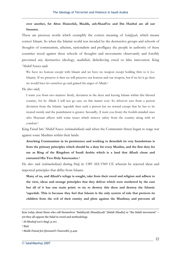**over another, for Aboo Haneefah, Maalik, ash-Shaafi'ee and Ibn Hanbal are all our Imaams.**

These are precious words which exemplify the correct meaning of *Salafiyyah*, which means correct Islaam. So when the Islamic world was invaded by the destructive groups and schools of thoughts of communism, atheism, nationalism and profligacy the people in authority of these countries stood against these schools of thoughts and movements observantly and forcibly prevented any destructive ideology, *madhdhab*, disbelieving creed or false innovation. King 'Abdul'Azeez said:

We have no honour except with Islaam and we have no weapon except holding firm to it (i.e. Islaam). If we preserve it then we will preserve our honour and our weapon, but if we let it go then we would have let ourselves go and gained the anger of Allaah.1

He also said;

I warn you from two matters: firstly, deviation in the deen and leaving Islaam within this blessed country, for by Allaah I will not go easy on this matter ever. So whoever sees from a person deviation from the Islamic 'aqeedah then such a person has no reward except that he has to be treated sternly and the punishment is greater. Secondly, (I warn you from) the foolish-minded ones who Shaytaan affects with some issues which remove safety from the country along with its comfort.2

King Faisal bin 'Abdul'Azeez *(rahimahullaah)* said when the Communist threat began to wage war against some Muslims within their lands:

**Attacking Communism in its persistence and working to demolish its very foundations is from the primary principles which should be a duty for every Muslim, and the first duty for me as King of the Kingdom of Saudi Arabia which is a land that Allaah chose and entrusted His Two Holy Sanctuaries.3**

He also said *(rahimahullaah)* during Hajj in 1389 AH/1969 CE wherein he rejected ideas and imported principles that differ from Islaam:

**Many of us, and Allaah's refuge is sought, take from their creed and religion and adhere to the view, ideas and strange principles that they deliver which were mothered by the east but all of it has one main point: to try to destroy this deen and destroy the Islamic 'aqeedah. This is because they feel that Islaam is the only system of rule that protects its children from the evil of their enmity and plots against the Muslims; and prevents all** 

hear today about those who call themselves "Salafiyyah Jihaadiyyah" [Salafi Jihadis] or "the Salafi movement" – yet they all oppose the Salaf in creed and methodology.

<sup>1</sup> *Al-Mushaf wa's-Sayf*, p.101

<sup>2</sup> Ibid.

<sup>3</sup> *Malik Faisal fee Qimmati't-Taareekh*, p.429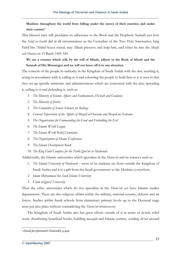### **Muslims throughout the world from falling under the mercy of their enemies and under their control.1**

This blessed state still proclaims its adherence to the Book and the Prophetic Sunnah just how the *Salaf us-Saalih* did in all circumstances as the Custodian of the Two Holy Sanctuaries, king Fahd bin 'Abdul'Azeez stated, may Allaah preserve and help him, said when he met the *Masjis ash-Shuraa* on 15 Rajab 1404 AH:

**We are a country which will, by the will of Allaah, adhere to the Book of Allaah and the Sunnah of His Messenger and we will not leave off it in any situation.** 

The concern of the people in authority in the Kingdom of Saudi Arabia with the *deen*, teaching it, acting in accordance with it, calling to it and exhorting the people to hold firm to it is seen in that they set-up specific ministries and administrations which are concerned with the *deen*, spreading it, calling to it and defending it, such as:

- *1. The Ministry of Islamic Affairs and Endowments, Da'wah and Guidance*
- *2. The Ministry of Justice*
- *3. The Committee of Senior Scholars for Rulings*
- *4. General Supervision of the Affairs of Masjid al-Haraam and Masjid an-Nabawee*
- *5. The Organisation for Commanding the Good and Forbidding the Evil*
- *6. The Islamic World League*
- *7. The Islamic World Relief Committee*
- *8. The Organization of Islamic Conferences*
- *9. The Islamic Development Bank*
- *10. The King Fahd Complex for the Noble Qur'an in Madeenah*

Additionally, the Islamic universities which specialize in the *Sharee'ah* and its sciences such as:

- 1. *The Islamic University of Madeenah* most of its students are from outside the Kingdom of Saudi Arabia and it is a gift from the Saudi government to the Muslims everywhere.
- *2. Imam Muhammad bin Saud Islamic University*
- *3. Umm ul-Qura' University.*

Then the other universities which do not specialize in the *Sharee'ah* yet have Islamic studies departments. There are also religious affairs within the military, national security, defense and air forces. Studies within Saudi schools from elementary primary levels up to the Doctoral stage were put into place without contradicting the *Sharee'ah* whatsoever.

 The Kingdom of Saudi Arabia also has great efforts outside of it in terms of *da'wah*, relief work, distributing beneficial books, building *masaajid* and Islamic centres, sending *du'aat* around

<sup>1</sup> *Faisal fee Qimmati't-Taareekh*, p.429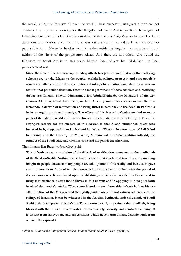the world, aiding the Muslims all over the world. These successful and great efforts are not conducted by any other country, for the Kingdom of Saudi Arabia practices the religion of Islaam in all matters of its life, it is the care-taker of the Islamic *Salafi da'wah* which is clear from deviations and doubts since the time it was established up to today. It is therefore not permissible for a *da'ee* to be heedless to this neither inside the kingdom nor outside of it and neither of the virtue of the people after Allaah. And there are not others who outbid the Kingdom of Saudi Arabia in this issue. Shaykh 'Abdul'Azeez bin 'Abdullaah bin Baaz *(rahimahullaah)* said:

**Since the time of the message up to today, Allaah has pre-destined that only the rectifying scholars are to take Islaam to the people, explain its rulings, protect it and cure people's issues and affairs with it; they also extracted rulings for all situations when there was no text for that particular situation. From the most prominent of these scholars and rectifying du'aat are: Imaam, Shaykh Muhammad ibn 'AbdulWahhaab, the Mujaddid of the 12th Century AH, may Allaah have mercy on him. Allaah granted him success to establish the tremendous da'wah of rectification and bring (true) Islaam back to the Arabian Peninsula in its strength, purity and prestige. The effects of this blessed da'wah extended to many parts of the Islamic world and many scholars of rectification were affected by it. From the strongest reasons for the success of this da'wah is that Allaah summoned rulers who believed in it, supported it and cultivated its da'wah. These rulers are those of Aali-Sa'ud beginning with the Imaam, the Mujaahid, Muhammad bin Sa'ud (rahimahullaah), the founder of the Saudi state and then his sons and his grandsons after him.** 

Then Imaam Bin Baaz *(rahimahullaah)* said:

**This da'wah was a transmission of the da'wah of rectification connected to the madhdhab of the Salaf us-Saalih. Nothing came from it except that it achieved teaching and providing insight to people, because many people are still ignorant of its reality and because it gave rise to tremendous fruits of rectification which have not been reached after the period of the virtuous ones. It was based upon establishing a society that is ruled by Islaam and to bring into existence a state that believes in this da'wah and in applying it in its pure form in all of the people's affairs. What some historians say about this da'wah is that: history after the time of the Message and the rightly guided ones did not witness adherence to the rulings of Islaam as it can be witnessed in the Arabian Peninsula under the shade of Saudi Arabia which supported this da'wah. This country is still, all praise is due to Allaah, being blessed with the fruits of this da'wah in terms of safety, security and comfortable living. It is distant from innovations and superstitions which have harmed many Islamic lands from whence they spread.1**

*<sup>1</sup> Majmoo' ul-Kutub wa'l-Maqaalaat Shaykh ibn Baaz (rahimahullaah),* vol.1, pp.383-84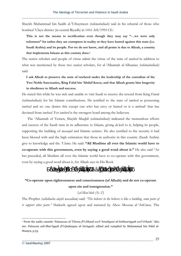Shaykh Muhammad bin Saalih al-'Uthaymeen *(rahimahullaah)* said in his rebuttal of those who bombed 'Ulaya district (in central Riyadh) in 1416 AH/1995 CE:

**This is not the means to rectification even though they may say "…we were only reformers" for rather they are corrupters in reality or they have hatred against this state (i.e. Saudi Arabia) and its people. For we do not know, and all praise is due to Allaah, a country that implements Islaam as this country does.1**

The senior scholars and people of virtue admit the virtue of the state of *tawheed* in addition to what was mentioned by these two senior scholars, for al-'Allaamah al-Albaanee *(rahimahullaah)* said:

**I ask Allaah to preserve the state of tawheed under the leadership of the custodian of the Two Noble Sanctuaries, King Fahd bin 'Abdul'Azeez; and that Allaah grants him longevity in obedience to Allaah and success.** 

He stated this while he was sick and unable to visit Saudi to receive the reward from King Faisal *(rahimahullaah)* for his Islamic contributions. He testified to the state of *tawheed* as possessing *tawheed* and no one denies this except one who has envy or hatred or is a *mubtadi'* that has deviated from *tawheed*. For *tawheed* is the strongest bond among the believers.

 The 'Allaamah of Yemen, Shaykh Muqbil *(rahimahullaah)* indicated the tremendous efforts and success of the Saudi state in its adherence to Islaam, giving *da'wah* to it, helping its people, supporting the building of *masaajid* and Islamic centres. He also testified to the security it had been blessed with and the high estimation that those in authority in this country (Saudi Arabia) give to knowledge and the *'Ulama*. He said: **"All Muslims all over the Islamic world have to co-operate with this government, even by saying a good word about it."** He also said "As has preceded, all Muslims all over the Islamic world have to co-operate with this government, even by saying a good word about it, for Allaah says in His Book

## $\ddot{\a}$  aä

### **"Co-operate upon righteousness and consciousness (of Allaah) and do not co-operate upon sin and transgression."**

*{al-Maa'idah (5): 2}* 

The Prophet *(sallallaahu alayhi wassallam)* said: *"The believer to the believer is like a building, some parts of it support other parts."* Hadeeth agreed upon and narrated by Aboo Moosaa al-'Ash'aree. The

<sup>1</sup> From the audio cassette *'Fataawaa al-'Ulama fi'l-Jihaad wa'l-'Amaliyaat al-Intihaariyyah wa'l-Irhaab.'* Also see: *Fatawaa ash-Shar'iyyah fi'l-Qadaayaa al-'Asriyyah*, edited and compiled by Muhammad bin Fahd al-Husayn, p.53.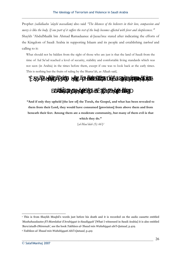Prophet *(sallallaahu 'alayhi wassallam)* also said *"The likeness of the believers in their love, compassion and mercy is like the body. If one part of it suffers the rest of the body becomes affected with fever and sleeplessness."1* Shaykh 'AbdulMaalik bin Ahmad Ramadaanee al-Jazaa'iree stated after indicating the efforts of the Kingdom of Saudi Arabia in supporting Islaam and its people and establishing *tawheed* and calling to it:

What should not be hidden from the sight of those who are just is that the land of Saudi from the time of Aal Sa'ud reached a level of security, stability and comfortable living standards which was not seen (in Arabia) in the times before them, except if one was to look back at the early times. This is nothing but the fruits of ruling by the Sharee'ah, as Allaah said,



**"And if only they upheld [the law of] the Torah, the Gospel, and what has been revealed to them from their Lord, they would have consumed [provision] from above them and from beneath their feet. Among them are a moderate community, but many of them evil is that which they do."** 

*{al-Maa'idah (5): 66}2*

<sup>1</sup> This is from Shaykh Muqbil's words just before his death and it is recorded on the audio cassette entitled *'Mashahaadaatee fi'l-Mamlakat il'Arabiyyat is-Saudiyyah'* [What I witnessed in Saudi Arabia] it is also entitled *'Bara'atudh-Dhimmah'*, see the book *Takhlees al-'Ibaad min Wahshiyyat abi'l-Qataad*, p.419.

<sup>2</sup> *Takhlees al-'Ibaad min Wahshiyyati Abi'l-Qataad*, p.419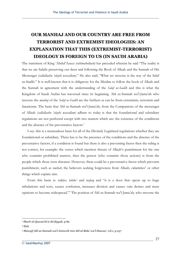## **OUR MANHAJ AND OUR COUNTRY ARE FREE FROM TERRORIST AND EXTREMIST IDEOLOGIES: AN EXPLANATION THAT THIS (EXTREMIST-TERRORIST) IDEOLOGY IS FOREIGN TO US (IN SAUDI ARABIA)**

The statement of King 'Abdul'Azeez *(rahimahullaah)* has preceded wherein he said "The reality is that we are Salafis preserving our deen and following the Book of Allaah and the Sunnah of His Messenger *(sallallaahu 'alayhi wassallam)*." He also said; "What we traverse is the way of the Salaf us-Saalih." It is well-known that it is obligatory for the Muslim to follow the book of Allaah and the Sunnah in agreement with the understanding of the *Salaf us-Saalih* and this is what the Kingdom of Saudi Arabia has traversed since its beginning. Ahl us-Sunnah wa'l-Jama'ah who traverse the *manhaj* of the *Salaf us-Saalih* are the furthest as can be from extremism, terrorism and fanaticism. The basis that Ahl us-Sunnah wa'l-Jama'ah, from the Companions of the messenger of Allaah *(sallallaahu 'alayhi wassallam)* adhere to today is that the foundational and subsidiary regulations are not perfected except with two matters which are: the existence of the conditions and the absence of the preventative factors.<sup>1</sup>

 I say: this is a tremendous basis for all of the Divinely Legislated regulations whether they are foundational or subsidiary. There has to be the presence of the conditions and the absence of the preventative factors, if a condition is found but there is also a preventing factor then the ruling is not correct, for example: the verses which mention threats of Allaah's punishment for the one who commits prohibited matters, then the person (who commits those actions) is from the people which those texts threaten. However, there could be a preventative factor which prevents punishment, such as *tawbah*, the believers seeking forgiveness from Allaah, calamities<sup>2</sup> or other things which expiate sins.

 From this basis is: *takfeer*, *tabdee'* and *tasfeeq* and "it is a door that opens up to huge tribulations and tests, causes confusion, increases division and causes vain desires and mere opinions to become widespread."3 The position of Ahl us-Sunnah wa'l-Jama'ah, who traverse the

<sup>1</sup> *Sharh al-Qawaa'id is-Sa'diyyah*, p.89

<sup>2</sup> Ibid.

<sup>3</sup> *Mawqif Ahl us-Sunnah wa'l-Jama'ah min Ahl ul-Bida' wa'l-Hawaa'*, vol.1, p.237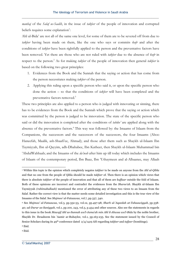*manhaj* of the *Salaf us-Saalih*, in the issue of *takfeer* of the people of innovation and corrupted beliefs requires some explanation $^1$ :

Ahl ul-Bida' are not all of the same one level, for some of them are to be severed off from due to *takfeer* having been made on them, like the one who says or commits *kufr* and after the conditions of *takfeer* have been rightfully applied to the person and the preventative factors have been removed. Yet there are those who are not ruled with *takfeer* due to the absence of *kufr* in respect to the person.<sup>2</sup> As for making *takfeer* of the people of innovation then general *takfeer* is based on the following two great principles:

- 1. Evidences from the Book and the Sunnah that the saying or action that has come from the person necessitates making *takfeer* of the person.
- 2. Applying this ruling upon a specific person who said it, or upon the specific person who done the action – so that the conditions of *takfeer* will have been completed and the preventative factors removed.<sup>3</sup>

These two principles are also applied to a person who is judged with innovating or sinning, there has to be evidences from the Book and the Sunnah which prove that the saying or action which was committed by the person is judged to be innovation. The state of the specific person who said or did the innovation is completed after the conditions of *tabdee'* are applied along with the absence of the preventative factors.<sup>4</sup> This way was followed by: the Imaams of Islaam from the Companions, the successors and the successors of the successors, the four Imaams (Aboo Haneefah, Maalik, ash-Shaafi'ee, Ahmad); and those after them such as Shaykh ul-Islaam Ibn Taymiyyah, Ibn ul-Qayyim, adh-Dhahabee, Ibn Katheer, then Shaykh ul-Islaam Muhammad bin 'AbdulWahhaab; and the Imaams of the *da'wah* after him up till today which includes the Imaams of Islaam of the contemporary period, Ibn Baaz, Ibn 'Uthaymeen and al-Albaanee, may Allaah

<sup>1</sup> Within this topic is the opinion which completely negates *takfeer* to be made on anyone from the *Ahl ul-Qibla*  and that no one from the people of Qibla should be made *takfeer* of. Then there is an opinion which views that there is absolute *takfeer* of the people of innovation and that all of them are *kuffaar* outside the fold of Islaam. Both of these opinions are incorrect and contradict the evidences from the *Sharee'ah*. Shaykh ul-Islaam Ibn Taymiyyah *(rahimahullaah)* mentioned the error of attributing any of these two views to an Imaam from the Salaf. Rather the correct view is that the matter needs some detailed investigation and this is the true view of the Imaams of the Salaf. See *Majmoo' al-Fataawaa*, vol.7, pp.337, 340.

<sup>2</sup> See *Majmoo' al-Fataawaa*, vol.3, pp.352-53, vol.12, pp.497-98; *Sharh ul-'Aqeedah at-Tahaawiyyah*, pp.338- 40; *ad-Durur as-Saniyyah*, vol.1, pp.100, 243, vol.3, p.434 and other sources. Also see the statements in regards to this issue in the book *Mawqif Ahl us-Sunnah wa'l-Jama'ah min Ahl il-Ahwaa wa'l-Bida* by the noble brother, Shaykh Dr. Ibraaheem bin 'Aamir ar-Ruhaylee, vol.1, pp.163-235. See the statement issued by the Council of Senior Scholars during its 49th conference dated 2/4/1419 AH regarding *takfeer* and *tafjeer* (bombings).

<sup>3</sup> Ibid.

<sup>4</sup> Ibid.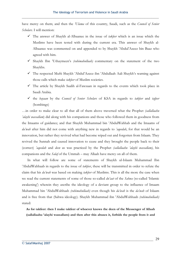have mercy on them; and then the *'Ulama* of this country, Saudi, such as the *Council of Senior Scholars*. I will mention:

- $\checkmark$  The answer of Shaykh al-Albaanee in the issue of *takfeer* which is an issue which the Muslims have been tested with during the current era. This answer of Shaykh al-Albaanee was commented on and appended to by Shaykh 'Abdul'Azeez bin Baaz who agreed with him.
- 9Shaykh Ibn 'Uthaymeen's *(rahimahullaah)* commentary on the statement of the two Shaykhs.
- 9The respected Mufti Shaykh 'Abdul'Azeez ibn 'Abdullaah Aali Shaykh's warning against those calls which make *takfeer* of Muslim societies.
- $\checkmark$  The article by Shaykh Saalih al-Fawzaan in regards to the events which took place in Saudi Arabia.
- 9the *bayaan* by the *Council of Senior Scholars* of KSA in regards to *takfeer* and *tafjeer* (bombings)

…in order to make clear to all that all of them above traversed what the Prophet *(sallallaahu 'alayhi wassallam*) did along with his companions and those who followed them in goodness from the Imaams of guidance; and that Shaykh Muhammad bin 'AbdulWahhab and the Imaams of *da'wah* after him did not come with anything new in regards to *'aqeedah*, for that would be an innovation, but rather they revived what had become wiped out and forgotten from Islaam. They revived the Sunnah and caused innovation to cease and they brought the people back to their (correct) *'aqeedah* and *deen* as was practiced by the Prophet *(sallallaahu 'alayhi wassallam)*, his companions and the *Salaf* of the Ummah – may Allaah have mercy on all of them.

 In what will follow are some of statements of Shaykh ul-Islaam Muhammad Ibn 'AbdulWahhaab in regards to the issue of *takfeer*, these will be transmitted in order to refute the claim that his *da'wah* was based on making *takfeer* of Muslims. This is all the more the case when we read the current statements of some of those so-called *du'aat* of the *Sahwa* (so-called 'Islamic awakening') wherein they ascribe the ideology of a deviant group to the influence of Imaam Muhammad bin 'AbdulWahhaab *(rahimahullaah)* even though his *da'wah* is the *da'wah* of Islaam and is free from that (Sahwa ideology). Shaykh Muhammad ibn 'AbdulWahhaab *(rahimahullaah)* stated:

**As for takfeer: then I make takfeer of whoever knows the deen of the Messenger of Allaah (sallallaahu 'alayhi wassallam) and then after this abuses it, forbids the people from it and**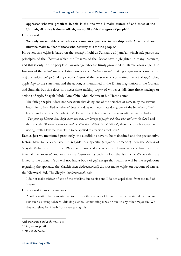**oppresses whoever practices it, this is the one who I make takfeer of and most of the Ummah, all praise is due to Allaah, are not like this (category of people).1**

He also said:

**We only make takfeer of whoever associates partners in worship with Allaah and we likewise make takfeer of those who beautify this for the people.2**

However, this *takfeer* is based on the *manhaj* of Ahl us-Sunnah wa'l-Jama'ah which safeguards the principles of the *Sharee'ah* which the Imaams of the *da'wah* have highlighted in many instances; and this is only for the people of knowledge who are firmly grounded in Islamic knowledge. The Imaams of the *da'wah* make a distinction between *takfeer un-naw'* (making *takfeer* on account of the act) and *takfeer al-'ayn* (making specific *takfeer* of the person who committed the act of *kufr*). They apply *kufr* to the statement and the action, as mentioned in the Divine Legislation in the Qur'aan and Sunnah, but this does not necessitate making *takfeer* of whoever falls into those (sayings or actions of *kufr*). Shaykh 'AbdulLateef bin 'AbdurRahmaan bin Hasan stated:

The fifth principle: it does not necessitate that doing one of the branches of eemaan by the servant leads him to be called 'a believer', just as it does not necessitate doing one of the branches of kufr leads him to be called 'a disbeliever'. Even if the kufr committed is as mentioned in the hadeeth: *"Two from my Ummah have kufr: those who curse the lineages of people and those who wail over the dead"*; and the hadeeth, *"Whoever swears and oath to other than Allaah has disbelieved"*, these hadeeth however do not rightfully allow the term 'kufr' to be applied to a person absolutely.3

Rather, just we mentioned previously: the conditions have to be maintained and the preventative factors have to be exhausted. In regards to a specific (*takfeer* of someone) then the *da'wah* of Shaykh Muhammad ibn 'AbdulWahhaab narrowed the scope for *takfeer* in accordance with the texts of the *Sharee'ah* and in any case *takfeer* exists within all of the Islamic *madhaahib* that are linked to the Sunnah. You will not find a book of *fiqh* except that within it will be the regulations regarding the apostate, the Shaykh then *(rahimahullaah)* did not make *takfeer* on account of sins as the Khawaarij did. The Shaykh *(rahimahullaah)* said:

I do not make takfeer of any of the Muslims due to sins and I do not expel them from the fold of Islaam.

He also said in another instance:

Another matter that is mentioned to us from the enemies of Islaam is that we make takfeer due to sins such as: using tobacco, drinking alcohol, committing zinaa or due to any other major sin. We free ourselves for Allaah from even saying this.

<sup>1</sup> *Ad-Durur as-Saniyyah*, vol.1, p.83

<sup>2</sup> Ibid., vol.10, p.128

<sup>3</sup> Ibid., vol.1, p.484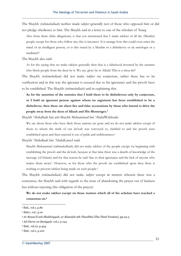The Shaykh *(rahimahullaah)* neither made *takfeer* generally nor of those who opposed him or did not pledge obedience to him. The Shaykh said in a letter to one of the scholars of 'Iraaq:

Also from them (false allegations) is that you mentioned that I make takfeer of all the (Muslim) people except for those who follow me, this is incorrect. It is strange how this could even enter the mind of an intelligent person, or is this stated by a Muslim or a disbeliever or an astrologer or a madman?1

The Shaykh also said:

As for the saying that we make takfeer generally then that is a falsehood invented by the enemies who block people from the deen by it. We say: glory be to Allaah! This is a sheer lie!<sup>2</sup>

The Shaykh *(rahimahullaah)* did not make *takfeer* via conjecture, rather there has to be verification and in this way the ignorant is excused due to his ignorance and the proofs have to be established. The Shaykh *(rahimahullaah)* said in explaining this:

**As for the assertion of the enemies that I hold them to be disbelievers only by conjecture, or I hold an ignorant person against whom no argument has been established to be a disbeliever, then these are sheer lies and false accusations by those who intend to drive the people away from the deen of Allaah and His Messenger.3**

Shaykh 'Abdullaah bin ash-Shaykh Muhammad bin 'AbdulWahhaab:

We say about those who have died: those nations are gone and we do not make takfeer except of those to whom the truth of our da'wah was conveyed to, clarified to and the proofs were established upon and then rejected it out of pride and stubbornness.4

Shaykh 'Abdullaah bin 'AbdulLateef said:

Shaykh Muhammad (rahimahullaah) did not make takfeer of the people except via beginning with establishing the proofs and the da'wah, because at that time there was a dearth of knowledge of the message (of Islaam) and for that reason he said 'due to their ignorance and the lack of anyone who makes them aware'. However, as for those who the proofs are established upon then there is nothing to prevent takfeer being made on such people.5

The Shaykh *(rahimahullaah)* did not make *takfeer* except in matters wherein there was a consensus, the Shaykh said with regards to the issue of abandoning the prayer out of laziness but without rejecting (the obligation of the prayer):

**We do not make takfeer except on those matters which all of the scholars have reached a consensus on.6**

<sup>&</sup>lt;sup>1</sup> Ibid., vol.1, p.80

<sup>2</sup> Ibid.1, vol., p.10

<sup>3</sup> *Ar-Rasaa'il ash-Shakhsiyyah, ar-Risaalah ath-Thaalitha* [The Third Treatise], pp.24-5

<sup>4</sup> *Ad-Durar as-Saniyyah*, vol,1, p.134

<sup>5</sup> Ibid., vol.10, p.434

<sup>6</sup> Ibid., vol.1, p.102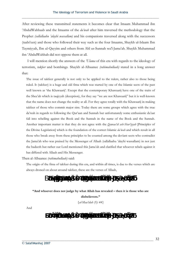After reviewing these transmitted statements it becomes clear that Imaam Muhammad ibn 'AbdulWahhaab and the Imaams of the *da'wah* after him traversed the methodology that the Prophet *(sallallaahu 'alayhi wassallam)* and his companions traversed along with the successors (taabi'een) and those who followed their way such as the four Imaams, Shaykh ul-Islaam Ibn Taymiyyah, Ibn ul-Qayyim and others from Ahl us-Sunnah wa'l-Jama'ah. Shaykh Muhammad ibn 'AbdulWahhab did not oppose them at all.

I will mention shortly the answers of the *'Ulama* of this era with regards to the ideology of terrorism, *takfeer* and bombings. Shaykh al-Albaanee *(rahimahullaah)* stated in a long answer that:

The issue of takfeer generally is not only to be applied to the rulers, rather also to those being ruled. It (takfeer) is a huge and old fitna which was started by one of the Islamic sects of the past well known as 'the Khawaarij'. Except that the contemporary Khawaarij have one of the traits of the Shee'ah which is taqiyyah (deception), for they say "we are not Khawaarij" but it is well-known that the name does not change the reality at all. For they agree totally with the Khawaarij in making takfeer of those who commit major sins. Today there are some groups which agree with the true da'wah in regards to following the Qur'aan and Sunnah but unfortunately some enthusiastic du'aat fall into rebelling against the Book and the Sunnah in the name of the Book and the Sunnah. Another important matter is that they do not agree with the *Qawaa'id ash-Shar'iyyah* [Principles of the Divine Legislation] which is the foundation of the correct Islamic *da'wah* and which result in all those who break away from these principles to be counted among the deviant sects who contradict the Jama'ah who was praised by the Messenger of Allaah (sallallaahu 'alayhi wassallam) in not just the hadeeth but rather our Lord mentioned this Jama'ah and clarified that whoever rebels against it has differed with Allaah and His Messenger.

Then al-Albaanee *(rahimahullaah)* said:

The origin of the fitna of takfeer during this era, and within all times, is due to the verses which are always droned on about around takfeer, these are the verses of Allaah,

 $\ddot{a}$   $\ddot{a}$   $\ddot{a}$ **"And whoever does not judge by what Allah has revealed – then it is those who are disbelievers."** *{al-Maa'idah (5): 44}* 

And

 $\ddot{a}$   $\ddot{a}$   $\ddot{a}$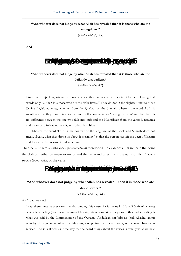"And whoever does not judge by what Allah has revealed then it is those who are the

**wrongdoers."**

*{al-Maa'idah (5): 45}* 

And



"And whoever does not judge by what Allah has revealed then it is those who are the **defiantly disobedient."**

*{al-Maa'idah(5): 47}* 

From the complete ignorance of those who use these verses is that they refer to the following first words only "…then it is those who are the disbelievers." They do not in the slightest refer to those Divine Legislated texts, whether from the Qur'aan or the Sunnah, wherein the word 'kufr' is mentioned. So they took this verse, without reflection, to mean 'leaving the deen' and that there is no difference between the one who falls into kufr and the Mushrikeen from the yahood, nasaaraa and those who follow other religions other than Islaam.

 Whereas the word 'kufr' in the context of the language of the Book and Sunnah does not mean, always, what they drone on about it meaning (i.e. that the person has left the deen of Islaam) and focus on this incorrect understanding.

Then he – Imaam al-Albaanee- *(rahimahullaah)* mentioned the evidences that indicate the point that *kufr* can either be major or minor and that what indicates this is the *tafseer* of Ibn 'Abbaas *(radi Allaahu 'anhu)* of the verse,



## **"And whoever does not judge by what Allah has revealed – then it is those who are disbelievers."**

*{al-Maa'idah (5): 44}* 

Al-Albaanee said:

I say: there must be precision in understanding this verse, for it means kufr 'amali (kufr of actions) which is departing (from some rulings of Islaam) via actions. What helps us in this understanding is what was said by the Commentator of the Qur'aan, 'Abdullaah bin 'Abbaas (radi Allaahu 'anhu) who by the agreement of all the Muslims, except for the deviant sects, is the main Imaam in tafseer. And it is almost as if the way that he heard things about the verses is exactly what we hear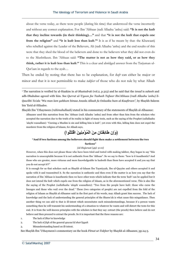about the verse today, as there were people (during his time) that understood the verse incorrectly and without any correct explanation. For Ibn 'Abbaas (radi Allaahu 'anhu) said: **"It is not the kufr that they incline towards (in their thinking)...."** and that **"it is not the kufr that expels one from the religion"** and **"it is kufr less than kufr."1** It is as if he meant by that: the Khawaarij who rebelled against the Leader of the Believers, Ali (radi Allaahu 'anhu) and the end results of this were that they shed the blood of the believers and done to the believers what they did not even do to the Mushrikeen. Ibn 'Abbaas said: **"The matter is not as how they said, or as how they think, rather it is kufr less than kufr."** This is a clear and abridged answer from the Tarjuman ul-Qur'aan in regards to the ayah…

Then he ended by noting that there has to be explanation, for *kufr* can either be major or minor and that it is not permissible to make *takfeer* of those who do not rule by what Allaah

(وَ إِنْ طَائِفْتَانِ مِنَ الْمُؤ<sup>ِ</sup>مِنْينَ اقْتَتَلُو ا)

#### **"And if two factions among the believers should fight then make a settlement between the two**

#### **factions"**

#### *{al-Hujuraat (49): 9-10}*

However, when this does not please those who have been tried and tested with making takfeer, they began to say "this narration is unacceptable because it is not authentic from Ibn 'Abbaas". So we say to them: "how is it inauthentic? And those who are greater, more virtuous and more knowledgeable in hadeeth than them have accepted it and you say that you do not accept it?!"

It is enough for us that scholars such as Shaykh ul-Islaam Ibn Taymiyyah, Ibn ul-Qayyim and others accepted it and spoke with it and transmitted it. So the narration is authentic and then even if the matter is as how you say that the narration of Ibn 'Abbaas is inauthentic then we have other texts which indicate that the term 'kufr' can be applied but it does not intend the kufr which expels one from the religion of Islaam, as in the aforementioned verse. This is also like the saying of the Prophet *(sallallaahu 'alayhi wassallam)*: "Two from the people have kufr: those who curse the lineages and those who wail over the dead." These (two categories of people) are not expelled from the fold of the religion of Islaam as Shaykh al-Albaanee said in the first part of his words, may Allaah grant him success. The lack of knowledge and the lack of understanding the general principles of the Sharee'ah is what cause this misguidance. Then another thing we can add to that is ill-intent which necessitates such misunderstandings, because if a person wants something then he will transmit his understanding of a situation to whatever he wants and will distort the texts for this end. It is from the well-known principles with the scholars is that they say: extract (the proofs) then believe and do not believe and then proceed to extract the proofs. So it is important that the three reasons are:

- 1. The lack of *Shar'ee* knowledge
- 2. The lack of *fiqh* of the general *qawaa'id shari'iyyah*
- 3. Misunderstanding based on ill-intent.

See Shaykh Ibn 'Uthaymeen's commentary on the book *Fitnat ut-Takfeer* by Shaykh al-Albaanee, pp.24-5.

<sup>1</sup> The narration is verified by al-Haakim in *al-Mustadrak* (vol.2, p.313) and he said that the *isnad* is *saheeh* and adh-Dhahabee agreed with him. See *Qurrat ul-'Uyoon fee Tasheeh Tafseer Ibn'Abbaas (radi Allaahu 'anhu) li-Qawlihi Ta'ala "Wa man lam yahkum bimaa Anzala Allaah fa Oolaaika hum al-Kaafiroon"*, by Shaykh Saleem bin 'Eeid al-Hilaalee.

Shaykh Ibn 'Uthaymeen *(rahimahullaah)* stated in his commentary of the statements of Shaykh al-Albaanee: Albaanee used this narration from Ibn 'Abbaas (radi Allaahu 'anhu) and from other than him from the scholars who accepted the narration due to the truth of its reality in light of many texts, such as the saying of the Prophet (sallallaahu 'alayhi wassallam): "Cursing a Muslim is sin and killing him is kufr", yet even with this, killing him does not expel the murderer from the religion of Islaam, for Allaah says,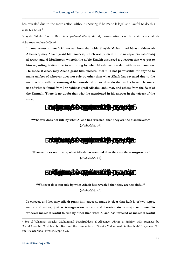has revealed due to the mere action without knowing if he made it legal and lawful to do this with his heart $<sup>1</sup>$ </sup>

Shaykh 'Abdul'Azeez Bin Baaz *(rahimahullaah)* stated, commenting on the statements of al-Albaanee *(rahimahullaah)*:

**I came across a beneficial answer from the noble Shaykh Muhammad Naasiruddeen al-Albaanee, may Allaah grant him success, which was printed in the newspapers ash-Sharq al-Awsat and al-Muslimoon wherein the noble Shaykh answered a question that was put to him regarding takfeer due to not ruling by what Allaah has revealed without explanation. He made it clear, may Allaah grant him success, that it is not permissible for anyone to make takfeer of whoever does not rule by other than what Allaah has revealed due to the mere action without knowing if he considered it lawful to do that in his heart. He made use of what is found from Ibn 'Abbaas (radi Allaahu 'anhuma), and others from the Salaf of the Ummah. There is no doubt that what he mentioned in his answer in the tafseer of the verse,**



**"Whoever does not rule by what Allaah has revealed, then they are the disbelievers."**  *{al-Maa'idah: 44}* 

 $\ddot{a}$   $\ddot{a}$   $\ddot{a}$ 

**"Whoever does not rule by what Allaah has revealed then they are the transgressors."**  *{al-Maa'idah: 45}* 

 $\ddot{a}$   $\ddot{a}$   $\ddot{a}$ 

**"Whoever does not rule by what Allaah has revealed then they are the sinful."** 

*{al-Maa'idah: 47}* 

**Is correct, and he, may Allaah grant him success, made it clear that kufr is of two types, major and minor, just as transgression is two, and likewise sin is major or minor. So whoever makes it lawful to rule by other than what Allaah has revealed or makes it lawful**

<sup>1</sup> See al-'Allaamah Shaykh Muhammad Naasiruddeen al-Albaanee, *Fitnat ut-Takfeer* with prefaces by 'Abdul'Azeez bin 'Abdillaah bin Baaz and the commentary of Shaykh Muhammad bin Saalih al-'Uthaymeen, 'Ali bin Husayn Aboo Lawz (ed.), pp.13-44.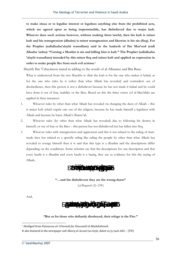**to make zinaa or to legalise interest or legalises anything else from the prohibited acts, which are agreed upon as being impermissible, has disbelieved due to major kufr. Whoever does such actions however, without making them lawful, then his kufr is minor kufr and his transgression (dhulm) is minor transgression and likewise is his sin (fisq). For the Prophet (sallallaahu'alayhi wassallam) said in the hadeeth of Ibn Mas'ood (radi Allaahu 'anhu): "Cursing a Muslim is sin and killing him is kufr." The Prophet (sallallaahu 'alayhi wassallam) intended by this minor fisq and minor kufr and applied an expression in order to make people flee from such evil actions.1**

Shaykh Ibn 'Uthaymeen stated in adding to the words of al-Albaanee and Bin Baaz:

What is understood from the two Shaykhs is: that the kufr is for the one who makes it halaal, as for the one who rules by it (other than what Allaah has revealed) and contradicts out of disobedience, then this person is not a disbeliever because he has not made it halaal and he could have done it out of fear, inability or the likes. Based on this the three verses (of al-Maa'idah) are applied in three instances:

- 1. Whoever rules by other than what Allaah has revealed via changing the deen of Allaah this is major kufr which expels one out of the religion, because he has made himself a legislator with Allaah and because he hates Allaah's Sharee'ah.
- 2. Whoever rules (by other than what Allaah has revealed) due to following his desires in himself, or out of fear or the likes – this person has not disbelieved but has fallen into fisq.
- 3. Whoever rules with transgression and oppression and this is not related to the ruling of manmade laws but related to a specific ruling like ruling the people by other than what Allaah has revealed to avenge himself then it is said that this type is a dhaalim and the descriptions differ depending on the conditions. Some scholars say that the descriptions for one description and that every kaafir is a dhaalim and every kaafir is a faasiq, they use as evidence for this the saying of Allaah,



**"…and the disbelievers they are the wrong-doers"** 

*{al-Baqarah (2): 254}* 

And,

**ĄǁƢċǼdzơ ĄǶĄǿơăȁƒƘăǸƊǧ ơȂƌǬăLjƊǧ ăǺȇÊǀōdzơ ƢċǷƊƗăȁ**

#### **"But as for those who defiantly disobeyed, their refuge is the Fire."**

<sup>1</sup> Abrdiged from *Fataawaa al-'A'immah fee Nawaazil al-Mudalahimah*.

It also featured in the newspaper *ash-Sharq al-Awsat* (no.6156, dated 12/5/1416 AH) – [TN]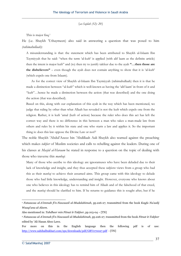*{as-Sajdah (32): 20}* 

This is major fisq.1

He (i.e. Shaykh 'Uthaymeen) also said in answering a question that was posed to him *(rahimahullaah)*:

A misunderstanding is that: the statement which has been attributed to Shaykh ul-Islaam Ibn Taymiyyah that he said: "when the term 'al-kufr' is applied (with alif laam as the definite article) then the intent is major kufr" and (to) then try to justify takfeer due to the ayah **"…then those are the disbelievers"** – even though the ayah does not contain anything to show that it is 'al-kufr' (which expels one from Islaam).

 As for the correct view of Shaykh ul-Islaam Ibn Taymiyyah (rahimahullaah) then it is that he made a distinction between "al-kufr" which is well-known as having the 'alif laam' in front of it and "kufr"…hence he made a distinction between the action (that was described) and the one doing the action (that was described).

Based on this, along with our explanation of this ayah in the way which has been mentioned, we judge that ruling by other than what Allaah has revealed is not the kufr which expels one from the religion. Rather, it is kufr 'amal (kufr of action) because the ruler who does this act has left the correct way and there is no difference in this between a man who takes a man-made law from others and rules by it within his state and one who starts a law and applies it. So the important thing is: does this law oppose the Divine Law or not?2

The noble Shaykh 'Abdul'Azeez bin 'Abdillaah Aali Shaykh also warned against the preaching which makes *takfeer* of Muslim societies and calls to rebelling against the leaders. During one of his classes at *Masjid al-Haraam* he stated in response to a question on the topic of dealing with those who traverse this *manhaj*:

Many of those who ascribe to this ideology are ignoramuses who have been deluded due to their lack of knowledge and insight, and they thus accepted these *takfeeree* views from a group who had this as their *manhaj* to achieve their assumed aims. This group came with this ideology to delude those who had little knowledge, understanding and insight. However, everyone who knows about one who believes in this ideology has to remind him of Allaah and of the falsehood of that creed, and the *manhaj* should be clarified to him. If he returns to guidance this is sought after, but if he

<sup>1</sup> *Fataawaa al-A'immah fi'n-Nawaazil al-Mudalahimah*, pp.226-27, transmitted from the book *Kayfa Nu'aalij Waaqi'una al-Aleem*.

Also mentioned in: *Tahdheer min Fitnat it-Takfeer*, pp.103-04 – [TN]

<sup>2</sup> *Fataawaa al-A'immah fi'n-Nawaazil al-Mudalahimah*, pp.226-27, transmitted from the book *Fitnat it-Takfeer*  edited by 'Ali Hasan Aboo Lawz.

For more on this in the English language then the following pdf is of use: http://www.sahihalbukhari.com/sps/downloads/pdf/GRV070027.pdf - [TN]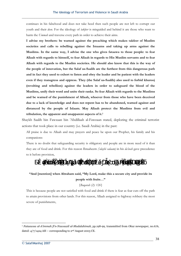continues in his falsehood and does not take heed then such people are not left to corrupt our youth and their *deen*. For the ideology of *takfeer* is misguided and behind it are those who want to harm the *Ummah* and traverse every path in order to achieve their aims.

**I advise my brothers: be warned against the preaching which makes takfeer of Muslim societies and calls to rebelling against the Imaams and taking up arms against the Muslims. In the same way, I advise the one who gives fataawa to those people: to fear Allaah with regards to himself, to fear Allaah in regards to His Muslim servants and to fear Allaah with regards to the Muslim societies. He should also know that this is the way of the people of innovation, but the Salaf us-Saalih are the furthest from this dangerous path and in fact they used to exhort to listen and obey the leader and be patient with the leaders even if they transgress and oppress. They (the Salaf us-Saalih) also used to forbid khurooj (revolting and rebellion) against the leaders in order to safeguard the blood of the Muslims, unify their word and unite their ranks. So fear Allaah with regards to the Muslims and be warned of the punishment of Allaah, whoever from those who have been deceived due to a lack of knowledge and does not repent has to be abandoned, warned against and distanced by the people of Islaam. May Allaah protect the Muslims from evil and tribulation, the apparent and unapparent aspects of it.1**

Shaykh Saalih bin Fawzaan bin 'Abdillaah al-Fawzaan stated, deploring the criminal terrorist actions that took place in our country (i.e. Saudi Arabia) in the past:

All praise is due to Allaah and may prayers and peace be upon our Prophet, his family and his companions:

There is no doubt that safeguarding security is obligatory and people are in more need of it than they are of food and drink. For this reason Ibraaheem *('alayhi salaam)* in his *da'wah* gave precedence to it before provision,

ä ää

### **"And [mention] when Abraham said, "My Lord, make this a secure city and provide its people with fruits…"**

### *{Baqarah (2): 126}*

This is because people are not satisfied with food and drink if there is fear as fear cuts off the path to attain provisions from other lands. For this reason, Allaah assigned to highway robbery the most severe of punishments,

<sup>1</sup> *Fataawaa al-A'immah fi'n-Nawaazil al-Mudalahimah*, pp.198-99, transmitted from *Okaz* newspaper, no.676, dated:  $4/7/1424$  AH – corresponding to  $2<sup>nd</sup>$  August 2003 CE.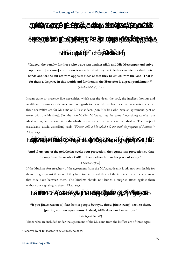

"Indeed, the penalty for those who wage war against Allāh and His Messenger and strive **upon earth [to cause] corruption is none but that they be killed or crucified or that their hands and feet be cut off from opposite sides or that they be exiled from the land. That is for them a disgrace in this world; and for them in the Hereafter is a great punishment."** 

*{al-Maa'idah (5): 33}* 

Islaam came to preserve five necessities, which are: the deen, the soul, the intellect, honour and wealth and Islaam set a decisive limit in regards to those who violate these five necessities whether these necessities are for Muslims or Mu'aahaddeen (non-Muslims who have an agreement, pact or treaty with the Muslims). For the non-Muslim Mu'aahad has the same (necessities) as what the Muslim has, and upon him (Mu'aahad) is the same that is upon the Muslim. The Prophet (sallallaahu 'alayhi wassallam) said: *"Whoever kills a Mu'aahad will not smell the fragrance of Paradise."*<sup>1</sup> Allaah says,

$$
\ddot{a} \quad \ddot{a} \qquad \qquad \ddot{a} \qquad \qquad \ddot{a} \qquad \qquad \ddot{a}
$$

### **"And if any one of the polytheists seeks your protection, then grant him protection so that**  he may hear the words of Allāh. Then deliver him to his place of safety."

#### *{Tawbah (9): 6}*

If the Muslims fear treachery of the agreement from the Mu'aahaddeen it is still not permissible for them to fight against them, until they have told informed them of the termination of the agreement that they have between them. The Muslims should not launch a surprise attack against them without any signaling to them, Allaah says,



**"If you [have reason to] fear from a people betrayal, throw [their treaty] back to them,**  [putting you] on equal terms. Indeed, Allah does not like traitors."

*{al-Anfaal (8): 58}* 

Those who are included under the agreement of the Muslims from the kuffaar are of three types:

<sup>1</sup> Reported by al-Bukhaaree in *as-Saheeh*, no.2995.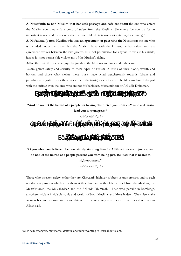**Al-Musta'min (a non-Muslim that has safe-passage and safe-conduct):** the one who enters the Muslim countries with a bond of safety from the Muslims. He enters the country for an important reason and then leaves after he has fulfilled his reason (for entering the country).1

**Al-Mu'aahad (a non-Muslim who has an agreement or pact with the Muslims):** the one who is included under the treaty that the Muslims have with the kuffaar, he has safety until the agreement expires between the two groups. It is not permissible for anyone to violate his rights, just as it is not permissible violate any of the Muslim's rights.

**Adh-Dhimmi:** the one who pays the jizyah to the Muslims and lives under their rule.

Islaam grants safety and security to these types of kuffaar in terms of their blood, wealth and honour and those who violate these trusts have acted treacherously towards Islaam and punishment is justified (for these violators of the trusts) as a deterrent. The Muslims have to be just with the kuffaar even the ones who are not Mu'aahideen, Musta'mineen or Ahl udh-Dhimmah,



**"O** you who have believed, be persistently standing firm for Allah, witnesses in justice, and **do not let the hatred of a people prevent you from being just. Be just; that is nearer to righteousness."**

 $\ddot{a}$  a ää

*{al-Maa'idah (5): 8}* 

Those who threaten safety: either they are Khawaarij, highway robbers or transgressors and to each is a decisive position which stops them at their limit and withholds their evil from the Muslims, the Musta'mineen, the Mu'aahadeen and the Ahl udh-Dhimmah. Those who partake in bombings, anywhere, violate inviolable souls and wealth of both Muslims and Mu'aahadeen. They also make women become widows and cause children to become orphans, they are the ones about whom Allaah said,

<sup>&</sup>lt;sup>1</sup> Such as messengers, merchants, visitors, or student wanting to learn about Islam.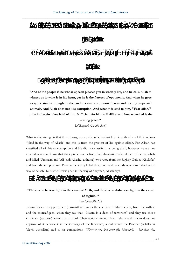The Ideology of Terrorism and Violence in Saudi Arabia



"And of the people is he whose speech pleases you in worldly life, and he calls Allah to **witness as to what is in his heart, yet he is the fiercest of opponents. And when he goes away, he strives throughout the land to cause corruption therein and destroy crops and**   $animals.$  And Allah does not like corruption. And when it is said to him, "Fear Allah," **pride in the sin takes hold of him. Sufficient for him is Hellfire, and how wretched is the resting place."**

*{al-Baqarah (2): 204-206}* 

What is also strange is that those transgressors who rebel against Islamic authority call their actions "jihad in the way of Allaah" and this is from the greatest of lies against Allaah. For Allaah has classified all of this as corruption and He did not classify it as being jihad, however we are not amazed when we know that their predecessors from the Khawaarij made takfeer of the Sahaabah and killed 'Uthmaan and 'Ali (radi Allaahu 'anhuma) who were from the Rightly Guided Khulafaa' and from the ten promised Paradise. Yet they killed them both and called their actions "jihad in the way of Allaah" but rather it was jihad in the way of Shaytaan, Allaah says,



### "Those who believe fight in the cause of Allah, and those who disbelieve fight in the cause **of taghşt..."**

#### *{an-Nisaa (4): 76}*

Islaam does not support their (terrorist) actions as the enemies of Islaam claim, from the kuffaar and the munaafiqeen, when they say that: "Islaam is a deen of terrorism" and they use those criminal's (terrorist) actions as a proof. Their actions are not from Islaam and Islaam does not approve of it because it is the ideology of the Khawaarij about which the Prophet (sallallaahu 'alayhi wassallam) said to his companions: *"Wherever you find them (the khawaarij) – kill them (i.e.*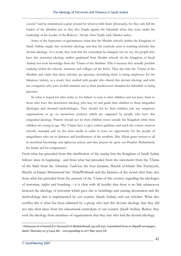*execute)!"* and he enumerated a great reward for whoever kills them (khawaarij), for they only kill the leaders of the Muslims just as they also fought against the Sahaabah when they were under the leadership of the Leader of the Believer, 'Ali bin Abee Taalib (radi Allaahu 'anhu).

Some of the hypocrites or ignoramuses claim that the Muslim schools (within the Kingdom of Saudi Arabia) taught this (terrorist) ideology and that the curricula used in teaching includes this deviant ideology. As a result, they seek that the curriculum be changed, but we say: the people who have this (terrorist) ideology neither graduated from Muslim schools (in the Kingdom of Saudi Arabia) nor took knowledge from the 'Ulama of the Muslims. This is because they actually prohibit studying within the schools, institutes and colleges (of the KSA). They also hate the 'Ulama of the Muslims and claim that these scholars are ignorant, describing them as being employees for the Salaateen (rulers), as a result, they studied with people who shared this deviant ideology and with the youngsters who were foolish minded, just as their predecessors branded the Sahaabah as being ignorant.

So what is hoped for after today is: for fathers to turn to their children and not leave them to those who have this destructive ideology who may try and guide their children to these misguided ideologies and deviated methodologies. They should not let their children join any suspicious organizations or go on mysterious journeys which are organized by people who have this misguided ideology. Parents should not let their children travel outside the Kingdom while their children are young in age. The 'Ulama have to give correct guidance and teach the correct creed in schools, masaajid and via the mass media in order to leave no opportunity for the people of misguidance who are in darkness and heedlessness of the rectifiers. May Allaah grant success to all in beneficial knowledge and righteous action, and may prayers be upon our Prophet Muhammad, his family and his companions.1

From what has preceded from this clarification of the *manhaj* that the Kingdom of Saudi Arabia follows since its beginning - and from what has preceded from the statements from the 'Ulama' of the Salaf from the *Sahaabah, Taabi'een*, the four Imaams, Shaykh ul-Islaam Ibn Taymiyyah, Shaykh ul-Islaam Muhammad bin 'AbdulWahhaab and the Imaams of the *da'wah* after him; also from what has preceded from the answers of the *'Ulama* of this country regarding the ideologies of terrorism, *takfeer* and bombing – it is clear with all lucidity that there is no link whatsoever between the ideology of terrorism which gave rise to bombings and causing devastation and the methodology that is implemented by our country (Saudi Arabia) and our scholars. What also certifies this is what has been admitted by a group who had this deviant ideology that they did not take their ideas from the educational curriculum of our country (Saudi Arabia). Rather, they took the ideology from members of organizations that they met who had the deviant ideology.

<sup>1</sup> *Fataawaa al-A'immah fi'n-Nawaazil al-Mudalahimah*, pp.228-232, transmitted from *ar-Riyadh* newspaper, dated: Thursday  $21/3/1424$  AH – corresponding to  $22<sup>nd</sup>$  May  $2003$  CE.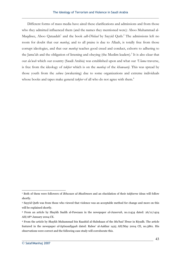Different forms of mass media have aired these clarifications and admissions and from those who they admitted influenced them (and the names they mentioned were): Aboo Muhammad al-Maqdisee, Aboo Qataadah<sup>1</sup> and the book *adh-Dhilaal* by Sayyid Qutb.<sup>2</sup> The admissions left no room for doubt that our *manhaj*, and to all praise is due to Allaah, is totally free from those corrupt ideologies, and that our *manhaj* teaches good creed and conduct, exhorts to adhering to the Jama'ah and the obligation of listening and obeying (the Muslim leaders).<sup>3</sup> It is also clear that our *da'wah* which our country (Saudi Arabia) was established upon and what our *'Ulama* traverse, is free from the ideology of *takfeer* which is on the *manhaj* of the *khawaarij*. This was spread by those youth from the *sahwa* (awakening) due to some organizations and extreme individuals whose books and tapes make general *takfeer* of all who do not agree with them.<sup>4</sup>

<sup>1</sup> Both of them were followers of *Ikhwaan ul-Muslimeen* and an elucidation of their *takfeeree* ideas will follow shortly.

<sup>2</sup> Sayyid Qutb was from those who viewed that violence was an acceptable method for change and more on this will be explained shortly.

<sup>3</sup> From an article by Shaykh Saalih al-Fawzaan in the newspaper *al-Jazeerah*, no.11434 dated: 26/11/1424 AH/18th January 2004 CE.

<sup>4</sup> From the article by Shaykh Muhammad bin Raashid al-Habshaan of the *Ma'had 'Ilmee* in Riyadh. The article featured in the newspaper *al-Iqtisaadiyyah* dated: Rabee' al-Aakhar 1425 AH/May 2004 CE, no.3861. His observations were correct and the following case study will corroborate this.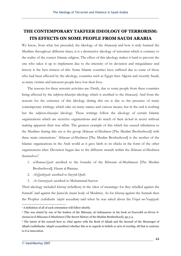### **THE CONTEMPORARY TAKFEER IDEOLOGY OF TERRORISM: ITS EFFECTS ON SOME PEOPLE FROM SAUDI ARABIA**

We know, from what has preceded, the ideology of the *khawaarij* and how it truly harmed the Muslims throughout different times, it is a destructive ideology of terrorism which is contrary to the reality of the correct Islamic religion. The effect of this ideology makes it hard to prevent the one who takes it up to implement due to the intensity of its deviation and misguidance and history is the best witness of this. Some Islamic countries have suffered due to some of those who had been affected by the ideology, countries such as Egypt then Algeria and recently Saudi, as many victims and innocent people have lost their lives.

 The reasons for these terrorist activities are: Firstly, due to some people from these countries being affected by the *takfeeree-khaarijee* ideology which is ascribed to the *khawaarij*. And from the reasons for the existence of this ideology during this era is due to the presence of many contemporary writings, which take on many names and various means, but in the end is nothing but the *takfeeree-khaarijee* ideology. These writings follow the ideology of certain Islamic organizations which are secretive organizations and do much of their *da'wah* in secret without making apparent their true affair. The greatest example of this which has caused tribulation to the Muslims during this era is the group *Ikhwaan ul-Muslimeen* [The Muslim Brotherhood] with three main orientations.<sup>1</sup> *Ikhwaan ul-Muslimeen* [The Muslim Brotherhood] is the mother of the Islamic organizations in the Arab world as it gave birth to its chicks in the form of the other organizations after. Deviation began due to the different strands within the *Ikhwaan ul-Muslimeen* themselves<sup>2</sup>:

- 1. *al-Bannaa'iyyah*: ascribed to the founder of the Ikhwaan ul-Muslimeen [The Muslim Brotherhood], Hasan al-Bannaa.
- 2. *Al-Qutbiyyah*: ascribed to Sayyid Qutb
- 3. *As-Surooriyyah*: ascribed to Muhammad Suroor

Their ideology included *khurooj* (rebellion) in the vilest of meanings: for they rebelled against the Sunnah<sup>3</sup> and against the Jama'ah (main body of Muslims). As for *khurooj* against the Sunnah then the Prophet *(sallallaahu 'alayhi wassallam)* said when he was asked about the *Firqat un-Naajiyyah*:

<sup>&</sup>lt;sup>1</sup> A definition of all of each orientation will follow shortly.

<sup>2</sup> This was stated by one of the leaders of the Ikhwaan, al-'Ashmaawee in his book *at-Taareekh as-Sirree li-Jamaa'at il-Ikhwaan il-Muslimeen* [The Secret History of the Muslim Brotherhood], pp.3-4.

<sup>3</sup> The intent of the *sunnah* here is: what agrees with the Book of Allaah and the *Sunnah* of the Messenger of Allaah *(sallallaahu 'alayhi wassallam)* whether this is in regards to beliefs or acts of worship, all that is contrary to it is innovation.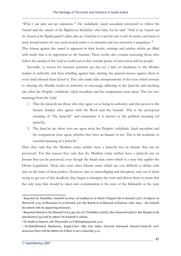*"What I am upon and my companions."*<sup>1</sup> He *(sallallaahu 'alayhi wassallam)* instructed to follow his *Sunnah* and the *sunnah* of the Righteous Khulafaa' after him, for he said: *"Stick to my Sunnah and the Sunnah of the Rightly guided Caliphs after me. Hold firm to it and bite onto it with the molars, and beware of newly invented matters for every newly-invented matter is an innovation and every innovation is misguidance."2*

This *khurooj* against the *sunnah* is apparent in their books, writings and articles which are filled with much that is in opposition to the Sunnah. These works also contain censuring those who follow the *manhaj* of the *Salaf us-Saalih* just as they contain praise of innovation and its people.

Secondly, (a reason for terrorist activities are due to) a lack of obedience to the Muslim leaders in authority and then rebelling against him, inciting the general masses against them in every land wherein their *da'wah* is. They also make false interpretations of the texts which instruct to obeying the Muslim leader in authority or encourage adhering to the Jama'ah and anything else what the Prophet *(sallallaahu 'alayhi wassallam)* and his companions were upon. This has two meanings from the *Salaf*:

- 1. That the Jama'ah are those who they agree on as being in authority, and this person is the Imaam (leader) who agrees with the Book and the Sunnah. This is the perceptual meaning of "the Jama'ah" and sometimes it is known as the political meaning (of Jama'ah).
- 2. The Jama'ah are those who are upon what the Prophet *(sallallaahu 'alayhi wassallam)* and his companions were upon, whether they have an Imaam or not. This is the academic or essential meaning of a Jama'ah.<sup>3</sup>

Then they said that the Muslims today neither have a Jama'ah nor an Imaam that can be perceived.4 For this reason they said that the Muslims today neither have a Jama'ah nor an Imaam that can be perceived, even though the Saudi state exists which is a state that applies the Divine Legislation. There also exist other Islamic states which are very difficult to define with *kufr* on the basis of their leaders. However, due to camouflaging and deception, and out of them trying to get out of this deadlock, they began to interpret the texts and distort them to mean that the only state that should be taken into consideration is the state of the Khilaafah or the state

<sup>1</sup> Reported by Tirmidhee, *hadeeth* no.2641; al-Laalikaa'ee in *Sharh 'I'tiqaad Ahl is-Sunnah* (147); al-Aajuree in *Sharee'ah*, p.15; al-Marwazee in *as-Sunnah*, p.8; Ibn Battah in *al-Ibaanah al-Kubraa*, (160, 264) – the *hadeeth* his *saheeh* with its supporting witnesses.

<sup>2</sup> Reported Ahmad in his *Musnad* (vol.4, pp.126-27); Tirmidhee (2676); Aboo Daawood (4607); Ibn Maajah in his introduction (34) and by others, the *hadeeth* is *saheeh*.

<sup>3</sup> Dr Saalih as-Saawee, *ath-Thawaabit wa'l-Mutaghayyaraat*, p.19

<sup>4</sup> Dr'AbdulHameed Hindaawee, *Kayfa'l-Amr idha lam takun Jama'ah Daraasah Hawla'l-Jama'ah wa'l-Jama'aat* [How will the Matter be if there is not a Jama'ah], p.51.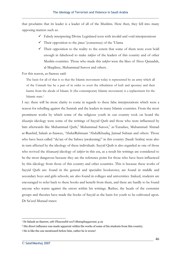that proclaims that its leader is a leader of all of the Muslims. Here then, they fell into many opposing matters such as:

- $\checkmark$  Falsely interpreting Divine Legislated texts with invalid and void interpretations
- $\checkmark$  Their opposition to the *ijmaa'* (consensus) of the 'Ulama
- $\checkmark$  Their opposition to the reality to the extent that some of them were even bold enough in falsehood to make *takfeer* of the leaders of this country and of other Muslim countries. Those who made this *takfeer* were the likes of Aboo Qataadah, al-Maqdisee, Muhammad Suroor and others.

For this reason, as-Saawee said:

The basis for all of that is so that the Islamic movement today is represented by an army which all of the Ummah has be a part of in order to avert the tribulation of kufr and apostasy and their harms from the abode of Islaam. It (the contemporary Islamic movement) is a replacement for the Islamic state.1

I say: there will be more clarity to come in regards to these false interpretations which were a reason for rebelling against the Sunnah and the leaders in many Islamic countries. From the most prominent works by which some of the religious youth in our country took on board the *khaarijee* ideology were some of the writings of Sayyid Qutb and those who were influenced by him afterwards like Muhammad Qutb,<sup>2</sup> Muhammad Suroor,<sup>3</sup> at-Turaabee, Muhammad Ahmad ar-Raashid, Salaah as-Saawee, 'AbdurRahmaan 'AbdulKhaaliq, Jamaal Sultaan and others. Those who have been called "du'aat of the Sahwa (awakening)" in this country (Saudi Arabia) were also in turn affected by the ideology of these individuals. Sayyid Qutb is also regarded as one of those who revived the *khawaarij* ideology of *takfeer* in this era, as a result his writings are considered to be the most dangerous because they are the reference point for those who have been influenced by this ideology from those of this country and other countries. This is because these works of Sayyid Qutb are: found in the general and specialist bookstores; are found in middle and secondary boys and girls schools; are also found in colleges and universities. Indeed, students are encouraged to refer back to these books and benefit from them, and there are hardly to be found anyone who warns against the errors within his writings. Rather, the heads of the extremist groups and theories have made the books of Sayyid as the basis for youth to be cultivated upon. Dr Sa'eed Muraad states:

<sup>1</sup> Dr Salaah as-Saawee, *ath-Thawaabit wa'l-Mutaghayyaraat*, p.19

<sup>2</sup> His direct influence was made apparent within the works of some of his students from this country.

<sup>3</sup> He is like the one mentioned before him, rather he is worse!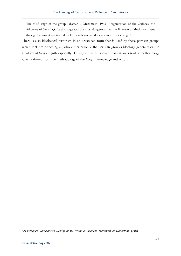The third stage of the group Ikhwaan ul-Muslimeen, 1965 – organization of the Qutbees, the followers of Sayyid Qutb: this stage was the most dangerous that the Ikhwaan ul-Muslimeen went through because it re-directed itself towards violent ideas as a means for change.1

There is also ideological terrorism in an organized form that is used by these partisan groups which includes opposing all who either criticize the partisan group's ideology generally or the ideology of Sayyid Qutb especially. This group with its three main strands took a methodology which differed from the methodology of the *Salaf* in knowledge and action.

<sup>1</sup> *Al-Firaq wa'-Jama'aat ad-Deeniyyah fi'l-Watan al-'Arabee: Qadeeman wa Hadeethan*, p.370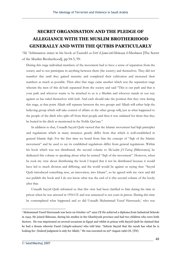## **SECRET ORGANISATION AND THE PLEDGE OF ALLEGIANCE WITH THE MUSLIM BROTHERHOOD GENERALLY AND WITH THE QUTBIS PARTICULARLY**

'Ali 'Ashmaawee states in his book *at-Taareekh as-Sirri li-Jama'atil-Ikhwaan il-Muslimeen* [The Secret of the Muslim Brotherhood], pp.94-5, 99:

During this stage individual members of the movement had to have a sense of separation from the society and to not participate in anything between them (the society) and themselves. They did not manifest this until they gained maturity and completed their cultivation and increased their numbers as much as possible. Then after that stage came another which was the separation stage wherein the men of this da'wah separated from the society and said "This is our path and that is your path and whoever wants to be attached to us is a Muslim and whoever stands in our way against us has ruled themselves with kufr. And each should take the position that they view during this stage, at that point Allaah will separate between the two groups and Allaah will either help the believing group which will take control of affairs or the other group will**,** just as what happened to the people of the ditch who split off from their people and then it was ordained for them that they be buried in the ditch as mentioned in the Noble Qur'aan."

In addition to that, Ustaadh Sayyid Qutb viewed that the Islamic movement had fiqh principles and regulations which in many instances greatly differ from that which is well-established in general Islamic fiqh. For the first time we heard from him the concept of "fiqh of the Islamic movement" and he used to say its established regulations differ from general regulations. Within his book which was not distributed, the second volume to *Ma'aalim fi't-Tareeq* [Milestones], he dedicated this volume to speaking about what he termed "fiqh of the movement". However, when he took my view about distributing the book I hoped that it not be distributed because it would have led to much division and differing, and the world would be against us saying that: "Sayyid Qutb introduced something new, an innovation, into Islaam", so he agreed with my view and did not publish the book and I do not know what was the end of it (the second volume of the book) after that.

Ustaadh Sayyid Qutb informed us that this view had been clarified to him during his time in prison when he was arrested in 1954 CE and was sentenced to ten years in prison. During this time he contemplated what happened and so did Ustaadh Muhammad Yusuf Hawwaash,<sup>1</sup> who was

<sup>&</sup>lt;sup>1</sup> Muhammad Yusuf Hawwaash was born on October 12<sup>th</sup> 1922 CE He achieved a diploma from Industrial Schools in 1943. He joined Ikhwaan, during his studies in the Gharbiyyah province and had two children who were both doctors. He was imprisoned on several occasions in Egypt and whilst in prison with Sayyid Qutb he claimed that he had a dream wherein Yusuf *('alayhi-salaam)* who told him: "Inform Sayyid that the surah has what he is looking for: {Indeed judgment is only for Allah}." He was executed on 29<sup>th</sup> August 1966 CE. [TN]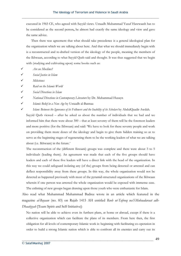executed in 1965 CE, who agreed with Sayyid views. Ustaadh Muhammad Yusuf Hawwaash has to be considered as the second person**,** he almost had exactly the same ideology and view and gave the same advice.

 Then there was agreement that what should take precedence is a general ideological plan for the organization which we are talking about here. And that what we should immediately begin with is a reconstructed and re-drafted version of the ideology of the people, meaning the members of the Ikhwaan, according to what Sayyid Qutb said and thought. It was thus suggested that we begin with (studying and cultivating upon) some books such as:

- 9 *Are we Muslims?*
- 9 *Social Justice in Islam*
- 9 *Milestones*

9 *Raid on the Islamic World* 

9 *Social Directions in Islam* 

9 *National Directions in Contemporary Literature* by Dr. Muhammad Husayn

9 *Islamic Belief in a New Age* by Ustaadh al-Bannaa

9 *Islam: Between the Ignorance of its Followers and the Inability of its Scholars* by AbdulQaadir Awdah.

Sayyid Qutb viewed – after he asked us about the number of individuals that we had and we informed him that there were about 300 – that at least seventy of them will be the foremost leaders and more positive (for the Ikhwaan) and said: 'We have to look for these seventy people and work on providing them more doses of the ideology and begin to give them hidden training so as to serve as the beginning stages of regenerating them to be the working leaders of what we are talking about (i.e. Ikhwaan) in the future.'

The reconstruction of the (different Ikwaani) groups was complete and there were about 3 to 5 individuals (leading them). An agreement was made that each of the five groups should have leaders and each of these five leaders will have a direct link with the head of the organization. In this way we could safeguard isolating any (of the) groups from being detected or arrested and can deflect responsibility away from these groups. In this way, the whole organization would not be detected as happened previously with most of the pyramid-structured organizations of the Ikhwaan wherein if one person was arrested the whole organization would be exposed with immense ease. The enlisting of new groups began drawing upon those youth who were enthusiastic for Islam.

Also read what Muhammad Muhammad Badree wrote in an article which featured in the magazine *al-Bayaan* (no. 83) on Rajab 1415 AH entitled *Rooh ut-Tafreeq wa'l-Mubaadaraat adh-Dhaatiyyah* [Team Spirit and Self-Initiative]:

No nation will be able to achieve even its furthest plans, at home or abroad, except if there is a collective organization which can facilitate the plans of its members. From here then, the first obligation for all levels of contemporary Islamic work is: beginning with facilitating co-operation in order to build a strong Islamic nation which is able to confront all its enemies and carry out its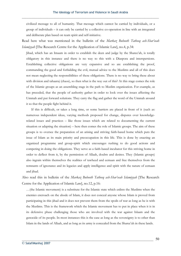civilized message to all of humanity. That message which cannot be carried by individuals, or a group of individuals – it can only be carried by a collective co-operation in line with an integrated and deliberate plan based on team spirit and self-initiative.

Read here what was mentioned in the bulletin of the *Markaz Buhooth Tatbeeq ash-Shar'eeah Islamiyyah* [The Research Centre for the Application of Islamic Law], no.4, p.34:

Jihad, which has an Imaam in order to establish the deen and judge by the Sharee'ah, is totally obligatory in this instance and there is no way to this with a Diaspora and interspersions. Establishing collective obligations are very expansive and so are establishing the proof, commanding the good and forbidding the evil, mutual advice to the Muslims and all of this does not mean neglecting the responsibilities of these obligations. There is no way to bring these about with division and tahaaruj (chaos), so then what is the way out of this? At this stage comes the role of the Islamic groups as an assembling stage in the path to Muslim organization. For example, as has preceded, that the people of authority gather in order to look over the issues affecting the Ummah and put forward solutions. They carry the flag and gather the word of the Ummah around it so that the people fight behind it.

 If this is difficult, or takes a long time, or some barriers are placed in front of it (such as: numerous independent ideas, varying methods proposed for change, disputes over knowledgerelated issues and practices – like those issues which are related to documenting the current situation or adapting the situation) – here then comes the role of Islamic groups. The aim of these groups is to oversee the preparation of an arising and striving faith-based home which puts the issue of Islam as its main priority and preoccupation in this life. This is done by enacting an organized programme and group-spirit which encourages rushing to do good actions and competing in doing the obligations. They serve as a faith-based incubator for this striving home in order to deflect from it, by the permission of Allaah, doubts and desires. They (Islamic groups) also ingrain within themselves the realities of tawheed and eemaan and free themselves from the remnants of ignorance and its legacies and apply intelligence and spirit with the nature of eemaan and jihad.

Also read this in bulletin of the *Markaz Buhooth Tatbeeq ash-Shar'eeah Islamiyyah* [The Research Centre for the Application of Islamic Law], no.12, p.16:

…(the Islamic movement) is a substitute for the Islamic state which enlists the Muslims when the enemies encroach on the abode of Islam, it does not conceal anyone whose Islam is proved from participating in this jihad and it does not prevent them from the spoils of war as long as he is with the Muslims. This is the framework which the Islamic movement has to put in place when it is in its defensive phase challenging those who are involved with the war against Islaam and the genocide of its people. In most instances this is the case as long as the sovereignty is to other than Islam in the lands of Allaah, and as long as its army is concealed from the Sharee'ah in these lands.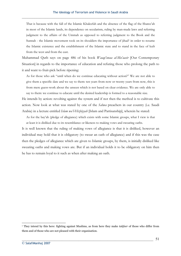That is because with the fall of the Islamic Khaleefah and the absence of the flag of the Sharee'ah in most of the Islamic lands, its dependence on secularism, ruling by man-made laws and referring judgment to the affairs of the Ummah as opposed to referring judgment to the Book and the Sunnah - the Islamic movement took on its shoulders the importance of jihad<sup>1</sup> in order to resume the Islamic existence and the establishment of the Islamic state and to stand in the face of kufr from the west and from the east.

Muhammad Qutb says on page 486 of his book *Waaqi'unaa al-Mu'aasir* [Our Contemporary Situation] in regards to the importance of education and refuting those who prolong the path to it and want to fruit-pick before ripening:

As for those who ask "until when do we continue educating without action?" We are not able to give them a specific date and we say to them: ten years from now or twenty years from now, this is from mere guess-work about the unseen which is not based on clear evidence. We are only able to say to them: we continue to educate until the desired leadership is formed to a reasonable size.

He intends by action: revolting against the system and if not then the method is to cultivate this action. Now look at what was stated by one of the *Sahwa* preachers in our country (i.e. Saudi Arabia) in a lecture entitled *Islam wa'l-Hizbiyyah* [Islam and Partisanship], wherein he stated:

As for the bay'ah (pledge of allegiance) which exists with some Islamic groups, what I view is that at least it is disliked due to its resemblance or likeness to making vows and swearing oaths.

It is well known that the ruling of making vows of allegiance is that it is disliked, however an individual may hold that it is obligatory (to swear an oath of allegiance) and if this was the case then the pledges of allegiance which are given to Islamic groups, by them, is initially disliked like swearing oaths and making vows are. But if an individual holds it to be obligatory on him then he has to remain loyal to it such as when after making an oath.

<sup>1</sup> They intend by this here: fighting against Muslims, as from here they make *takfeer* of those who differ from them and of those who are not pleased with their organisation.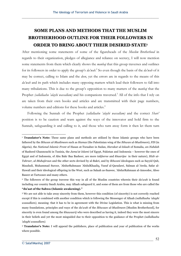# **SOME PLANS AND METHODS THAT THE MUSLIM BROTHERHOOD OUTLINE FOR THEIR FOLLOWERS IN ORDER TO BRING ABOUT THEIR DESIRED STATE1**

After mentioning some statements of some of the figureheads of the *Muslim Brotherhood* in regards to their organization, pledges of allegiance and reliance on secrecy, I will now mention some statements from them which clearly shows the *manhaj* that this group traverses and outlines for its followers in order to apply the group's *da'wah*. 2 So even though the basis of the *da'wah* of it may be correct, calling to Islam and the *deen*, yet the errors are in regards to the means of this *da'wah* and its path which includes many opposing matters which lead their followers to fall into many tribulations. This is due to the group's opposition to many matters of the *manhaj* that the Prophet *(sallallaahu 'alayhi wassallam)* and his companions traversed.<sup>3</sup> All of the info that I rely on are taken from their own books and articles and are transmitted with their page numbers, volume numbers and editions for these books and articles.<sup>4</sup>

 Following the Sunnah of the Prophet *(sallallaahu 'alayhi wassallam)* and the correct *Shari'* position is to be caution and warn against the ways of the innovator and hold firm to the Sunnah, safeguarding it and calling to it, and those who turn away form it then let them turn

<sup>&</sup>lt;sup>1</sup> **Translator's Note:** These same plans and methods are utilized by those Islamic groups who have been fathered by the *Ikhwan ul-Muslimeen* such as *Hamas* (the Palestinian wing of the *Ikhwan ul-Muslimeen*), *FIS* (in Algeria), the *National Islamic Front* of Hasan at-Turaabee in Sudan, *Harakat ul-Islaah* of Somalia, *an-Nahdah* of Rasheed Ghannouchi in Tunisia, the *Jama'at Islami* (of Egypt, Pakistan and Indonesia – however the ones of Egypt and of Indonesia, of Abu Bakr Baa Basheer, are more *takfeeree* and *khaarijee* in their nature), *Hizb ut-Tahreer*, *al-Muhajiroun* and the other sects devised by al-Bakri, and by *Ikhwani* ideologues such as Sayyid Qub, Maududi, Muhammad Suroor, 'AbdurRahmaan 'AbdulKhaaliq, Yusuf al-Qaradawi, Salman al-'Awda, Safar al-Hawali and their ideological offspring in the West, such as Salaah as-Saawee, 'AbdurRahmaan al-Amoodee, Aboo Baseer at-Tartoosee and many others.

<sup>2</sup> The followers of the group traverse this way in all of the Muslim countries wherein their *da'wah* is found including our country Saudi Arabia, may Allaah safeguard it, and some of them are from those who are called the **"du'aat of the Sahwa (Islamic awakening)."**

<sup>3</sup> We are not able to take away sincerity from them, however this condition (of sincerity) is not correctly reached except if this is combined with another condition which is following the Messenger of Allaah *(sallallaahu 'alayhi wassallam)*, meaning: that it has to be in agreement with the Divine Legislation. This is what is missing from many foundations, principles and ways of the *da'wah* of the *Ikhwaan ul-Muslimeen* [Muslim Brotherhood], for sincerity is even found among the *khawaarij* who were described as having it, indeed they were the most sincere in their beliefs and yet the most misguided due to their opposition to the guidance of the Prophet *(sallallaahu 'alayhi wassallam)*.

<sup>4</sup> **Translator's Note:** I will append the publishers, place of publication and year of publication of the works where possible.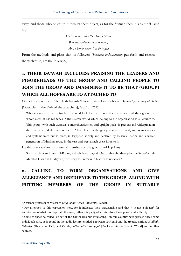away, and those who object to it then let them object, as for the Sunnah then it is as the 'Ulama say:

> *The Sunnah is like the Ark of Nooh, Whoever embarks on it is saved, And whoever leaves it is destroyed*

From the methods and plans that its followers (*Ikhwaan ul-Muslimeen*) put forth and restrict themselves to, are the following:

## **1. THEIR DA'WAH INCLUDES: PRAISING THE LEADERS AND FIGUREHEADS OF THE GROUP AND CALLING PEOPLE TO JOIN THE GROUP AND IMAGINING IT TO BE THAT (GROUP) WHICH ALL HOPES ARE TO ATTACHED TO**

One of their writers, 'Abdullaah Naasih 'Ulwaan<sup>1</sup> stated in his book 'Aqabaat fee Tareeq id-Du'aat [Obstacles in the Path of the Preachers], (vol.1, p.261):

Whoever wants to work for Islam should look for the group which is widespread throughout the whole earth, it has branches in the Islamic world which belong to the organization in all countries. This group- with such vastness, comprehensiveness and upright goals- is present and widespread in the Islamic world all praise is due to Allaah. For it is the group that was formed, and its milestones and system2 were put in place, in Egyptian society and declared by Hasan al-Banna and a whole generation of Muslims today in the east and west attach great hope to it.

He then says within his praise of members of the group (vol.1, p.196):

Such as: Imaam Hasan al-Banna, ash-Shaheed Sayyid Qutb, Shaykh Mustaphaa as-Subaa'ee, al-Murshid Hasan al-Hudaybee, then they will remain in history as notables.3

## **2. CALLING TO FORM ORGANISATIONS AND GIVE ALLEGIANCE AND OBEDIENCE TO THE GROUP- ALONG WITH PUTTING MEMBERS OF THE GROUP IN SUITABLE**

<sup>1</sup> A former professor of *tafseer* at *King 'Abdul'Azeez University*, Jeddah.

<sup>2</sup> Pay attention to this expression here, for it indicates their partisanship and that it is not a *da'wah* for rectification of what has crept into the *deen*, rather it is party which aims to achieve power and authority.

<sup>3</sup> Some of those so-called "du'aat of the Sahwa (Islamic awakening)" in our country have praised these same individuals also, as is found in the audio lecture entitled *Taqweem ar-Rijaal* and the treatise entitled *Hadhahi Sabeelee* [This is our Path] and *Kutub fi's-Saahatil-Islamiyyah* [Books within the Islamic World] and in other sources.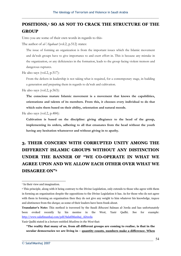### **POSITIONS, <sup>1</sup> SO AS NOT TO CRACK THE STRUCTURE OF THE GROUP**

Unto you are some of their own words in regards to this-

The author of *al-'Aqabaat* (vol.2, p.512) states:

The issue of forming an organization is from the important issues which the Islamic movement and da'wah groups have to give importance to and exert effort in. This is because any mistake in the organization, or any deficiencies in the formation, leads to the group facing violent tremors and dangerous ruptures.

He also says (vol.2, p.517):

From the defects in leadership is not taking what is required, for a contemporary stage, in building a generation and preparing them in regards to da'wah and cultivation.

He also says (vol.2, p.563):

**The conscious mature Islamic movement is a movement that knows the capabilities, orientations and talents of its members. From this, it chooses every individual to do that which suits them based on their ability, orientation and natural moods.** 

He also says (vol.2, p.484):

**Cultivation is based on the discipline: giving allegiance to the head of the group, implementing its orders, adhering to all that emanates from the head without the youth having any hesitation whatsoever and without giving in to apathy.** 

# **3. THEIR CONCERN WITH CORRUPTED UNITY AMONG THE DIFFERENT ISLAMIC GROUPS WITHOUT ANY DISTINCTION UNDER THE BANNER OF "WE CO-OPERATE IN WHAT WE AGREE UPON AND WE ALLOW EACH OTHER OVER WHAT WE DISAGREE ON"2**

Yasir Qadhi stated in a lecture entitled *Muslims in the West* that:

<sup>&</sup>lt;sup>1</sup> In their view and imagination.

<sup>2</sup> This principle, along with it being contrary to the Divine Legislation, only extends to those who agree with them in forming an organisation despite the oppositions to the Divine Legislation it has. As for those who do not agree with them in forming an organisation then they do not give any weight to him whatever his knowledge, *taqwa* and abstinence from the *dunya*; as some of their leaders have been frank about.

**Translator's Note:** This method is traversed by the Saudi *Ikhwani* Salman al-'Awda and has unfortunately been evoked recently by his mentee in the West, Yasir Qadhi. See for example: http://www.salafimanhaj.com/pdf/SalafiManhaj\_AlAwda

**<sup>&</sup>quot;The reality that many of us, from all different groups are coming to realise, is that in the secular democracies we are living in – quantity counts, numbers make a difference. When**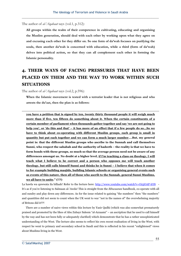The author of *al-'Aqabaat* says (vol.1, p.312):

**All groups within the realm of their competence in cultivating, educating and organising the Muslim generation, should deal with each other by working upon what they agree on and excusing each other for they differ on. So one form of da'wah focuses on purifying the souls, then another da'wah is concerned with education, while a third (form of da'wah) delves into political action, so that they can all complement each other in forming the Islamic personality.** 

## **4. THEIR WAYS OF FACING PRESSURES THAT HAVE BEEN PLACED ON THEM AND THE WAY TO WORK WITHIN SUCH SITUATIONS**

The author of *al-'Aqabaat* says (vol.2, p.596):

**When the Islamic movement is tested with a terrorist leader that is not religious and who arrests the du'aat, then the plan is as follows:** 

**you have a petition that is signed by ten, twenty thirty thousand people it will weigh much more than if five, ten fifteen do something about it. When the certain constituents of a certain member of parliament when thousands gather together and say 'we are not going to help you', or 'do this and that' – it has more of an effect that if a few people do so...So we have to think about co-operating with different Muslim groups, each group is small in quantity but put each together and we can form a much larger number....But, my general point is: that the different Muslim groups who ascribe to the Sunnah and call themselves Sunni, who respect the sahabah and the authority of hadeeth – the reality is that we have to form bonds with these groups, so much so that the average person need not be aware of any differences amongst us. No doubt at a higher level, if I'm teaching a class on theology, I will teach what I believe to be correct and a person who opposes me will teach another theology, but still calls himself Sunni and thinks he is Sunni – I believe that when it comes to for example building masjids, building Islamic schools or organising general events such as events of this nature, then all of those who ascrib to the Sunnah, general Sunni Muslims, we all have to unite." (!!?)** 

La hawla wa quwwata ila billaah! Refer to the lecture here: http://www.youtube.com/watch?v=Oi5jOAP-hY8 -It's as if you're listening to Salmaan al-'Awda! This is straight from the *Ikhwaanee* handbook, co-operate with all and sundry and play down any differences. As for the issue related to gaining "the numbers" then "the numbers" and quantities did not seem to count when the UK went to war "not in the names of" the overwhelming majority of Britons did it??!

There are a number of naive views within this lecture by Yasir Qadhi (which was also somewhat prematurely praised and promoted by the likes of Abu Zubayr Saleem "al-Azzaami" – an ascription that he used to call himself by the way and has not been fully or adequately clarified) which demonstrate that he has a rather unsophisticated understanding of the West. The lecture also seems to reflect his own recent realisation of living in the West, with respect he went to primary and secondary school in Saudi and this is reflected in his recent "enlightened" views about Muslims living in the West.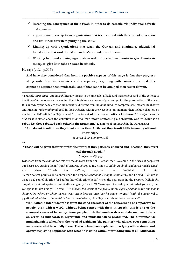- 9**lessening the conveyance of the da'wah in order to do secretly, via individual da'wah and contacts**
- $\checkmark$  apparent membership to an organization that is concerned with the spirit of education **and limit their da'wah to purifying the souls**
- $\checkmark$  Linking up with organizations that teach the Qur'aan and charitable, educational **foundations that work for Islam and da'wah underneath them.**
- 9**Working hard and striving vigorously in order to receive invitations to give lessons in mosques, give khutbahs or teach in schools.**

He says (vol.1, p.306):

**And have they considered that from the positive aspects of this stage is that they progress along with these implementers and co-operate, beginning with conviction and if this cannot be attained then mudaarah,1 and if that cannot be attained then secret da'wah.** 

**"And do not insult those they invoke other than AllŅh, lest they insult AllŅh in enmity without**

**knowledge."**

*{Soorah al-An'aam (6): 108}* 

and

#### **"Those will be given their reward twice for what they patiently endured and [because] they avert evil through good…"**

#### *{al-Qasas (28): 54}*

Evidences from the *sunnah* for this are the *hadeeth* from Abi'l-Dardaa' that "We smile in the faces of people yet our hearts are cursing them." (*Fath al-Baaree*, vol.10, p.527, *Kitaab al-Adab, Baab al-Mudaarah ma'a'n-Naas*). Also when 'Urwah ibn al-Zubayr reported that 'Aa'ishah told him: "A man sought permission to enter upon the Prophet *(sallallaahu alayhi wassallam)*, and he said, "Let him in, what a bad son of his tribe (or bad brother of his tribe) he is!" When the man came in, the Prophet *(sallallaahu alayhi wassallam)* spoke to him kindly and gently. I said: "O Messenger of Allaah, you said what you said, then you spoke to him kindly." He said, *"O 'Aa'ishah, the worst of the people in the sight of Allaah is the one who is shunned by others or whom people treat nicely because they fear his sharp tongue."* (*Fath al-Baaree*, vol.10, p.528, *Kitaab al-Adab, Baab al-Mudaarah ma'a'n-Naas*). Ibn Hajar said about these two *hadeeth*:

**"Ibn Battaal said: Mudaarah is from the good character of the believers, to be responsive to people, even with a word, without being coarse with them in speech, this is one of the strongest causes of harmony. Some people think that mudaarah is mudahaanah and this is an error, as mudaarah is regrettable and mudaahanah is prohibited. The difference is: mudaahanah is taken from the word ad-Dahhaan (the painter) who glosses over something and covers what is actually there. The scholars have explained it as lying with a sinner and openly displaying happiness with what he is doing without forbidding him at all. Mudaarah**

<sup>1</sup> **Translator's Note:** *Mudaarah* literally means to be amicable, affable and harmonious and in the context of the *Sharee'ah* the scholars have noted that it is giving away some of your *dunya* for the preservation of the *deen*. It is known by the scholars that *mudaarah* is different from *mudaahanah* (to compromise). Imaams Bukhaaree and Muslim *(raheemahumullaah)* in their *saheehs* within their sections on manners then include chapters on *mudaarah*. Al-Haafidh Ibn Hajar stated: **"..the intent of it is to ward off via kindness."** In *al-Qaamoos al-Muheet* it is stated about the definition of *daraa'*: **"To make something a deterrent, and to deter is to rebut, i.e. they rebutted each other in the argument."** Examples of *mudaarah* in the Qur'aan are: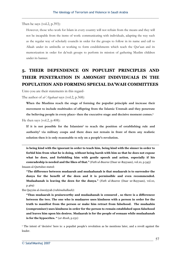Then he says (vol.2, p.393):

However, those who work for Islam in every country will not refrain from the means and they will not be incapable from the items of work: communicating with individuals, adapting the way such as the regular way of scholarly councils in order for the groups to follow in its name and call to Allaah under its umbrella or working to form establishments which teach the Qur'aan and its memorization in order for da'wah groups to perform its mission of gathering Muslim children under its banner.

## **5. THEIR DEPENDENCE ON POPULIST PRINCIPLES AND THEIR PENETRATION IN AMONGST INDIVIDUALS IN THE POPULATION AND FORMING SPECIAL DA'WAH COMMITTEES**

Unto you are their statements in this regard-

The author of *al-'Aqabaat* says (vol.2, p.368):

**When the Muslims reach the stage of forming the populist principle and increase their movement to include multitudes of offspring from the Islamic Ummah and they penetrate the believing people in every place- then the executive stage and decisive moment comes.1** He then says (vol.2, p.408):

If it is not possible for the Islamists<sup>1</sup> to reach the position of establishing rule and **authority2 via military coups and there does not remain in front of them any realistic solution then it is only reasonable to rely on a people's revolution.** 

**is being kind with the ignorant in order to teach him, being kind with the sinner in order to forbid him from what he is doing, without being harsh with him so that he does not expose what he does, and forbidding him with gentle speech and action, especially if his comradeship is needed and the likes of that."** (*Fath ul-Baaree* (Daar ur-Rayyaan), vol.10, p.545) Imaam al-Qurtubee stated:

**"The difference between mudaarah and mudaahanah is that mudaarah is to surrender the dunya for the benefit of the deen and it is permissible and even recommended. Mudaahanah is leaving the deen for the dunya."** (*Fath ul-Baaree* (Daar ur-Rayyaan), vol.10, p.469)

Ibn Qayyim al-Jawziyyah *(rahimahullaah)*:

**"Thus mudaarah is praiseworthy and mudaahanah is censured , so there is a differenece between the two. The one who is mudaaree uses kindness with a person in order for the truth to manifest from the person or make him retract from falsehood. The mudaahin (compromiser) uses kindness in order for the person to remain established upon falsehood and leaves him upon his desires. Mudaarah is for the people of eemaan while mudaahanah is for the hypocrites. "** (*ar-Rooh*, p.231)

1 The intent of 'decisive' here is: a populist people's revolution as he mentions later, and a revolt against the leader.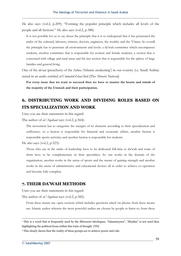He also says (vol.2, p.209): "Forming the populist principle which includes all levels of the people and all factions." He also says (vol.2, p.388):

It is not possible for us to say about the principle that it is so widespread that it has penetrated the midst of the cultured, laborers, citizens, doctors, engineers, the wealthy and the 'Ulama. So overall the principle has to penetrate all environments and levels: a da'wah committee which encompasses students, another committee that is responsible for women and female students, a section that is concerned with village and rural areas and the last section that is responsible for the sphere of large families and general living.

One of the *du'aat* (preachers) of the *Sahwa* ('Islamic awakening') in our country (i.e. Saudi Arabia) stated in an audio entitled *al-Ummatul-Ghaa'ibah* [The Absent Nation]:

**For every issue that we want to succeed then we have to muster the hearts and minds of the majority of the Ummah and their participation.** 

### **6. DISTRIBUTING WORK AND DIVIDING ROLES BASED ON ITS SPECIALIZATION AND WORK**

Unto you are their statements in this regard-

The author of *al-'Aqabaat* says (vol.2, p.564):

The movement has to categorise the energies of its elements according to their specialization and sufficiency, so a faction is responsible for financial and economic affairs, another faction is responsible sports activities and another faction is responsible for students.

He also says (vol.2, p.523):

Those who are in the ranks of leadership have to be dedicated full-time to da'wah and some of them have to be complementary in their specialities. So one works in the domain of the organization, another works in the arena of sports and the means of gaining strength and another works in the arena of administrative and educational devices all in order to achieve co-operation and become fully complete.

### **7. THEIR DA'WAH METHODS**

Unto you are their statements in this regard-

The author of *al-'Aqabaat* says (vol.2, p.382):

From these means are: open sessions which includes questions asked via phone; from these means are: Islamic audios wherein the most powerful audios are chosen by people to listen to; from these

<sup>1</sup> This is a word that is frequently used by the *Ikhwaani* ideologues, "Islaamiyyeen", "Muslim" is not used thus highlighting the political focus within this train of thought. [TN]

<sup>&</sup>lt;sup>2</sup> This clearly shows that the reality of these groups are to achieve power and rule.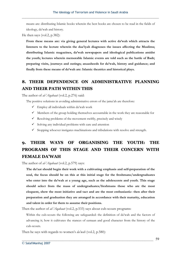means are: distributing Islamic books wherein the best books are chosen to be read in the fields of ideology, da'wah and history.

He then says (vol.2, p.382):

**From these means are: via giving general lectures with active da'wah which attracts the listeners to the lecture wherein the daa'iyah diagnoses the issues affecting the Muslims; distributing Islamic magazines, da'wah newspapers and ideological publications amidst the youth; lectures wherein memorable Islamic events are told such as the battle of Badr; preparing visits, journeys and outings; anaasheeds for da'wah, history and guidance; and finally from these means of da'wah are: Islamic theatrics and historical plays.** 

### **8. THEIR DEPENDENCE ON ADMINISTRATIVE PLANNING AND THEIR PATH WITHIN THIS**

The author of *al-'Aqabaat* (vol.2, p.276) said:

The positive solutions in avoiding administrative errors of the jama'ah are therefore:

- $\checkmark$  Employ all individuals within da'wah work
- $\checkmark$  Members of the group holding themselves accountable in the work they are reasonable for
- $\checkmark$  Resolving problems of the movement swiftly, precisely and wisely
- $\checkmark$  Solving any individual problems with care and attention
- $\checkmark$  Stopping whoever instigates machinations and tribulations with resolve and strength.

## **9. THEIR WAYS OF ORGANISING THE YOUTH: THE PROGRAMS OF THIS STAGE AND THEIR CONCERN WITH FEMALE DA'WAH**

The author of *al-'Aqabaat* (vol.2, p.579) says:

**The du'aat should begin their work with a cultivating emphasis and self-preparation of the soul, the focus should be on this at this initial stage for the freshmans/undergraduates who enter into the da'wah at a young age, such as the adolescents and youth. This stage should select from the mass of undergraduates/freshmans those who are the most eloquent, show the most initiative and tact and are the most enthusiastic- then after their preparation and graduation they are arranged in accordance with their maturity, education and talent in order for them to assume their positions.** 

Then the author of *al-'Aqabaat* (vol.2, p.533) says about cub-scouts programs:

Within the cub-scouts the following are safeguarded: the definition of da'wah and the factors of advancing it; how it cultivates the stances of eemaan and good character from the history of the cub-scouts.

Then he says with regards to women's *da'wah* (vol.2, p.580):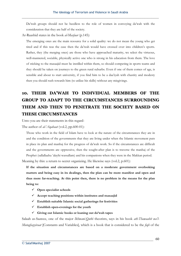Da'wah groups should not be heedless to the role of women in conveying da'wah with the consideration that they are half of the society.

Ar-Raashid states in the book *al-Masfaar* (p.145):

The emerging ones are the main resource for a solid quality: we do not mean the young who get tired and if this was the case then the da'wah would have crossed over into children's sports. Rather, they (the merging ones) are those who have approached maturity, we select the virtuous, well-mannered, sociable, physically active one who is strong in his education from them. The love of sticking to the masaajid must be instilled within them, so should competing in sports teams and they should be taken on journeys to the green rural suburbs. Even if one of them comes of age, is sensible and about to start university, if you find him to be a daa'iyah with chastity and modesty then you should rush towards him (to utilize his skills) without any misgivings.

## **10. THEIR DA'WAH TO INDIVIDUAL MEMBERS OF THE GROUP TO ADAPT TO THE CIRCUMSTANCES SURROUNDING THEM AND THEN TO PENETRATE THE SOCIETY BASED ON THESE CIRCUMSTANCES**

Unto you are their statements in this regard-

The author of *al-'Aqabaat* (vol.2, pp.600-01):

Those who work in the field of Islam have to look at the nature of the circumstances they are in and the condition of the governments that they are living under when the Islamic movement puts in place its plan and manhaj for the progress of da'wah work. So if the circumstances are difficult and the governments are oppressive, then the sought-after plan is to traverse the manhaj of the Prophet (sallallaahu 'alayhi wassallam) and his companions when they were in the Makkan period.

Meaning by this: a return to secret organizing. He likewise says (vol.2, p.601):

**If the situation and circumstances are based on a moderate government overlooking matters and being easy in its dealings, then the plan can be more manifest and open and thus more far-reaching. At this point then, there is no problem in the means for the plan being to:** 

- 9**Open specialist schools**
- 9**Accept teaching positions within institutes and masaajid**
- 9**Establish suitable Islamic social gatherings for festivities**
- 9**Establish open-evenings for the youth**
- 9**Giving out Islamic books or loaning out da'wah tapes**

Salaah as-Saawee, one of the major *Ikhwani-Qutbi* theorists, says in his book *ath-Thawaabit wa'l-Mutaghayyiraat* [Constants and Variables], which is a book that is considered to be the *fiqh* of the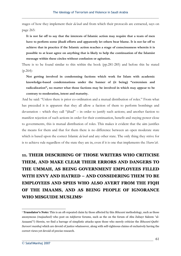stages of how they implement their *da'wah* and from which their protocols are extracted, says on page 265:

**It is not far off to say that the interests of Islamic action may require that a team of men have to perform some jihadi efforts and apparently let others bear blame. It is not far off to achieve that in practice if the Islamic action reaches a stage of consciousness wherein it is possible to at least agree on anything that is likely to help the continuation of the Islamist message within these circles without confusion or agitation.**

There is to be found similar to this within the book (pp.281-285) and before this he stated (p.264):

**Not getting involved in condemning factions which work for Islam with academic knowledge-based condemnations under the banner of (it being) "extremism and radicalization", no matter what those factions may be involved in which may appear to be contrary to moderation, intent and maturity.** 

And he said: "Unless there is prior co-ordination and a mutual distribution of roles." From what has preceded it is apparent that they all allow a faction of them to perform bombings and devastation – which they call "jihad" – in order to justify such actions; and another faction to manifest rejection of such actions in order for their continuation, benefit and staying power close to governments, this is mutual distribution of roles. This makes it evident that the aim justifies the means for them and that for them there is no difference between an open moderate state which is based upon the correct Islamic *da'wah* and any other state. The only thing they strive for is to achieve rule regardless of the state they are in, even if it is one that implements the *Sharee'ah*.

# **11. THEIR DESCRIBING OF THOSE WRITERS WHO CRITICISE THEM, AND MAKE CLEAR THEIR ERRORS AND DANGERS TO THE UMMAH, AS BEING GOVERNMENT EMPLOYEES FILLED WITH ENVY AND HATRED – AND CONSIDERING THEM TO BE EMPLOYEES AND SPIES WHO ALSO AVERT FROM THE FIQH OF THE IMAAMS, AND AS BEING PEOPLE OF IGNORANCE WHO MISGUIDE MUSLIMS1**

<sup>1</sup> **Translator's Note:** This is an oft-repeated claim by those affected by this *Ikhwani* methodology, such as those anonymous *(majaaheel)* who post on *takfeeree* forums, such as the on the forum of Abu Zubayr Saleem "al-Azzaami"!) Herein, we find a barrage of simplistic attacks upon those who merely criticize the *Ikhwani-Qutbi-Suroori manhaj* which are devoid of justice whatsoever, along with self-righteous claims of exclusively having the correct views yet devoid of precise research.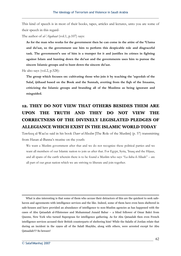This kind of speech is in most of their books, tapes, articles and lectures, unto you are some of their speech in this regard-

The author of *al-'Aqabaat* (vol.1, p.107) says:

**As for the man who works for the government then he can come in the attire of the 'Ulama and du'aat, so the government use him to perform this despicable role and disgraceful task. The government's use of him is a trumpet for it and justifies its crimes in fighting against Islam and hunting down the du'aat and the governments uses him to pursue the sincere Islamic groups and to hunt down the sincere du'aat.** 

He also says (vol.2, p.528):

**The group which focuses on: cultivating those who join it by teaching the 'aqeedah of the Salaf, ijtihaad based on the Book and the Sunnah, averting from the fiqh of the Imaams, criticizing the Islamic groups and branding all of the Muslims as being ignorant and misguided.**

# **12. THEY DO NOT VIEW THAT OTHERS BESIDES THEM ARE UPON THE TRUTH AND THEY DO NOT VIEW THE CORRECTNESS OF THE DIVINELY LEGISLATED PLEDGES OF ALLEGIANCE WHICH EXIST IN THE ISLAMIC WORLD TODAY**

Tawfeeq al-Waa'ee said in his book *Dawr ul-Muslim* [The Role of the Muslim] (p. 57) transmitting from Hasan al-Banna's treatise on the youth:

We want a Muslim government after that and we do not recognize these political parties and we want all members of our Islamic nation to join us after that. For Egypt, Syria, 'Iraaq and the Hijaaz, and all spans of the earth wherein there is to be found a Muslim who says "La ilaha il-Allaah" – are all part of our great nation which we are striving to liberate and join together.

What is also interesting is that some of them who accuse their detractors of this are the quickest to seek safehaven and agreements with intelligence services and the like. Indeed, some of them have even been sheltered in safe-houses and have provided an abundance of intelligence to non-Muslim agencies as has happened with the cases of Abu Qataadah al-Filisteenee and Muhammad Junaid Babar – a blind follower of Omar Bakri from Queens, New York who turned Supergrass for intelligence gathering. As for Abu Qataadah then even French intelligence services accused their British counterparts of sheltering him! While the Salafis of Jordan relate that during an incident in the 1990s all of the Salafi Shaykhs, along with others, were arrested except for Abu Qataadah!!? So beware!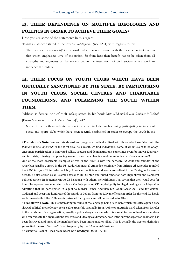### **13. THEIR DEPENDENCE ON MULTIPLE IDEOLOGIES AND POLITICS IN ORDER TO ACHIEVE THEIR GOALS1**

Unto you are some of the statements in this regard-

'Isaam al-Basheer stated in the journal *al-Mujtama'* (no. 1231) with regards to this:

There are cadres (*kawaadir*)<sup>2</sup> in the world which do not disagree with the Islamic current such as that which emphasizes love of the nation. So from here then benefit has to be taken from all strengths and segments of the society within the institutions of civil society which work to influence the leaders.

# **14. THEIR FOCUS ON YOUTH CLUBS WHICH HAVE BEEN OFFICIALLY SANCTIONED BY THE STATE: BY PARTICIPAING IN YOUTH CLUBS, SOCIAL CENTRES AND CHARITABLE FOUNDATIONS, AND POLARISING THE YOUTH WITHIN THEM**

'Abbaas as-Seesee, one of their *du'aat*, stated in his book *Min al-Madhbah ilaa Saahaat it-Da'wah* [From Massacre to the Da'wah Arena]<sup>3</sup>, p.42:

Some of the brothers indicated a new idea which included us becoming participating members of social and sports clubs which have been recently established in order to occupy the youth in the

<sup>2</sup> **Translator's Note:** This is interesting in terms of the language being used here which indicates again a very shrewd political methodology, for a 'cadre' (possibly originally from Arabic or an Arabic word taken from it) refer to the backbone of an organisation, usually a political organisation, which is a small faction of hardcore members who can recreate the organisations structure and ideological direction, even if the current organisational form has been destroyed and most of the members have been imprisoned or killed. This is actually the western definition yet we find the word *'kawaadir'* used frequently by the *Ikhwan ul-Muslimeen*.

3 Alexandria: Daar at-Tibaa' wa'n-Nashr wa's-Sawtiyyah, 1988 CE. [TN]

<sup>1</sup> **Translator's Note:** We see this shrewd and pragmatic method utilised with those who have fallen into the *Ikhwani modus operandi* in the West also. As a result, we find individuals, some of whom claim to be *Salafi*, encourage participation in innovated rallies, protests and demonstrations, sometimes even for known Khawaarij and terrorists, thinking that prancing around on such marches is somehow an indicator of one's *eemaan*?!

One of the more despicable examples of this in the West is with the hardcore *ikhwani* and founder of the *American Muslim Council* in the US, AbdurRahmaan al-Amoodee, originally from Eritrea. Al-Amoodee founded the AMC in 1990 CE in order to lobby American politicians and was a consultant to the Pentagon for over a decade, he also served as an Islamic advisor to Bill Clinton and raised funds for both Republican and Democrat political parties. In September 2000 CE he, along with others, met with Bush Jnr. saying that they would vote for him if he repealed some anti-terror laws. On July 30 2004 CE he pled guilty to illegal dealings with Libya after admitting that he participated in a plot to murder Prince Abdullah bin 'Abdul'Azeez Aal Saud for Colonel Gaddaafi and accepting hundreds of thousands of dollars from top Libyan officials in order for this end. La hawla wa la quwwata ila billaah! He was imprisoned for 23 years and all praise is due to Allaah.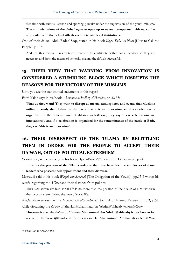free-time with cultural, artistic and sporting pursuits under the supervision of the youth ministry.

**The administrations of the clubs began to open up to us and co-operated with us, so the ship sailed with the help of Allaah via official and legal institutions.**

One of their *du'aat*, 'AbdulBadee' Saqr, stated in his book *Kayfa Tadu' an-Naas* [How to Call the People], p.122:

And for this reason it necessitates preachers to contribute within social services as they are necessary and from the means of generally making the da'wah successful.

## **15. THEIR VIEW THAT WARNING FROM INNOVATION IS CONSIDERED A STUMBLING BLOCK WHICH DISRUPTS THE REASONS FOR THE VICTORY OF THE MUSLIMS**

Unto you are the transmitted statements in this regard-

Fathi Yakin says in his book *Ahadharoo al-Ieedhaz al-Harakee*, pp.32-33:

**What do they want? They want to disrupt all means, atmospheres and events that Muslims utilize to study their Islam on the basis that it is an innovation, so if a celebration is organized for the remembrance of al-Israa wa'l-Mi'raaj, they say "these celebrations are innovations", and if a celebration is organized for the remembrance of the battle of Badr, they say "this is an innovation".** 

## **16. THEIR DISRESPECT OF THE 'ULAMA BY BELITTLING THEM IN ORDER FOR THE PEOPLE TO ACCEPT THEIR DA'WAH, OUT OF POLITICAL EXTREMISM**

Yoosuf al-Qaradaawee says in his book *Ayna'l-Khalal?* [Where is the Deficiency?], p.24:

**…just as the problem of the 'Ulama today is that they have become employees of those leaders who possess their appointment and their dismissal.** 

Mawdudi said in his book *Waajib ush-Shabaab* [The Obligation of the Youth]<sup>1</sup>, pp.15-6 within his words regarding the *'Ulama* and their distance from politics:

Their task within civilized social life is no more than the position of the brakes of a car wherein they occupy a remit below the pace of social life.

Al-Qaradaawee says in the *Majallat ul-Ba'th al-Islami* [Journal of Islamic Research], no.3, p.57, while discussing the *da'wah* of Shaykh Muhammad ibn 'AbdulWahhaab *(rahimahullaah)*:

**However it (i.e. the da'wah of Imaam Muhammad ibn 'AbdulWahhaab) is not known for revival in terms of ijtihaad and for this reason Dr Muhammad 'Ammaarah called it "as-**

<sup>1</sup> Cairo: Dar al-Ansar, 1978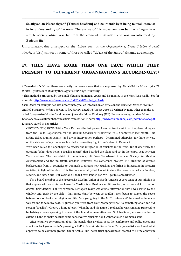**Salafiyyah an-Nusoosiyyah" [Textual Salafism] and he intends by it being textual: literalist in its understanding of the texts. The excuse of this movement can be that it began in a simple society which was far from the arena of civilization and was overwhelmed by Bedouin life.1**

Unfortunately, this disrespect of the *'Ulama* such as the *Organization of Senior Scholars of Saudi Arabia*, is (also) shown by some of those so-called "du'aat of the Sahwa" (Islamic awakening).

### **17. THEY HAVE MORE THAN ONE FACE WHICH THEY PRESENT TO DIFFERENT ORGANISATIONS ACCORDINGLY;2**

We'd been called to Copenhagen to discuss the integration of Muslims in the West. But it was really the question "What does being a Muslim mean?" that boarded the plane and sat in the empty seat between Yasir and me. The brainchild of the not-for-profit New York-based American Society for Muslim Advancement and the multifaith Cordoba Initiative, the conference brought 100 Muslims of diverse backgrounds from 15 countries to Denmark to discuss how Muslims are faring in integrating in Western societies, in light of the clash of civilizations mentality that has set in since the terrorist attacks in London, Madrid, and New York. But Yasir and I hadn't even landed yet. We'll get to Denmark later.

I'm a board member of the Progressive Muslim Union of North America. A core tenet of our mission is that anyone who calls him or herself a Muslim is a Muslim - no litmus test, no scorecard for ritual or dogma. Self identity is all we consider. Perhaps it really was divine intervention that I was seated by the window and Yasir by the aisle - that empty chair between us couldn't even begin to convey the space between our outlooks on religion and life. "Are you going to the MLT conference?" he asked as he made way for me to take my seat. "I guessed you were from your Arabic jewelry." So something about me *did* scream "Muslim"? Or give a hint, at least? When he said his name, I realized he was someone rumored to be balking at even speaking to some of the liberal women attendees. So I hesitated, unsure whether to extend a hand to shake because some conservative Muslims don't want to touch a woman's hand.

 After tentative conversation about the panels that awaited us at the conference and polite questions about our backgrounds - he's pursuing a PhD in Islamic studies at Yale, I'm a journalist - we found what appeared to be common ground: Saudi Arabia. But "never trust appearances" seemed to be the aphorism

<sup>1</sup> **Translator's Note:** these are exactly the same views that are expressed by Abdal-Hakim Murad (aka TJ Winter), professor of Divinity theology at *Cambridge University*.

<sup>2</sup> This method is traversed by the Saudi *Ikhwani* Salman al-'Awda and his mentee in the West Yasir Qadhi. See for example: http://www.salafimanhaj.com/pdf/SalafiManhaj\_AlAwda

Yasir Qadhi for example has also unfortunately fallen into this, in an article in the *Christian Science Monitor* entitled *Backstory: What it Means to be Muslim*, dated: 16 August 2006 CE written by none other than the socalled "progressive Muslim" and neo-con journalist Mona Eltahawy (!!!?). For some background on Mona Eltahawy see a salafimanhaj.com article from 2004 CE here: http://www.salafimanhaj.com/pdf/Eltahawy.pdf Eltahawy stated in her article:

*COPENHAGEN, DENMARK* – Yasir Kazi was the last person I wanted to sit next to on the plane taking us from the US to Copenhagen for the *Muslim Leaders of Tomorrow (MLT)* conference last month. But airline ticket counter agents - and divine intervention perhaps - determined otherwise, for there he was, on the aisle seat of my row as we boarded a connecting flight from Iceland to Denmark...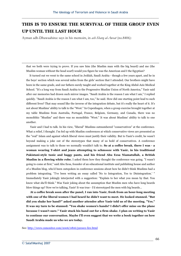### **THIS IS TO ENSURE THE SURVIVAL OF THEIR GROUP EVEN UP UNTIL THE LAST HOUR**

Ayman adh-Dhawaahiree says in his memoirs, in *ash-Sharq al-Awsat* (no.8406):

that we both were trying to prove. If you saw him (the Muslim man with the big beard) and me (the Muslim woman without the head scarf) would you figure he was the American and I the Egyptian?

It turned out we went to the same school in Jeddah, Saudi Arabia - though a few years apart, and he in the boys' section which was several miles from the girls' section that I attended. Our brothers might have been in the same grade, and our fathers surely taught and worked together at the King Abdul-Aziz Medical School. "It's a long way from Saudi Arabia to the Progressive Muslim Union of North America," Yasir said after our memories had drawn such mirror images. "Saudi Arabia is the reason I am what I am," I replied quickly. "Saudi Arabia is the reason I am what I am, too," he said. How did one starting point lead to such different lives? That may sound like the inverse of the integration debate, but it's really the heart of it. It's not about Muslims' ability to talk to the "West." In Copenhagen, when a group exercise brought together at my table Muslims from Australia, Portugal, France, Belgium, Germany, and Canada, there was no monolithic "Muslim" and there was no monolithic "West." It was about Muslims' ability to talk to one another.

Yasir and I had to talk. In his view, "liberal" Muslims outnumbered "conservatives" at the conference. What a relief, I thought. I'm fed up with Muslim conferences at which conservative views are presented as the "real" Islam and against which liberal views must justify their validity. But to Yasir's credit, he wasn't beyond making a joke out of the stereotypes that many of us hold of conservatives. A conference assignment was to talk to those we normally wouldn't talk to. **So at a coffee break, there I was - a woman wearing T-shirt and jeans attempting to schmooze with Yasir, in his traditional Pakistani-style tunic and baggy pants, and his friend Abu Eesa Niamatullah, a British Muslim in a flowing white robe.** I asked them how they thought the conference was going. "I wasn't going to come at first," said Abu Eesa, founder of an educational institute and publishing house and author of a Muslim blog, who'd been outspoken in conference sessions about how he didn't think Muslims had a problem integrating. "I've been writing an essay called 'No to Integration, Yes to Disintegration.' " Immediately Yasir jokingly interjected with a suggestion: "Explain to her what you mean by that. You know what she'll think." Was Yasir joking about the assumption that Muslim men who have long beards blow things up? Now we're talking, Yasir! It was true - I'd stereotyped the men with big beards...

**At a coffee break soon after the panel, I ran into Yasir, fresh from an hour-long meeting with one of the liberal women I had heard he didn't want to meet. He looked stunned. "But did you shake her hand?" asked another attendee after Yasir told us of the meeting. "Yes." It was my turn to be stunned: "You shake women's hands? I didn't offer mine on the plane because I wasn't sure." Yasir stuck his hand out for a firm shake. I plan on writing to Yasir to continue our conversation. Maybe I'll even suggest that we write a book together on how Saudi Arabia made us who we are today.** 

See: http://www.csmonitor.com/2006/0816/p20s01-lire.html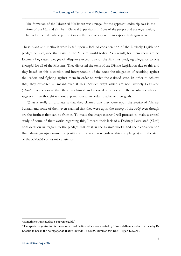The formation of the Ikhwan ul-Muslimeen was strange, for the apparent leadership was in the form of the Murshid al- 'Aam [General Supervisor]<sup>1</sup> in front of the people and the organization, but as for the real leadership then it was in the hand of a group from a specialized organization.2

These plans and methods were based upon a lack of consideration of the Divinely Legislation pledges of allegiance that exist in the Muslim world today. As a result, for them there are no Divinely Legislated pledges of allegiance except that of the Muslims pledging allegiance to one *Khaleefah* for all of the Muslims. They distorted the texts of the Divine Legislation due to this and they based on this distortion and interpretation of the texts: the obligation of revolting against the leaders and fighting against them in order to revive the claimed state. In order to achieve that, they exploited all means even if this included ways which are not Divinely Legislated (*Shari'*). To the extent that they proclaimed and allowed alliances with the secularists who are *kuffaar* in their thought without explanation- all in order to achieve their goals.

 What is really unfortunate is that they claimed that they were upon the *manhaj* of Ahl us-Sunnah and some of them even claimed that they were upon the *manhaj* of the *Salaf* even though are the furthest that can be from it. To make the image clearer I will proceed to make a critical study of some of their works regarding this, I mean: their lack of a Divinely Legislated (*Shari'*) consideration in regards to the pledges that exist in the Islamic world, and their consideration that Islamic groups assume the position of the state in regards to this (i.e. pledges) until the state of the *Khilaafah* comes into existence.

<sup>1</sup> Sometimes translated as a 'supreme guide'.

<sup>&</sup>lt;sup>2</sup> The special organisation is the secret armed faction which was created by Hasan al-Banna, refer to article by Dr Khaalis Jalbee in the newspaper *al-Watan* (Riyadh), no.1225, Jumu'ah 15th Dhu'l-Hijjah 1424 AH.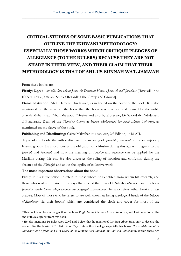# **CRITICAL STUDIES OF SOME BASIC PUBLICATIONS THAT OUTLINE THE IKHWANI METHODOLOGY: ESPECIALLY THOSE WORKS WHICH CRITIQUE PLEDGES OF ALLEGIANCE (TO THE RULERS) BECAUSE THEY ARE NOT SHARI' IN THEIR VIEW, AND THEIR CLAIM THAT THEIR METHODOLOGY IS THAT OF AHL US-SUNNAH WA'L-JAMA'AH**

#### From these books are:

**Firstly:** *Kayfa'l-Amr idha lam takun Jama'ah: Darasaat Hawla'l-Jama'ah wa'l-Jama'aat* [How will it be If there isn't a Jama'ah? Studies Regarding the Group and Groups]

**Name of Author:** 'AbdulHameed Hindaawee, as indicated on the cover of the book. It is also mentioned on the cover of the book that the book was reviewed and praised by the noble Shaykh Muhammad 'AbdulMaqsood 'Afeefee and also by Professor, Dr Sa'ood ibn 'Abdullaah al-Funaysaan, Dean of the *Sharee'ah College* at *Imaam Muhammad bin Saud Islamic University*, as mentioned on the sleeve of the book.

### **Publishing and Distributing:** Cairo: Maktabat ut-Taabi'een, 2nd Edition, 1418 AH.

**Topic of the book:** the author discussed the meaning of *'Jama'ah', 'imaamah'* and contemporary Islamic groups. He also discusses the obligation of a Muslim during this age with regards to the *Jama'ah* and *imaamah* and how the meaning of *Jama'ah* and *imaamah* can be applied for the Muslims during this era. He also discusses the ruling of isolation and confusion during the absence of the *Khilaafah* and about the legality of collective work.

#### **The most important observations about the book:**

Firstly: in his introduction he refers to those whom he benefited from within his research, and those who read and praised it, he says that one of them was Dr Salaah as-Saawee and his book *Jamaa'at ul-Muslimeen Mafhoomahaa wa Kayfiyyat Lazoomihaa*, 1 he also refers other books of as-Saawee. Most of those who he refers to are well known as being ideological heads of the *Ikhwan* ul-Muslimeen via their books<sup>2</sup> which are considered the cloak and cover for most of the

<sup>1</sup> This book is no less in danger than the book *Kayfa'l-Amr idha lam takun Jamaa'ah*, and I will mention at the end of this a segment from this book.

<sup>2</sup> He also mentions Dr Bakr Aboo Zayd and I view that he mentioned Dr Bakr Aboo Zayd only to deceive the reader. For the books of Dr Bakr Aboo Zayd refute this ideology especially his books *Hukm al-Intimaa' li-Jama'aat wa'l-Afraad* and *Min Usool Ahl is-Sunnah wa'l-Jama'ah ar-Rad 'ala'l-Mukhaalif*. Within these two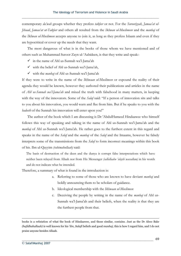contemporary *da'wah* groups whether they profess *takfeer* or not. For the *Surooriyyah*, *Jamaa'at ul-Jihaad*, *Jamaa'at ut-Takfeer* and others all resulted from the *Ikhwan ul-Muslimeen* and the *manhaj* of the *Ikhwan ul-Muslimeen* accepts anyone to join it, as long as they profess Islaam and even if they are hypocritical or cover up the needs that they want.

 The most dangerous of what is in the books of those whom we have mentioned and of others such as Muhammad Suroor Zayn ul-'Aabideen, is that they write and speak:-

- $\checkmark$  in the name of Ahl us-Sunnah wa'l-Jama'ah
- $\checkmark$  with the belief of Ahl us-Sunnah wa'l-Jama'ah,
- 9with the *manhaj* of Ahl us-Sunnah wa'l-Jama'ah

If they were to write in the name of the *Ikhwaan ul-Muslimeen* or expound the reality of their agenda they would be known, however they authored their publications and articles in the name of *Ahl us-Sunnah wa'l-Jama'ah* and mixed the truth with falsehood in many matters, in keeping with the way of the innovators. Some of the *Salaf* said: "If a person of innovation sits and talks to you about his innovation, you would warn and flee from him. But if he speaks to you with the *hadeeth* of the Sunnah his innovation will enter upon you!"

The author of the book which I am discussing is Dr 'AbdulHameed Hindaawee who himself follows this way of speaking and talking in the name of Ahl us-Sunnah wa'l-Jama'ah and the *manhaj* of Ahl us-Sunnah wa'l-Jama'ah. He rather goes to the furthest extent in this regard and speaks in the name of the *Salaf* and the *manhaj* of the *Salaf* and the Imaams, however he falsely interprets some of the transmissions from the *Salaf* to form incorrect meanings within this book of his. Ibn ul-Qayyim *(rahimahullaah)* said:

The basis of destruction of the deen and the dunya is corrupt false interpretations which have neither been relayed from Allaah nor from His Messenger *(sallallaahu 'alayhi wassallam)* in his words and do not indicate what he intended.

Therefore, a summary of what is found in the introduction is:

- a. Referring to some of those who are known to have deviant *manhaj* and boldly announcing them to be scholars of guidance.
- b. Ideological membership with the *Ikhwaan ul-Muslimeen*
- c. Deceiving the people by writing in the name of the *manhaj* of Ahl us-Sunnah wa'l-Jama'ah and their beliefs, when the reality is that they are the furthest people from that.

books is a refutation of what the book of Hindaawee, and those similar, contains. Just as the Dr Aboo Bakr *(hafidhahullaah)* is well known for his *'ilm*, *Salafi* beliefs and good *manhaj*, this is how I regard him, and I do not praise anyone besides Allaah.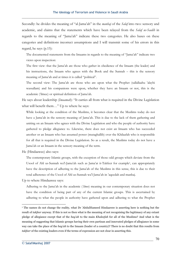Secondly: he divides the meaning of "al-Jama'ah" in the *manhaj* of the *Salaf* into two: sensory and academic, and claims that the statements which have been relayed from the *Salaf us-Saalih* in regards to the meaning of "Jama'ah" indicate these two categories. He also bases on these categories and definitions incorrect assumptions and I will transmit some of his errors in this regard, he says (p.15):

The documented statements from the Imaams in regards to the meaning of "Jama'ah" indicate two views upon inspection:

The first view: that the Jama'ah are those who gather in obedience of the Imaam (the leader) and his instructions, the Imaam who agrees with the Book and the Sunnah – this is the sensory meaning of Jama'ah and at times it is called "political".

The second view: The Jama'ah are those who are upon what the Prophet (sallallaahu 'alayhi wassallam) and his companions were upon, whether they have an Imaam or not, this is the academic ('ilmee) or spiritual definition of Jama'ah.

He says about leadership (*Imaamah*): "It carries all from what is required in the Divine Legislation what will benefit them…" Up to where he says:

While looking at the condition of the Muslims, it becomes clear that the Muslims today do not have a Jama'ah in the sensory meaning of Jama'ah. This is due to the lack of them gathering and uniting on an Imaam who agrees with the Divine Legislation and who the people of authority have gathered to pledge allegiance to. Likewise, there does not exist an Imaam who has succeeded another or an Imaam who has assumed power (mutaghallib) over the Khilaafah who is responsible for all that is required in the Divine Legislation. So as a result, the Muslims today do not have a Jama'ah or an Imaam in the sensory meaning of the term.

He (Hindaawee) also says:

The contemporary Islamic groups, with the exception of those odd groups which deviate from the Usool of Ahl us-Sunnah wa'l-Jama'ah such as Jama'at it-Takfeer for example1, can appropriately have the description of adhering to the Jama'ah of the Muslims in this sense, this is due to their total adherence of the Usool of Ahl us-Sunnah wa'l-Jama'ah in 'aqeedah and manhaj.

Up to where Hindaawee says:

Adhering to the Jama'ah in the academic (*'ilmee*) meaning in our contemporary situation does not have the condition of being part of any of the current Islamic groups. This is ascertained by adhering to what the people in authority have gathered upon and adhering to what the Prophet

<sup>&</sup>lt;sup>1</sup> The names do not change the reality, what Dr 'AbdulHameed Hindaawee is asserting here is nothing but the result of *takfeer* anyway. If this is not so then what is the meaning of not recognising the legitimacy of any extant pledge of allegiance except that of the *bay'ah* to the main *Khaleefah* for all of the Muslims? And what is the meaning of suggesting that Islamic groups having their own partisan and innovated pledges of allegiance in some way can take the place of the *bay'ah* to the Imaam (leader of a country)? There is no doubt that this results from *takfeer* of the existing leaders even if the terms of expression are not clear in asserting this.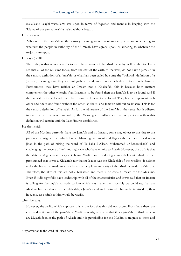(sallallaahu 'alayhi wassallam) was upon in terms of 'aqeedah and manhaj in keeping with the 'Ulama of the Sunnah wa'l-Jama'ah, without bias….

#### He also says:

Adhering to the Jama'ah in the sensory meaning in our contemporary situation is adhering to whatever the people in authority of the Ummah have agreed upon; or adhering to whatever the majority are upon.

#### He says (p.101):

The reality is that whoever seeks to read the situation of the Muslims today, will be able to clearly see that all of the Muslims today, from the east of the earth to the west, do not have a Jama'ah in the sensory definition of a Jama'ah, or what has been called by some the "political" definition of a Jama'ah, meaning that they are not gathered and united under obedience to a single Imaam. Furthermore, they have neither an Imaam nor a Khaleefah, this is because both matters complement the other wherein if an Imaam is to be found then the Jama'ah is to be found, and if the Jama'ah is to be found, then the Imaam is likewise to be found. They both compliment each other and one is not found without the other, so there is no Jama'ah without an Imaam. This is for the sensory definition of Jama'ah. As for the adherence of the Jama'ah in the sense that it adheres to the manhaj that was traversed by the Messenger of Allaah and his companions – then this definition will remain until the Last Hour is established.

#### He then said:

All of the Muslims currently1 have no Jama'ah and no Imaam, some may object to this due to the presence of Afghanistan which has an Islamic government and flag established and based upon jihad in the path of raising the word of "la ilaha il-Allaah, Muhammad ur-Rasoolullaah" and challenging the powers of kufr and tughyaan who have enmity to Allaah. However, the truth is that the state of Afghanistan, despite it being Muslim and producing a superb Islamic jihad, neither pronounced that it was a Khilaafah nor that its leader was the Khaleefah of the Muslims, it neither seeks the bay'ah to made to it nor have the people in authority of the Muslims made bay'ah to it. Therefore, the likes of this are not a Khilaafah and there is no certain Imaam for the Muslims. Even if it did rightfully have leadership, with all of the characteristics and it was said that an Imaam is calling for the bay'ah to made to him which was made, then possibly we could say that the Muslims have an abode of the Khilaafah, a Jama'ah and an Imaam who has to be returned to, then in such a case hijrah to him would be waajib.

Then he says:

However, the reality which supports this is the fact that this did not occur. From here then: the correct description of the jama'ah of Muslims in Afghanistan is that it is a jama'ah of Muslims who are Mujaahideen in the path of Allaah and it is permissible for the Muslim to migrate to them and

<sup>&</sup>lt;sup>1</sup> Pay attention to the word "all" used here.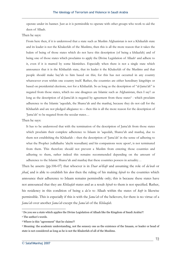operate under its banner. Just as it is permissible to operate with other groups who work to aid the deen of Allaah.

Then he says:

From here then, if it is understood that a state such as Muslim Afghanistan is not a Khilaafah state and its leader is not the Khaleefah of the Muslims, then this is all the more reason that it takes the hukm of being of those states which do not have this description (of being a khilaafah) and of being one of those states which proclaims to apply the Divine Legislation of Allaah<sup>1</sup> and adhere to it, even if it is marred by some blemishes. Especially when there is not a single state which announces that it is the Khilaafah state, that its leader it the Khaleefah of the Muslims and that people should make bay'ah to him based on this; for this has not occurred in any country whatsoever even within one country itself. Rather, the countries are either hereditary kingships or based on presidential elections, not for a Khilaafah. So as long as the description of "al-Jama'ah" is negated from those states, which no one disagrees are Islamic such as Afghanistan, then I say2: as long as the description of al-Jama'ah is negated by agreement from these states<sup>3</sup> - which proclaim adherence to the Islamic 'aqeedah, the Sharee'ah and the manhaj, because they do not call for the Khilaafah and are not pledged allegiance to – then this is all the more reason for the description of 'Jama'ah' to be negated from the secular states…

Then he says:

It has to be understood that with the termination of the description of Jama'ah from those states which proclaim their complete adherence to Islaam in 'aqeedah, Sharee'ah and manhaj, due to them not establishing the Khilaafah – then the description of 'Jama'ah' in the sense of adhering to what the Prophet (sallallaahu 'alayhi wassallam) and his companions were upon4, is not terminated from them. This therefore should not prevent a Muslim from entering those countries and adhering to them, rather indeed this remains recommended depending on the amount of adherence to the Islamic Sharee'ah and manhaj that these countries possess in actuality…

Then he asserts (pp.106-07) that whoever is in *Daar ul-Kufr* and assuming the role of *da'wah* or *jihad*, and is able to establish his *deen* then the ruling of his making *hijrah* to the countries which announce their adherence to Islaam remains permissible only; this is because these states have not announced that they are *Khilaafah* states and as a result *hijrah* to them is not specified. Rather, his residency in this condition of being a *da'ee* to Allaah within the states of *kufr* is likewise permissible. This is especially if this is with the *Jama'ah* of the believers, for there is no virtue of a *Jama'ah* over another *Jama'ah* except the *Jama'ah* of the *Khilaafah.*

1 Do you see a state which applies the Divine Legislation of Allaah like the Kingdom of Saudi Arabia?!

<sup>2</sup> The author's words.

<sup>3</sup> Where is this "agreement" that he claims?!

<sup>4</sup> Meaning: the academic understanding, not the sensory one as the existence of the Imaam, or leader or head of state is not considered as long as he is not the Khaleefah of all of the Muslims.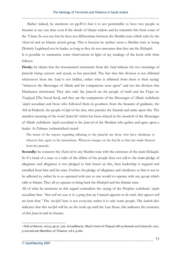Rather indeed, he mentions on pp.85-6 that it is not permissible to have two people as Imaams at any one time even if the abode of Islaam widens and he transmits this from some of the *'Ulama*. So you see that he does not differentiate between the Muslim state which rules by the *Sharee'ah* and an Islamic *da'wah* group. This is because he neither views a Muslim state as being Divinely Legislated nor its leader, as long as they do not announce that they are the *Khilaafah*. It is possible to summarise some observations in light of my readings of the book with what follows:

**Firstly:** he claims that the documented statements from the *Salaf* indicate the two meanings of Jama'ah being: sensory and actual, as has preceded. The fact that this division is not affirmed whatsoever from the *Salaf* is not hidden, rather what is affirmed from them is their saying: "whatever the Messenger of Allaah and his companions were upon" and not the division that Hindaawee mentioned. They also said: the *Jama'ah* are the people of truth and the *Firqat un-Naajiyyah* [The Saved Sect], and they are the companions of the Messenger of Allaah *(sallallaahu 'alayhi wassallam)* and those who followed them in goodness from the Imaams of guidance, the Ahl ul-Hadeeth, the people of *fiqh* of the *deen*, who practice the Sunnah and unite upon this. The manifest meaning of the word 'Jama'ah' which has been relayed in the *ahaadeeth* of the Messenger of Allaah *(sallallaahu 'alayhi wassallam)* is the *Jama'ah* of the Muslims who gather and agree upon a leader. At-Tabaree *(rahimahullaah)* stated:

The intent of the reports regarding adhering to the Jama'ah are those who have obedience to whoever they agree to his instructions. Whoever reneges on the bay'ah to him has made khurooj from the jama'ah.1

**Secondly:** he connects the *Sharee'ah* to any Muslim state with the existence of the main *Khilaafah*. So if a head of a state or a ruler of the affairs of the people does not call to the main pledge of allegiance and allegiance is not pledged to him based on this, then leadership is negated and annulled from him and his state. Further, his pledge of allegiance and obedience to him is not to be adhered to, rather he is co-operated with just as one would co-operate with any group which calls to Islaam. They all co-operate to bring back the *Khaleefah* and the Islamic state.

All of what he mentions in this regard contradicts the saying of the Prophet *(sallallaahu 'alayhi wassallam)* that: *"there will not cease to be a group from my Ummaah apparent on the truth, their opposers will not harm them."* The *'taa'ifah'* here is not everyone; rather it is only some people. The *hadeeth* also indicates that this *taa'ifah* will be on the truth up until the Last Hour, this indicates the existence of this *Jama'ah* and its Imaam.

<sup>1</sup> *Fath ul-Baaree,* vol.13, pp.37, 316; al-Laalikaa'ee, *Sharh Usool ul-'I'tiqaad Ahl us-Sunnah wa'l-Jama'ah*, vol.1, p.109 and ash-Shaatibee, *al-'I'tisaam*, vol.2, p.262.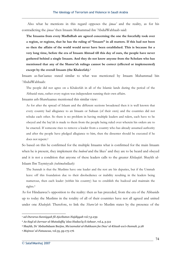Also what he mentions in this regard opposes the *ijmaa'* and the reality, as for his contradicting the *ijmaa'* then Imaam Muhammad ibn 'AbdulWahhaab said:

**The Imaams from every Madhdhab are agreed concerning the one the forcefully took over a region, or regions, that he has the ruling of "Imaam" in all matters. If this had not been so then the affairs of the world would never have been established. This is because for a very long time, before the era of Imaam Ahmad till this day of ours, the people have never gathered behind a single Imaam. And they do not know anyone from the Scholars who has mentioned that any of the Sharee'ah rulings cannot be correct (effected or implemented) except by the overall Imaam (the Khaleefah).1**

Imaam as-San'aanee stated similar to what was mentioned by Imaam Muhammad bin 'AbdulWahhaab:

The people did not agree on a Khaleefah in all of the Islamic lands during the period of the Abbasid state, rather every region was independent running their own affairs.

Imaams ash-Shawkaanee mentioned this similar view:

As for after the spread of Islaam and the different sections broadened then it is well known that every country had allegiance to an Imaam or Sultaan (of their own) and the countries did not rebuke each other. So there is no problem in having multiple leaders and rulers, each have to be obeyed and the bay'ah is made to them from the people being ruled over wherein his orders are to be enacted. If someone rises to remove a leader from a country who has already assumed authority and after the people have pledged allegiance to him, then the dissenter should be executed if he does not repent.2

So based on this he confirmed for the multiple Imaams what is confirmed for the main Imaam when he is present, they implement the *hudood* and the likes<sup>3</sup> and they are to be heard and obeyed and it is not a condition that anyone of these leaders calls to the greater *Khilaafah*. Shaykh ul-Islaam Ibn Taymiyyah *(rahimahullaah)*:

The Sunnah is that the Muslims have one leader and the rest are his deputies, but if the Ummah leave off this foundation due to their disobedience or inability resulting in the leaders being numerous, then each leader (within his country) has to establish the hudood and maintain the rights.4

As for Hindaawee's opposition to the reality: then as has preceded, from the era of the Abbasids up to today the Muslims in the totality of all of their countries have not all agreed and united under one *Khaleefah*. Therefore, to link the *Sharee'ah* to Muslim states by the presence of the

<sup>1</sup> *ad-Durarus-Sunniyyah fil-Ajwibatun-Najdiyyah* vol.7,p.239

<sup>2</sup> *As-Sayl al-Jarraar al-Mutadaffiq 'alaa Hadaa'iq il-Azhaar*, vol.4, p.512

<sup>3</sup> Shaykh, Dr 'AbdusSalaam Burjiss, *Mu'aamalat ul-Hukkaam fee Daw' al-Kitaab wa's-Sunnah*, p.28

<sup>4</sup> *Majmoo' al-Fataawaa*, vol.35, pp.175-176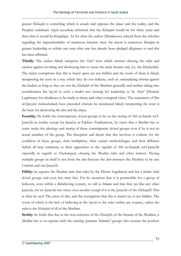greater *Khilaafah* is something which is unsafe and opposes the *ijmaa'* and the reality, and the Prophet *(sallallaahu 'alayhi wassallam)* informed that the *Khilaafah* would be for thirty years and then after it would be Kingships. As for what the author (Hindaawee) relayed from the scholars regarding the impermissibility of numerous Imaams then: the intent is numerous *Khulafaa* in greater leadership or within one state after one has already been pledged allegiance to and this has been affirmed.

**Thirdly:** The author falsely interprets the *Shari'* texts which instruct obeying the ruler and caution against revolting and disobeying him to mean the main Imaam only (i.e. the Khaleefah). The major corruptions that this is based upon are not hidden and the worst of them is falsely interpreting the texts in a way which they do not indicate, such as: rationalizing *khurooj* against the leaders as long as they are not the *Khaleefah* of the Muslims generally and neither taking into consideration the *bay'ah* to such a leader nor viewing his leadership to be *Shari'* (Divinely Legitimate) for obedience to be made to them; and other corrupted views. The statements of Ibn ul-Qayyim *(rahimahullaah)* have preceded wherein he mentioned falsely interpreting the texts is the basis for destroying the *deen* and the *dunya*.

**Fourthly:** He holds the contemporary *da'wah* groups to be on the *manhaj* of Ahl us-Sunah wa'l-Jama'ah in totality except for Jama'at ut-Takfeer. Furthermore, he views that a Muslim has to come under the ideology and *manhaj* of these contemporary *da'wah* groups even if he is not an actual member of the group. The deception and deceit that this involves is evident, for the condition of these groups, their multiplicity, their variant methodologies and their different beliefs all bear testimony to their opposition to the *'aqeedah* of Ahl us-Sunnah wa'l-Jama'ah especially in regards to *Haakimiyyah*, obeying the Muslim ruler and other matters. Having multiple groups in itself is not from the *deen* because the *deen* instructs the Muslims to be one Ummah and one Jama'ah.

**Fifthly:** he equates the Muslim state that rules by the Divine Legislation and has a leader with *da'wah* groups and even less than that. For he mentions that it is permissible for a group of believers, even within a disbelieving country, to call to Islaam and that they are like any other Jama'ah, for no Jama'ah has virtue over another except if it is the Jama'ah of the *Khilaafah*!! This is what he says! The error of this, and the corruptions that this is based on, is not hidden. The worst of which is the lack of believing in the *bay'ah* to the ruler within any country, unless the ruler is the *Khaleefah* of all of the Muslims.

**Sixthly:** he holds that due to the non-existence of the *Khaleefah*, or the Imaam of the Muslims, a Muslim has to co-operate with the existing (partisan 'Islamic') groups who assume the position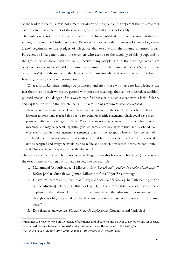of the leader, if the Muslim is not a member of any of the groups. It is apparent that this makes it easy to join up as a member of these *da'wah* groups even if it be ideologically.<sup>1</sup>

The writers who totally call to the Jama'ah of the Ikhwaan ul-Muslimeen, who claim that they are striving to revive the Muslim state and *Khaleefah*, do not view that there is a Divinely Legislated (*Shari'*) legitimacy to the pledges of allegiance that exist within the Islamic countries today. However, as I have mentioned, these writers who ascribe to the ideology of this group, and to the groups which have risen out of it, deceive many people due to their writings which are presented in the name of Ahl us-Sunnah wa'l-Jama'ah, in the name of the *manhaj* of Ahl us-Sunnah wa'l-Jama'ah and with the beliefs of Ahl us-Sunnah wa'l-Jama'ah – in order for the Islamic groups to come under one Jama'ah.

 What also makes their writings be promoted and trick those who have no knowledge is the fact that most of their words are general with possible meanings that can be inferred, resembling political speech. The danger of this way is manifest because it is generalized with a lack of clarity and explanation within that which needs it. Imaam Ibn ul-Qayyim *(rahimahullaah)* said:

Those who avert from the Book and the Sunnah on account of their intellects, which in reality are ignorant notions, only reached this due to following unspecific statements which could have many possible different meanings to them. These statements may contain that which has similar meanings and may be general linguistically which necessitates dealing with truth and falsehood. So whatever is within these (general statements) that is true accepts whatever they contain of falsehood due to this resemblance and confusion. So if bida' is presented as clearly false it would not be accepted and everyone would rush to refute and reject it, however if it contains both truth and falsehood it confuses the truth with falsehood.2

There are other books which are no lesser in dangers than this book (of Hindaawee) and traverse the exact same way in regards to many issues, like for example:

- 1. Muhammad 'AbdulHaadee al-Misree, *Ahl us-Sunnah wa'l-Jama'ah: Ma'aalim al-Intilaaqat il-Kubraa* [Ahl us-Sunnah wa'l-Jamah: Milestones for a Major Breakthrough].
- 2. Husayn Muhammad 'Ali Jaabir, *at-Tareeq ilaa Jama'at il-Muslimeen* [The Path to the Jama'ah of the Muslims]. He says in this book (p.11): "The aim of this piece of research is to explain to the Islamic Ummah that the Jama'ah of the Muslim is non-existent even though it is obligatory of all of the Muslims have to establish it and establish the Islamic state."
- 3. Dr Salaah as-Saawee, *ath-Thawaabit wa'l-Mutaghayyiraat* [Constants and Variables]

<sup>1</sup> Meaning: it is easy to leave off the pledge of allegiance and obedience and go over to any other *bay'ah* because there is no difference between a *Jama'ah* and a state which is not the *Jama'ah* of the *Khilaafah*.

<sup>2</sup> *As-Sawaa'iq ul-Mursalati 'ala'l-Jahmiyyah wa'l-Mu'attilah*, vol.3, pp.925-928.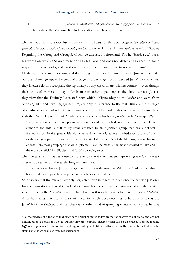4. --------------------------, *Jama'at ul-Muslimeen: Mafhoomuhaa wa Kayfiyyatu Luzoomihaa* [The Jama'ah of the Muslims: Its Understanding and How to Adhere to it].

The last book of the above list is considered the basis for the book *Kayfa'l-Amr idha lam takun Jama'ah: Darasaat Hawla'l-Jama'ah wa'l-Jama'aat* [How will it be If there isn't a Jama'ah? Studies Regarding the Group and Groups], which we discussed beforehand. For he (Hindaawee) bases his words on what as-Saawee mentioned in his book and does not differ at all except in some ways. These four books, and books with the same emphasis, strive to revive the Jama'ah of the Muslims, as their authors claim, and then bring about their Imaam and state. Just as they make out the Islamic groups to be steps of a stage in order to get to this desired Jama'ah of Muslims, they likewise do not recognize the legitimacy of any *bay'ah* in any Islamic country – even though their terms of expression may differ from each other depending on the circumstances. Just as they view that the Divinely Legislated texts which obligate obeying the leader and warn from opposing him and revolting against him, are only in reference to the main Imaam, the *Khaleefah* of all Muslims and not referring to anyone else- even if be a ruler who rules over an Islamic land with the Divine Legislation of Allaah. As-Saawee says in his book *Jama'at ul-Muslimeen* (p.122):

The foundation of our contemporary situation is to adhere to obedience to a group of people in authority and this is fulfilled by being affiliated to an organized group that has a political framework within the general Islamic ranks, and temporarily adhere to obedience to one of the established groups. This is in order to strive to establish the Jama'ah of the Muslims,1 so one has to choose from these groupings that which pleases Allaah the most, is the most dedicated to Him and the more beneficial for His deen and for His believing servants.

Then he says within his response to those who do not view that such groupings are *Shari'* except after empowerment in the earth along with an Imaam:

If their intent is that the Jama'ah relayed in the texts is the main Jama'ah of the Muslims then this however does not prohibit co-operating on righteousness and piety.

So he views that the relayed Divinely Legislated texts in regard to obedience to leadership is only for the main *Khaleefah*, so it is understood from his speech that the existence of an Islamic state which rules by the *Sharee'ah* is not included within this definition as long as it is not a *Khaleefah*. After he asserts that the Jama'ah intended, to which obedience has to be adhered to, is the Jama'ah of the *Khilaafah* and that there is no other kind of grouping whatever it may be, he says

<sup>1</sup> So the pledges of allegiance that exist in the Muslim states today are not obligatory to adhere to and are not binding upon a person to stick to. Rather they are temporal pledges which can be disengaged from by making *kaffaaratu yameen* (expiation for breaking, or failing to fulfil, an oath) if the matter necessitates that – as he claims later as we shall see from his statements.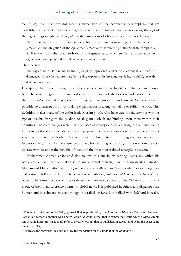(on p.125) that this does not mean a suspension of the covenants to groupings that are established at present. As-Saawee suggests a number of matters such as reviewing the *fiqh* of these groupings in light of the *bay'ah* and the limitations of obedience and the likes. He says:

These groupings in their formation do not go back to the relayed texts in regards to adhering to the Jama'ah and the obligation of the *bay'ah* that is mentioned within the purified Sunnah, except in a familiar way. But rather they are based on the general texts which emphasise co-operation on righteousness and piety and forbid failure and argumentation.

## Then he says:

The bay'ah which is binding to these groupings represents a view or a covenant and can be disengaged from when appropriate by making expiation for breaking, or failing to fulfill, an oath (kaffaarat ul-yameen).

His speech here, even though it is has a general intent, is based on what we mentioned beforehand with regards to the methodology of these individuals. For it is understood from him that any *bay'ah*, even if it is to a Muslim state, is a temporary and limited *bay'ah* which can possibly be disengaged from by making expiation for breaking, or failing to fulfill, the oath. This definition makes many of the enthusiastic Muslim youth, who have care for the *deen* but without *fiqh* or insight, disregard the pledges of allegiance which are binding upon them within their countries. These are pledges which the *Shar'* sees as appropriate for adhering to obedience to the leader in good and also include not revolting against the leader via weapons, verbally or any other way that leads to that. Rather, this view sees that his existence, meaning the existence of the leader or ruler, is just like the existence of one who heads a group or organization whom they cooperate with based on the benefits of that until the Imaam or claimed *Khaleefah* is present.

 Muhammad Ahmad ar-Raashid also follows this line in his writings especially within his book entitled *al-Misaar* and likewise so does Jamaal Sultaan, 'AbdurRahmaan'AbdulKhaaliq, Muhammad Qutb, Fathi Yakin, al-Qaradaawee and al-Bayānūnī. Many contemporary magazines and journals follow this line such as *as-Sunnah, al-Bayaan, as-Samoo, al-Mujtama', al-Asaalah'* and others. The journal *as-Sunnah*<sup>2</sup> is considered the main news source for the "Sahwa youth" and it is one of their main reference points for global news. It is published in Britain and disparages the Sunnah and its scholars, so even though it is called *'as-Sunnah'* it is filled with *bida'* and in reality

<sup>1</sup> This is not referring to the *Salafi* journal that is produced by the *Imaam al-Albaanee Centre* in 'Ammaan, Jordan but rather to another well-known Arabic *ikhwani* journal that is printed in Algeria which reviews Arabic and Islamic literature. Or it could refer to a yearly journal that is published in Kuwait and bears the exact same name also. [TN]

<sup>2</sup> It spreads the *takfeeree* ideology and lays the foundation for the *manhaj* of the *Khawaarij.*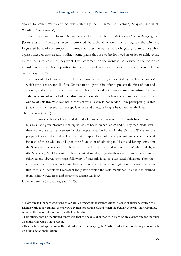should be called "al-Bida'"! As was stated by the 'Allaamah of Yemen, Shaykh Muqbil al-Waadi'ee *(rahimahullaah).*

 Some statements from Dr as-Saawee from his book *ath-Thawaabit wa'l-Mutaghayyiraat* [Constants and Variables] were mentioned beforehand wherein he disregards the Divinely Legislated basis of contemporary Islamic countries; views that it is obligatory to announce jihad against these countries; and outlines some plans that are to be followed in order to achieve the claimed Muslim state that they want. I will comment on the words of as-Saawee in the footnotes in order to explain his opposition to the truth and in order to present his words in full. As-Saawee says (p.19):

The basis of all of this is that the Islamic movements today, represented by the Islamic armies<sup>1</sup> which are necessary for all of the Ummah to be a part of in order to prevent the fitna of kufr and apostasy and in order to avert their dangers from the abode of Islaam – **are a substitute for the Islamic state which all of the Muslims are enlisted into when the enemies approach the abode of Islaam.** Whoever has a contract with Islaam is not hidden from participating in this jihad and is not prevent from the spoils of war and booty, as long as he is with the Muslims.

Then he says (p.237):

If time passes without a leader and devoid of a ruler<sup>2</sup> to maintain the Ummah based upon the Sharee'ah and governments are set up which are based on secularism and rule by man-made laws then matters are to be overseen by the people in authority within the Ummah. These are the people of knowledge and ability who take responsibility of the important matters and general interests of those who are still upon their foundation of adhering to Islaam and having eemaan in the Sharee'ah who reject those who depart from the Sharee'ah and support the da'wah to rule by it (the Sharee'ah). So if the word of these is united and they organise their case around a person to be followed and obeyed, then their following (of that individual) is a legislated obligation. Then they strive via their organization to establish the deen as an individual obligation not tricking anyone in this, then such people will represent the jama'ah which the texts mentioned to adhere to, warned from splitting away from and threatened against leaving.3

Up to where he (as-Saawee) says (p.238):

<sup>1</sup> This is due to him not recognising the *Shari'* legitimacy of the extant regional pledges of allegiance within the Islamic world today. Rather, the only *bay'ah* that he recognises, and which the *ikhwan* generally only recognise, is that of the major ruler ruling over all of the Muslims.

<sup>2</sup> This affirms that he mentioned repeatedly that the people of authority in his view are a substitute for the ruler when the *Khaleefah* is not present.

<sup>3</sup> This is a false interpretation of the texts which instruct obeying the Muslim leader to mean obeying whoever sets up a *jama'ah* or organisation.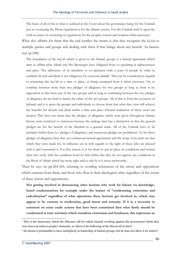The basis of all of this is what is outlined in the Usool about the governance being for the Ummah just as overseeing the Divine legislation is for the Islamic society. For the Ummah itself is upon the truth in terms of overseeing its regulations for the peoples control and isolation when necessary.1

What also affirms for them that the end justifies the means is that they recognize the *ba'yah* to multiple parties and groups and dealing with them if that brings about any benefit. As-Saawee says (p.248):

The foundation of the bay'ah which is given to the Islamic groups is a mutual agreement which aims to affirm what Allaah and His Messenger have obligated from co-operating in righteousness and piety. The adherence of its members to co-operation with a team of people in order to establish da'wah and jihad is not obligatory for everyone initially. This can be considered in regards to restricting this bay'ah to a time or place, or being exempted from it when necessary. Or, to combine between more than two pledges of allegiance for two groups as long as there is no opposition to this from any of the two groups and as long as combining between the two pledges of allegiance do not lead to harms for either of the two groups. All of this is from the resources of ijtihaad, and it is upon the groups and individuals to choose from that what they view will achieve the benefits for da'wah and jihad within a time and place wherein realization of these views are desired. This does not mean that the pledges of allegiance which were given throughout Islamic history were restricted or numerous because the analogy here has a distinction in that the general pledges are for the benefit of the Muslims in a general sense. All of the Ummah have to be included within them (i.e. pledges of allegiance) and numerous pledges are prohibited.<sup>2</sup> As for these pledges of allegiance then they are contractual mutual agreements and the scope of its tasks are that which they were made for, its influence are in with regards to the right of those who are pleased with it and contracted it. For this reason, it is for them to put in place its conditions and restrict what they wish, with the condition however that within this they do not oppose any conditions in the Book of Allaah which has more right and to rule by it is more trustworthy.

Then he says on pp.264-265, referring to avoiding refutations of the errors and oppositions which emanate from them, and those who float in their ideological orbit, regardless of the extent of these (errors and oppositions):

**Not getting involved in denouncing other factions who work for Islaam via knowledgebased condemnations for example under the banner of "condemning extremism and radicalisation" regardless of what operations these factions get involved in, which may appear to be contrary to moderation, good intent and maturity. If it is a necessity to comment on some crude actions that have been committed then what firstly should be condemned is state terrorism which manifests extremism and harshness, this represents an** 

<sup>1</sup> This is the democracy which the *ikhwaan* call for which intends revolting against the government which they view does not achieve people's demands, so where is the following of the *Sharee'ah* in this?!

<sup>&</sup>lt;sup>2</sup> He deems it permissible to have multiplicity in leadership of Islamic groups, but he does not allow it for states?!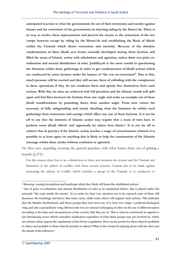**anticipated reaction to what the governments do out of their extremism and enmity against Islaam and the extremism of the governments in rejecting ruling by the Sharee'ah. There is no way to resolve these repercussions and prevent the means to the extremism of the two camps however except by ruling by the Sharee'ah and establishing the Book of Allaah within the Ummah which deters extremism and austerity. Because of the absolute condemnation of these jihadi acts rivalry naturally developed among these factions and filled the arena of Islamic action with tribulations and agitation, unless there was prior coordination and mutual distribution of roles. Jaahiliyyah is the most careful in questioning the Islamists within these gatherings in order to get condemnation of jihadi actions which are conducted by some factions under the banner of "the war on extremism". Due to this, much pressure will be exerted and they will accuse them of colluding with the conspirators in these operations if they do not condemn them and openly free themselves from such actions. With this, its aims are achieved with full precision and the Islamic trends will split apart and fuel fitna between the factions from one angle and make an example out of these jihadi manifestations by punishing them, from another angle. From here comes the necessity of fully safeguarding and utterly detailing what the Islamists do within such gatherings from statements and sayings which affect any one of these factions. It is not far off to say that the interests of Islamic action may require that a team of men have to perform some jihadi efforts1 and apparently let others bear blame.2 It is not far off to achieve that in practice if the Islamic action reaches a stage of consciousness wherein it is possible to at least agree on anything that is likely to help the continuation of the Islamist message within these circles without confusion or agitation.**

He then says, regarding arousing the general populace with what harms them out of gaining a benefit (p.272):

For this reason there has to be a distinction in these acts between the system and the Ummah and limitation of the sphere of conflict with these secular systems. Caution has to be made against increasing the sphere of conflict which includes a group of the Ummah or is conducive to

<sup>1</sup> Meaning: causing devastation and bombings which they think will harm the established system.

<sup>2</sup> Out of prior co-ordination and mutual distribution of roles as he mentioned before, this is placed under the principle "the ends justify the means". So in order for their true situation not to be exposed some of them will denounce the bombings and havoc that some cause, while some others will support such actions. This indicates that the Muslim Brotherhood, and those groups that were born out of it, have two wings: a political-ideological wing and also a paramilitary wing. Between the two are mutual exchanging of roles via the use of different names according to the time and circumstances of the country that they are in. This is what he mentioned in regards to not denouncing errors which contradict moderation regardless of what these groups may get involved in, which are actions which oppose the regulations of the Divine Legislation. How can he permit for them what he prohibits to others and prohibit to them what he permits to others? What is this except for playing about with the *deen* and the minds of the followers?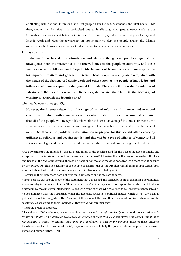conflicting with national interests that affect people's livelihoods, sustenance and vital needs. This then, not to mention that it is prohibited due to it affecting vital general needs such as the Ummah's possessions which is considered sanctified wealth, agitates the general populace against Islamic work and gives the tawaagheet an opportunity to alert the people against the Islamic movement which assumes the place of a destructive force against national interests.

He says (p.275):

**If the matter is linked to confrontation and alerting the general populace against the** tawaagheet<sup>1</sup> then the matter has to be referred back to the people in authority, and these **are those who are followed and obeyed with the arena of Islamic work and are responsible for important matters and general interests. These people in reality are exemplified with the heads of the factions of Islamic work and others such as the people of knowledge and influence who are accepted by the general Ummah. They are still upon the foundation of Islaam and their ascription to the Divine Legislation and their faith in the necessity of working to establish the Islamic state.2**

Then as-Saawee states (p.279):

However, **the interests depend on the stage of partial reforms and interests and temporal co-ordination along with some moderate secular trends3 in order to accomplish a matter that all of the people will accept.4** Islamic work has been disadvantaged in some countries by the annulment of customary regulations and emergency laws which are sought after by the general masses. **So there is no problem in this situation to prepare for this sought-after victory by**  utilizing all religious and secular trends<sup>5</sup> and this will be a type of alliance of virtue<sup>6</sup> and all alliances are legislated which are based on aiding the oppressed and taking the hand of the

5 Read the previous footnote.

<sup>1</sup> **At-Tawaagheet:** he intends by this all of the rulers of the Muslims and for this reason he does not make any exceptions to this in his entire book, not even one ruler at least! Likewise, this is the way of the writers, thinkers and heads of the *Ikhwaani* groups, there is no position for the one who does not agree with them even if he rules by the *Sharee'ah*! This is a feature of the people of desires just as the Prophet *(sallallaahu 'alayhi wassallam)* informed about that the desires flow through the veins like one affected by rabies.

<sup>2</sup> Because in their view there does not exist an Islamic state on the face of the earth.

<sup>3</sup> From here we can see the model of the statement that was issued and signed by some of the *Sahwa* personalities in our country in the name of being "Saudi intellectuals" which they signed to respond to the statement that was drafted up by the American intellectuals, along with some of those who they used to call secularists themselves!?

<sup>4</sup> Such alliances with the secularists when the necessity arises is a political matter which in its very basis is political covered in the garb of the *deen* and if this was not the case then they would obligate abandoning the secularists as according to them (*Ikhwanis*) they are *kuffaar* in their view.

<sup>6</sup> This alliance *(Hilf ul-Fudool)* is sometimes translated as an *'order of chivalry'* (a rather odd translation) or as *'a league of nobility', 'an alliance of excellence', 'an alliance of the virtuous', 'a committee of wisemen', 'an alliance for charity', 'a treaty for mutual assistance and goodness', 'a pact of the virtuous'* most of these different translations capture the essence of the *hilf ul-fudool* which was to help the poor, needy and oppressed and assure justice and human rights. [TN]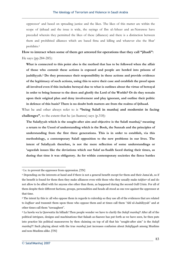oppressor1 and based on spreading justice and the likes. The likes of this matter are within the scope of ijtihaad and the issue is wide, the sayings of Ibn ul-Atheer and an-Nawawee have preceded wherein they permitted the likes of these (alliances) and there is a distinction between them and prohibited alliances which are based fitna and killing and whatever else the Shar' prohibits.2

**How to interact when some of them get arrested for operations that they call "jihadi":**  He says (pp.284-285):

**What is connected to this point also is the method that has to be followed when the affair of those who commit these actions is exposed and people are herded into prisons of jaahiliyyah.3 Do they pronounce their responsibility in these actions and provide evidence of the legitimacy of such actions, using this to serve their case and establish the proof upon all involved even if this includes betrayal due to what is outlines about the virtue of betrayal in order to bring honour to the deen and glorify the Lord of the Worlds? Or do they remain upon their original plan and deny involvement and play ignorant, and outline their politic in defence of this basis? There is no doubt both matters are from the realms of ijtihaad.**

What he and other always refer to is **"being Salafi in manhaj and modernist in facing challenges"**, to the extent that he (as-Saawee) says (p.318):

The Salafiyyah which is the sought-after aim and objective is the Salafi manhaj,<sup>4</sup> meaning **a return to the Usool of understanding which is the Book, the Sunnah and the principles of understanding from the first three generations. This is in order to establish, via this methodology, a contemporary Salafi opposition to the new problems in our lives. The intent of Salafiyyah therefore, is not the mere reflection of some understandings or 'aqeedah issues like the deviations which our Salaf us-Saalih faced during their times, as during that time it was obligatory. As for within contemporary societies the fierce battles** 

<sup>&</sup>lt;sup>1</sup> I.e. to prevent the oppressor from oppression. [TN]

<sup>2</sup> Depending on the interests at hand and if there is not a general benefit except for them and their Jama'ah, so if the benefit is found for them then they make alliances even with those who they usually make *takfeer* of and do not allow to be allied with for anyone else other than them, as happened during the second Gulf Crisis. For all of them despite their different factions, groups, personalities and heads all stood as one row against the oppressor at that time.

<sup>&</sup>lt;sup>3</sup> The intent by this is: all who oppose them in regards to rulership so they use all of the evidences that are related to *kuffaar* and transmit them upon those who oppose them and at times call them "Ahl ul-Jaahiliyyah" and at other times call them "tawaagheet".

<sup>4</sup> La hawla wa la Quwwatta ila billaah! Then people wonder we have to clarify the *Salafi manhaj*? After all of the political intrigues, designs and machinations that Salaah as-Saawee has put forth as we have seen, he then puts into practice his political manoeuvres by then claiming on top of all that his "sought-after aim" is the *Salafi manhaj*?! Such playing about with the true *manhaj* just increases confusion about *Salafiyyah* among Muslims and non-Muslims alike. [TN]